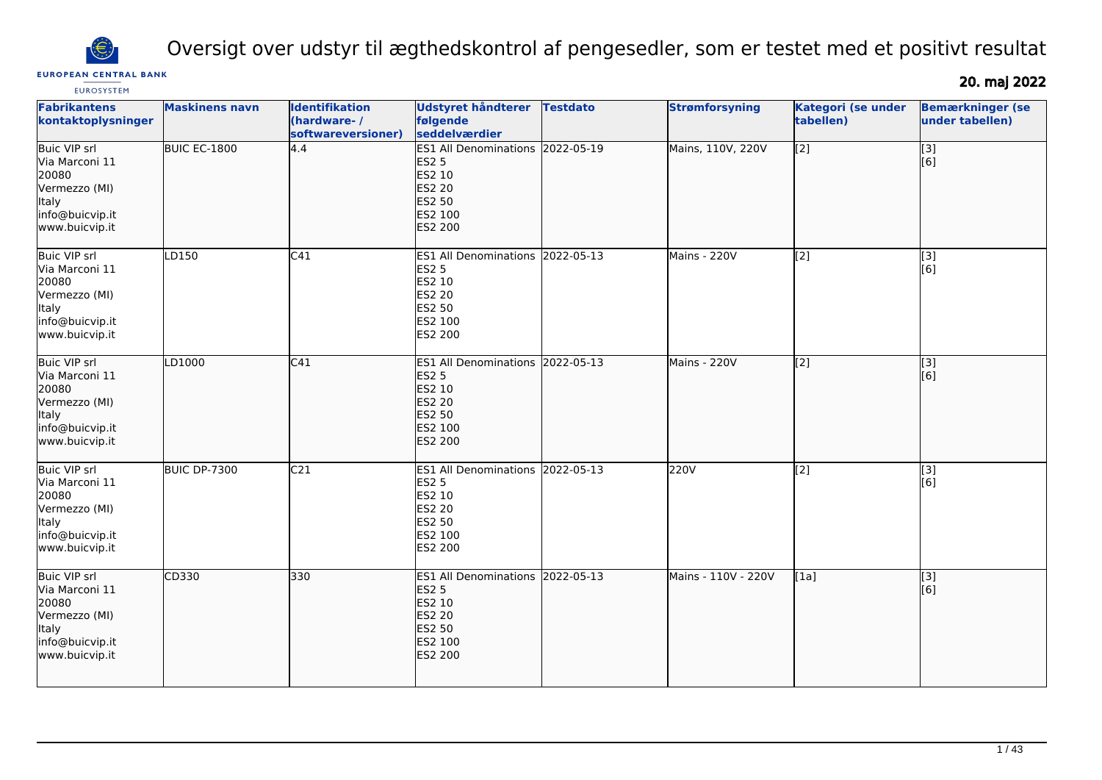

Oversigt over udstyr til ægthedskontrol af pengesedler, som er testet med et positivt resultat

# **EUROPEAN CENTRAL BANK**

20. maj 2022

| <b>Fabrikantens</b><br>kontaktoplysninger                                                                      | <b>Maskinens navn</b> | <b>Identifikation</b><br>(hardware-/<br>softwareversioner) | <b>Udstyret håndterer</b><br>følgende<br>seddelværdier                                                                    | <b>Testdato</b> | <b>Strømforsyning</b> | <b>Kategori (se under</b><br>tabellen) | <b>Bemærkninger (se</b><br>under tabellen) |
|----------------------------------------------------------------------------------------------------------------|-----------------------|------------------------------------------------------------|---------------------------------------------------------------------------------------------------------------------------|-----------------|-----------------------|----------------------------------------|--------------------------------------------|
| <b>Buic VIP srl</b><br>Via Marconi 11<br>20080<br>Vermezzo (MI)<br>Italy<br>info@buicvip.it<br>www.buicvip.it  | BUIC EC-1800          | 4.4                                                        | ES1 All Denominations 2022-05-19<br><b>ES2 5</b><br>ES2 10<br><b>ES2 20</b><br><b>ES2 50</b><br>ES2 100<br><b>ES2 200</b> |                 | Mains, 110V, 220V     | $\overline{[2]}$                       | $\overline{[3]}$<br>[6]                    |
| <b>Buic VIP srl</b><br>Via Marconi 11<br>20080<br>Vermezzo (MI)<br>Italy<br>info@buicvip.it<br>www.buicvip.it  | LD150                 | C41                                                        | <b>ES1 All Denominations</b><br><b>ES2 5</b><br>ES2 10<br>ES2 20<br><b>ES2 50</b><br>ES2 100<br>ES2 200                   | 2022-05-13      | Mains - 220V          | $\sqrt{2}$                             | $\overline{[}3]$<br>[6]                    |
| <b>Buic VIP srl</b><br>Via Marconi 11<br>20080<br>Vermezzo (MI)<br>Italy<br>info@buicvip.it<br>www.buicvip.it  | LD1000                | C <sub>41</sub>                                            | <b>ES1 All Denominations</b><br><b>ES2 5</b><br>ES2 10<br><b>ES2 20</b><br>ES2 50<br>ES2 100<br><b>ES2 200</b>            | 2022-05-13      | Mains - 220V          | $\overline{[2]}$                       | [3]<br>[6]                                 |
| <b>Buic VIP srl</b><br>Via Marconi 11<br>20080<br>Vermezzo (MI)<br>lltaly<br>info@buicvip.it<br>www.buicvip.it | <b>BUIC DP-7300</b>   | C <sub>21</sub>                                            | ES1 All Denominations 2022-05-13<br><b>ES2 5</b><br>ES2 10<br>ES2 20<br>ES2 50<br>ES2 100<br>ES2 200                      |                 | 220V                  | $\overline{[2]}$                       | [3]<br>[6]                                 |
| <b>Buic VIP srl</b><br>Via Marconi 11<br>20080<br>Vermezzo (MI)<br>Italy<br>info@buicvip.it<br>www.buicvip.it  | CD330                 | 330                                                        | <b>ES1 All Denominations</b><br><b>ES2 5</b><br>ES2 10<br><b>ES2 20</b><br>ES2 50<br>ES2 100<br><b>ES2 200</b>            | 2022-05-13      | Mains - 110V - 220V   | [1a]                                   | $\overline{[}$ [3]<br>[[6]                 |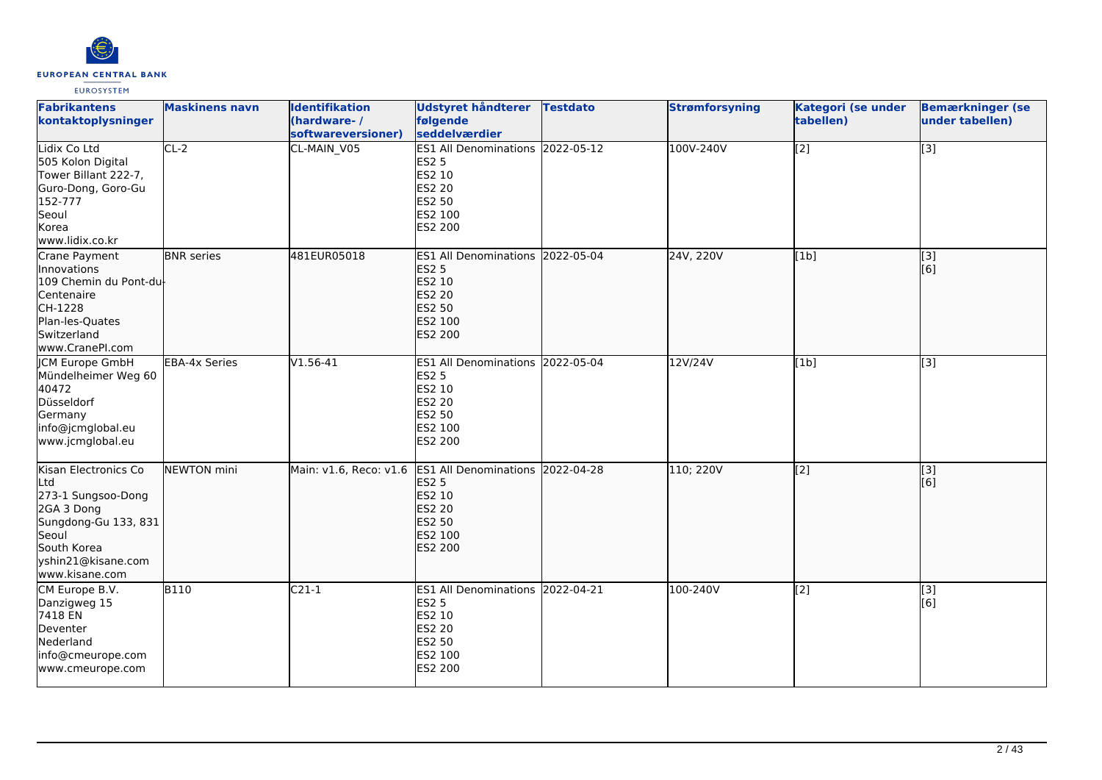

| <b>Fabrikantens</b><br>kontaktoplysninger                                                                                                               | <b>Maskinens navn</b> | <b>Identifikation</b><br>(hardware-/<br>softwareversioner) | Udstyret håndterer<br>følgende<br>seddelværdier                                                                       | <b>Testdato</b> | <b>Strømforsyning</b> | Kategori (se under<br>tabellen) | <b>Bemærkninger (se</b><br>under tabellen) |
|---------------------------------------------------------------------------------------------------------------------------------------------------------|-----------------------|------------------------------------------------------------|-----------------------------------------------------------------------------------------------------------------------|-----------------|-----------------------|---------------------------------|--------------------------------------------|
| Lidix Co Ltd<br>505 Kolon Digital<br>Tower Billant 222-7,<br>Guro-Dong, Goro-Gu<br>152-777<br>Seoul<br>Korea<br>www.lidix.co.kr                         | $CL-2$                | CL-MAIN_V05                                                | <b>ES1 All Denominations</b><br><b>ES2 5</b><br>ES2 10<br>ES2 20<br><b>ES2 50</b><br>ES2 100<br><b>ES2 200</b>        | 2022-05-12      | 100V-240V             | [2]                             | $\overline{[3]}$                           |
| Crane Payment<br><b>Innovations</b><br>109 Chemin du Pont-du-<br>Centenaire<br>CH-1228<br>Plan-les-Quates<br>Switzerland<br>www.CranePI.com             | <b>BNR</b> series     | 481EUR05018                                                | <b>ES1 All Denominations</b><br><b>ES2 5</b><br>ES2 10<br><b>ES2 20</b><br>ES2 50<br>ES2 100<br><b>ES2 200</b>        | 2022-05-04      | 24V, 220V             | [1b]                            | [3]<br>[6]                                 |
| <b>CM Europe GmbH</b><br>Mündelheimer Weg 60<br>40472<br>Düsseldorf<br>Germany<br>info@jcmglobal.eu<br>www.jcmglobal.eu                                 | <b>EBA-4x Series</b>  | $V1.56-41$                                                 | ES1 All Denominations 2022-05-04<br><b>ES2 5</b><br>ES2 10<br><b>ES2 20</b><br><b>ES2 50</b><br>ES2 100<br>ES2 200    |                 | 12V/24V               | [1b]                            | $\overline{[3]}$                           |
| Kisan Electronics Co<br>Ltd<br>273-1 Sungsoo-Dong<br>2GA 3 Dong<br>Sungdong-Gu 133, 831<br>Seoul<br>South Korea<br>yshin21@kisane.com<br>www.kisane.com | NEWTON mini           | Main: v1.6, Reco: v1.6                                     | <b>ES1 All Denominations</b><br><b>ES2 5</b><br>ES2 10<br><b>ES2 20</b><br><b>ES2 50</b><br>ES2 100<br><b>ES2 200</b> | 2022-04-28      | 110; 220V             | [2]                             | $\overline{[3]}$<br>[6]                    |
| CM Europe B.V.<br>Danzigweg 15<br>7418 EN<br>Deventer<br>Nederland<br>info@cmeurope.com<br>www.cmeurope.com                                             | <b>B110</b>           | $C21-1$                                                    | <b>ES1 All Denominations</b><br><b>ES2 5</b><br>ES2 10<br><b>ES2 20</b><br><b>ES2 50</b><br>ES2 100<br>ES2 200        | 2022-04-21      | 100-240V              | [2]                             | [3]<br>[6]                                 |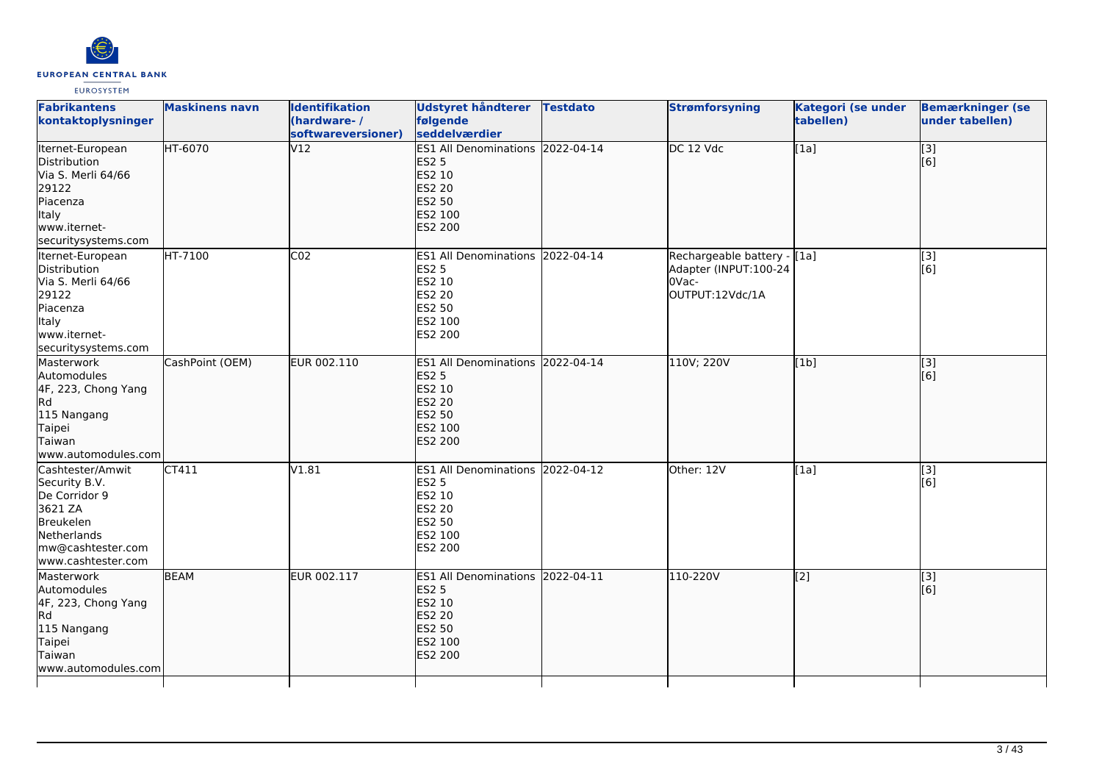

| <b>Fabrikantens</b><br>kontaktoplysninger                                                                                            | <b>Maskinens navn</b> | <b>Identifikation</b><br>(hardware-/<br>softwareversioner) | Udstyret håndterer Testdato<br>følgende<br>seddelværdier                                                    | <b>Strømforsyning</b>                                                            | Kategori (se under<br>tabellen) | <b>Bemærkninger (se</b><br>under tabellen) |
|--------------------------------------------------------------------------------------------------------------------------------------|-----------------------|------------------------------------------------------------|-------------------------------------------------------------------------------------------------------------|----------------------------------------------------------------------------------|---------------------------------|--------------------------------------------|
| Iternet-European<br>Distribution<br>Via S. Merli 64/66<br>29122<br>Piacenza<br>Italy<br>www.iternet-<br>securitysystems.com          | HT-6070               | V12                                                        | ES1 All Denominations 2022-04-14<br><b>ES2 5</b><br>ES2 10<br><b>ES2 20</b><br>ES2 50<br>ES2 100<br>ES2 200 | DC 12 Vdc                                                                        | [1a]                            | [3]<br>[6]                                 |
| Iternet-European<br>Distribution<br>Via S. Merli 64/66<br>29122<br>Piacenza<br>Italy<br>lwww.iternet-<br>securitysystems.com         | <b>HT-7100</b>        | CO <sub>2</sub>                                            | ES1 All Denominations 2022-04-14<br><b>ES2 5</b><br>ES2 10<br>ES2 20<br>ES2 50<br>ES2 100<br>ES2 200        | Rechargeable battery - [1a]<br>Adapter (INPUT:100-24<br>OVac-<br>OUTPUT:12Vdc/1A |                                 | $\overline{[}3]$<br>[6]                    |
| Masterwork<br>Automodules<br>4F, 223, Chong Yang<br>lRd.<br>115 Nangang<br>Taipei<br>Taiwan<br>www.automodules.com                   | CashPoint (OEM)       | EUR 002.110                                                | ES1 All Denominations 2022-04-14<br><b>ES2 5</b><br>ES2 10<br><b>ES2 20</b><br>ES2 50<br>ES2 100<br>ES2 200 | 110V; 220V                                                                       | [1b]                            | $\vert$ [3]<br>[6]                         |
| Cashtester/Amwit<br>Security B.V.<br>De Corridor 9<br>3621 ZA<br>Breukelen<br>Netherlands<br>mw@cashtester.com<br>www.cashtester.com | CT411                 | V1.81                                                      | ES1 All Denominations 2022-04-12<br><b>ES2 5</b><br>ES2 10<br>ES2 20<br>ES2 50<br>ES2 100<br>ES2 200        | Other: 12V                                                                       | [1a]                            | [3]<br>[6]                                 |
| Masterwork<br>Automodules<br>4F, 223, Chong Yang<br>lRd.<br>115 Nangang<br>Taipei<br>Taiwan<br>www.automodules.com                   | <b>BEAM</b>           | EUR 002.117                                                | ES1 All Denominations 2022-04-11<br><b>ES2 5</b><br>ES2 10<br><b>ES2 20</b><br>ES2 50<br>ES2 100<br>ES2 200 | 110-220V                                                                         | $\overline{[2]}$                | $\vert$ [3]<br>[6]                         |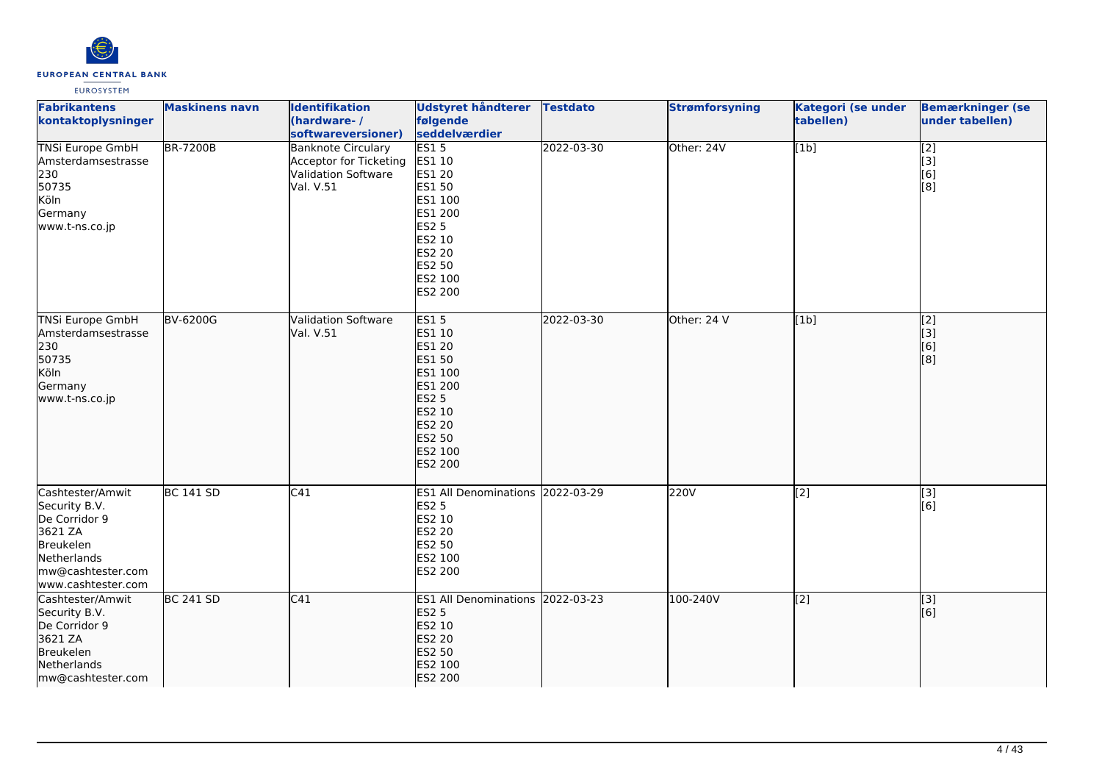

| <b>Fabrikantens</b><br>kontaktoplysninger                                                                                            | <b>Maskinens navn</b> | <b>Identifikation</b><br>(hardware-/<br>softwareversioner)                                     | <b>Udstyret håndterer</b><br>følgende<br>seddelværdier                                                                                     | <b>Testdato</b> | <b>Strømforsyning</b> | Kategori (se under<br>tabellen) | <b>Bemærkninger (se</b><br>under tabellen)                                  |
|--------------------------------------------------------------------------------------------------------------------------------------|-----------------------|------------------------------------------------------------------------------------------------|--------------------------------------------------------------------------------------------------------------------------------------------|-----------------|-----------------------|---------------------------------|-----------------------------------------------------------------------------|
| <b>TNSi Europe GmbH</b><br>Amsterdamsestrasse<br>230<br>50735<br>Köln<br>Germany<br>www.t-ns.co.jp                                   | <b>BR-7200B</b>       | <b>Banknote Circulary</b><br>Acceptor for Ticketing<br><b>Validation Software</b><br>Val. V.51 | ES15<br><b>ES1 10</b><br>ES1 20<br>ES1 50<br>ES1 100<br>ES1 200<br><b>ES2 5</b><br>ES2 10<br><b>ES2 20</b><br>ES2 50<br>ES2 100<br>ES2 200 | 2022-03-30      | Other: 24V            | [1b]                            | $\begin{bmatrix} 2 \\ 3 \\ 6 \end{bmatrix}$<br>$\overline{[}8]$             |
| <b>TNSi Europe GmbH</b><br>Amsterdamsestrasse<br>230<br>50735<br>Köln<br>Germany<br>www.t-ns.co.jp                                   | <b>BV-6200G</b>       | <b>Validation Software</b><br>Val. V.51                                                        | <b>ES15</b><br>ES1 10<br>ES1 20<br>ES1 50<br>ES1 100<br>ES1 200<br><b>ES2 5</b><br>ES2 10<br>ES2 20<br>ES2 50<br>ES2 100<br>ES2 200        | 2022-03-30      | Other: 24 V           | [1b]                            | $\overline{[2]}$<br>$\begin{bmatrix} 1 & 3 \\ 6 & 1 \\ 1 & 6 \end{bmatrix}$ |
| Cashtester/Amwit<br>Security B.V.<br>De Corridor 9<br>3621 ZA<br>Breukelen<br>Netherlands<br>mw@cashtester.com<br>www.cashtester.com | <b>BC 141 SD</b>      | C41                                                                                            | ES1 All Denominations 2022-03-29<br><b>ES2 5</b><br>ES2 10<br>ES2 20<br>ES2 50<br>ES2 100<br>ES2 200                                       |                 | 220V                  | $\overline{[2]}$                | $\overline{[3]}$<br>[6]                                                     |
| Cashtester/Amwit<br>Security B.V.<br>De Corridor 9<br>3621 ZA<br><b>Breukelen</b><br>Netherlands<br>mw@cashtester.com                | <b>BC 241 SD</b>      | C41                                                                                            | ES1 All Denominations 2022-03-23<br><b>ES2 5</b><br>ES2 10<br>ES2 20<br>ES2 50<br>ES2 100<br>ES2 200                                       |                 | 100-240V              | $\overline{[2]}$                | $\overline{[}3]$<br>[6]                                                     |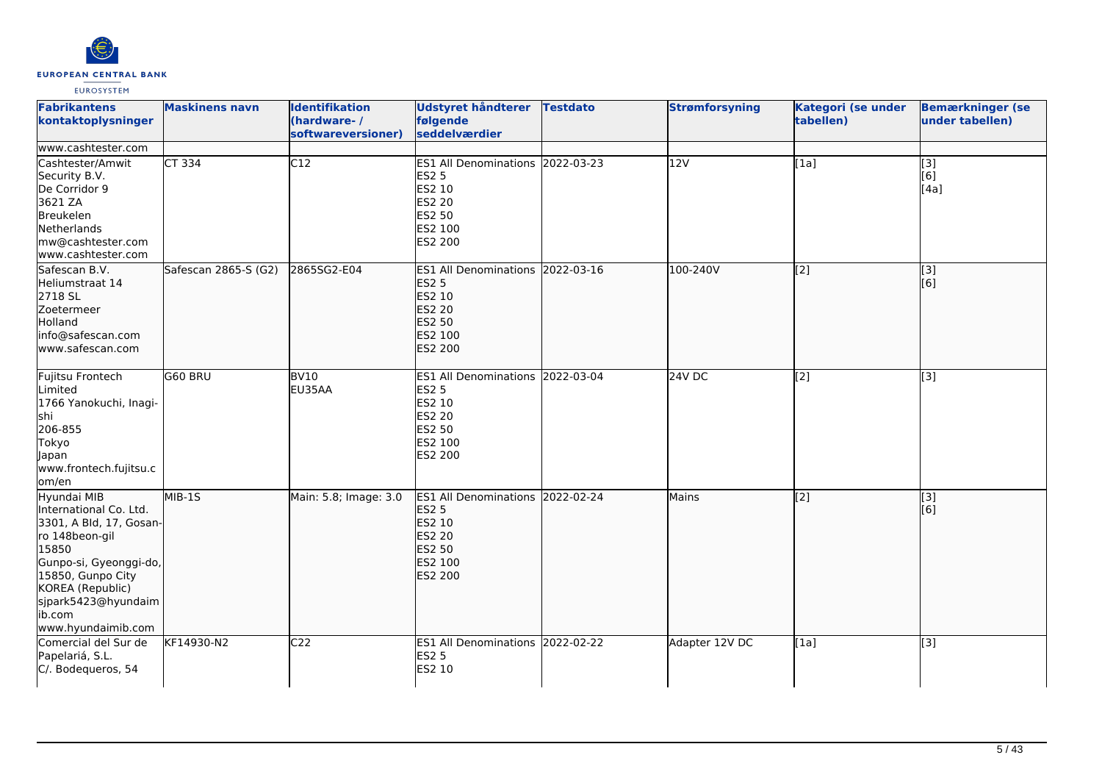

| <b>Fabrikantens</b><br>kontaktoplysninger                                                                                                                                                                             | <b>Maskinens navn</b> | <b>Identifikation</b><br>(hardware-/<br>softwareversioner) | <b>Udstyret håndterer</b><br>følgende<br>seddelværdier                                                             | <b>Testdato</b> | <b>Strømforsyning</b> | Kategori (se under<br>tabellen) | <b>Bemærkninger (se</b><br>under tabellen) |
|-----------------------------------------------------------------------------------------------------------------------------------------------------------------------------------------------------------------------|-----------------------|------------------------------------------------------------|--------------------------------------------------------------------------------------------------------------------|-----------------|-----------------------|---------------------------------|--------------------------------------------|
| www.cashtester.com<br>Cashtester/Amwit<br>Security B.V.<br>De Corridor 9<br>3621 ZA<br>Breukelen<br>Netherlands<br>mw@cashtester.com<br>www.cashtester.com                                                            | <b>CT 334</b>         | $\overline{C12}$                                           | ES1 All Denominations 2022-03-23<br><b>ES2 5</b><br>ES2 10<br><b>ES2 20</b><br><b>ES2 50</b><br>ES2 100<br>ES2 200 |                 | 12V                   | $\overline{[1a]}$               | $\overline{[}3]$<br>[6]<br>[4a]            |
| Safescan B.V.<br>Heliumstraat 14<br>2718 SL<br>Zoetermeer<br>Holland<br>info@safescan.com<br>lwww.safescan.com                                                                                                        | Safescan 2865-S (G2)  | 2865SG2-E04                                                | ES1 All Denominations 2022-03-16<br><b>ES2 5</b><br>ES2 10<br><b>ES2 20</b><br>ES2 50<br>ES2 100<br><b>ES2 200</b> |                 | 100-240V              | [2]                             | $\begin{bmatrix} 3 \\ 6 \end{bmatrix}$     |
| Fujitsu Frontech<br>Limited<br>1766 Yanokuchi, Inagi-<br>shi<br>206-855<br>Tokyo<br>Japan<br>www.frontech.fujitsu.c<br>om/en                                                                                          | G60 BRU               | <b>BV10</b><br>EU35AA                                      | ES1 All Denominations 2022-03-04<br><b>ES2 5</b><br>ES2 10<br>ES2 20<br>ES2 50<br>ES2 100<br>ES2 200               |                 | 24V DC                | [2]                             | [3]                                        |
| Hyundai MIB<br>International Co. Ltd.<br>3301, A Bld, 17, Gosan-<br>ro 148beon-gil<br>15850<br>Gunpo-si, Gyeonggi-do,<br>15850, Gunpo City<br>KOREA (Republic)<br>sjpark5423@hyundaim<br>ib.com<br>www.hyundaimib.com | $MIB-15$              | Main: 5.8; Image: 3.0                                      | ES1 All Denominations 2022-02-24<br><b>ES2 5</b><br>ES2 10<br><b>ES2 20</b><br>ES2 50<br>ES2 100<br><b>ES2 200</b> |                 | Mains                 | [2]                             | $\vert$ [3]<br>[6]                         |
| Comercial del Sur de<br>Papelariá, S.L.<br>C/. Bodequeros, 54                                                                                                                                                         | KF14930-N2            | C <sub>22</sub>                                            | ES1 All Denominations 2022-02-22<br><b>ES2 5</b><br>ES2 10                                                         |                 | Adapter 12V DC        | [1a]                            | [3]                                        |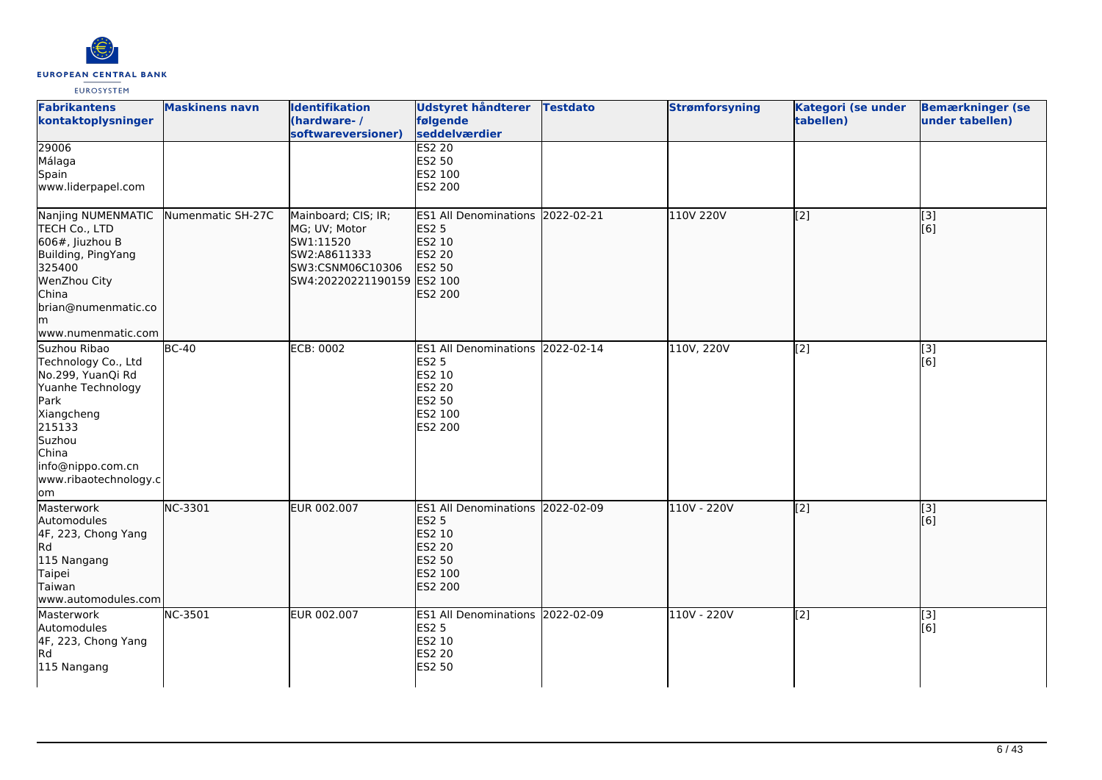

| <b>Fabrikantens</b><br>kontaktoplysninger                                                                                                                                                   | <b>Maskinens navn</b> | <b>Identifikation</b><br>(hardware-/<br>softwareversioner)                                                          | <b>Udstyret håndterer</b><br>følgende<br>seddelværdier                                                      | <b>Testdato</b> | <b>Strømforsyning</b> | Kategori (se under<br>tabellen) | <b>Bemærkninger (se</b><br>under tabellen) |
|---------------------------------------------------------------------------------------------------------------------------------------------------------------------------------------------|-----------------------|---------------------------------------------------------------------------------------------------------------------|-------------------------------------------------------------------------------------------------------------|-----------------|-----------------------|---------------------------------|--------------------------------------------|
| 29006<br>Málaga<br>Spain<br>www.liderpapel.com                                                                                                                                              |                       |                                                                                                                     | ES2 20<br>ES2 50<br>ES2 100<br>ES2 200                                                                      |                 |                       |                                 |                                            |
| Nanjing NUMENMATIC<br>TECH Co., LTD<br>$606$ #, Jiuzhou B<br>Building, PingYang<br>325400<br>WenZhou City<br>China<br>brian@numenmatic.co<br>lm.<br>www.numenmatic.com                      | Numenmatic SH-27C     | Mainboard; CIS; IR;<br>MG; UV; Motor<br>SW1:11520<br>SW2:A8611333<br>SW3:CSNM06C10306<br>SW4:20220221190159 ES2 100 | ES1 All Denominations 2022-02-21<br><b>ES2 5</b><br>ES2 10<br>ES2 20<br><b>ES2 50</b><br>ES2 200            |                 | 110V 220V             | [2]                             | [3]<br>[6]                                 |
| Suzhou Ribao<br>Technology Co., Ltd<br>No.299, YuanQi Rd<br>Yuanhe Technology<br>Park<br>Xiangcheng<br>215133<br>Suzhou<br>China<br>info@nippo.com.cn<br>www.ribaotechnology.c<br><b>om</b> | $BC-40$               | <b>ECB: 0002</b>                                                                                                    | ES1 All Denominations 2022-02-14<br><b>ES2 5</b><br>ES2 10<br>ES2 20<br>ES2 50<br>ES2 100<br>ES2 200        |                 | 110V, 220V            | [2]                             | $[3]$<br>[6]                               |
| Masterwork<br>Automodules<br>4F, 223, Chong Yang<br>Rd<br>115 Nangang<br>Taipei<br>Taiwan<br>www.automodules.com                                                                            | NC-3301               | EUR 002.007                                                                                                         | ES1 All Denominations 2022-02-09<br><b>ES2 5</b><br>ES2 10<br>ES2 20<br>ES2 50<br>ES2 100<br><b>ES2 200</b> |                 | 110V - 220V           | [2]                             | [3]<br>[6]                                 |
| Masterwork<br>Automodules<br>4F, 223, Chong Yang<br>R <sub>d</sub><br>115 Nangang                                                                                                           | NC-3501               | EUR 002.007                                                                                                         | ES1 All Denominations 2022-02-09<br><b>ES2 5</b><br>ES2 10<br><b>ES2 20</b><br>ES2 50                       |                 | 110V - 220V           | [2]                             | [3]<br>[6]                                 |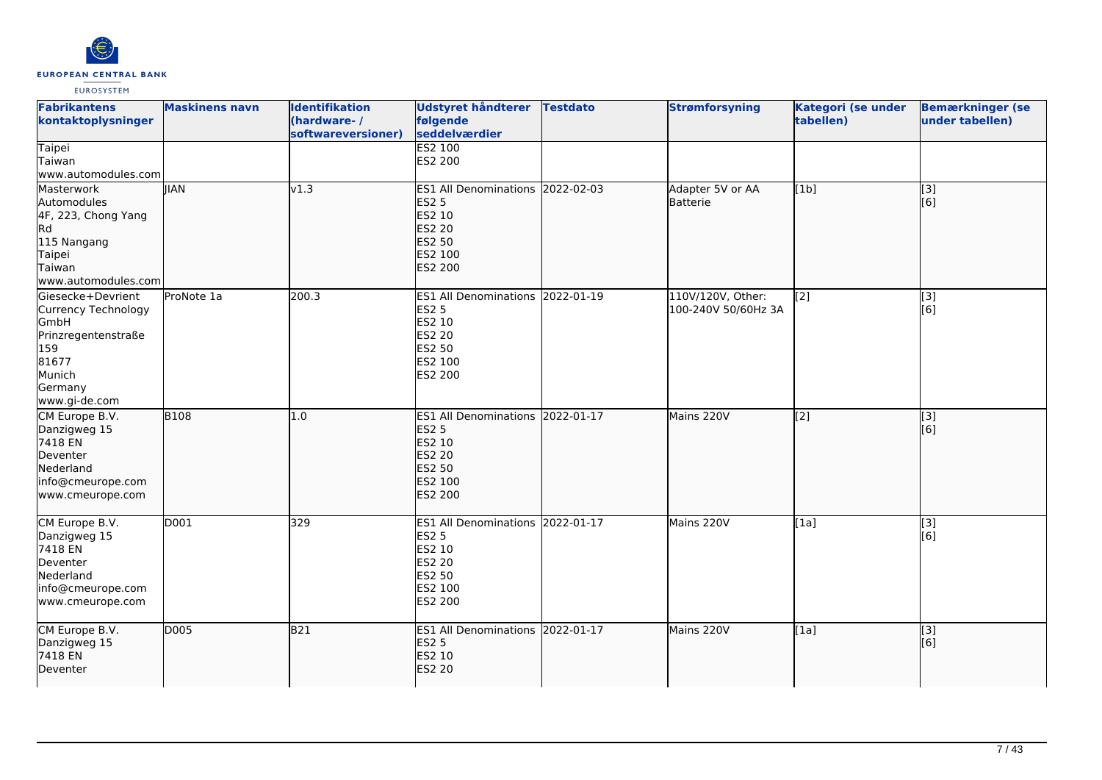

| <b>Fabrikantens</b><br>kontaktoplysninger                                                                                     | <b>Maskinens navn</b> | <b>Identifikation</b><br>(hardware-/<br>softwareversioner) | Udstyret håndterer<br>følgende<br>seddelværdier                                                             | <b>Testdato</b> | <b>Strømforsyning</b>                    | Kategori (se under<br>tabellen) | <b>Bemærkninger (se</b><br>under tabellen) |
|-------------------------------------------------------------------------------------------------------------------------------|-----------------------|------------------------------------------------------------|-------------------------------------------------------------------------------------------------------------|-----------------|------------------------------------------|---------------------------------|--------------------------------------------|
| Taipei<br>Taiwan<br>www.automodules.com                                                                                       |                       |                                                            | <b>ES2 100</b><br>ES2 200                                                                                   |                 |                                          |                                 |                                            |
| Masterwork<br>Automodules<br>4F, 223, Chong Yang<br>Rd<br>115 Nangang<br>Taipei<br>Taiwan<br>www.automodules.com              | <b>IIAN</b>           | v1.3                                                       | ES1 All Denominations 2022-02-03<br><b>ES2 5</b><br>ES2 10<br>ES2 20<br>ES2 50<br>ES2 100<br><b>ES2 200</b> |                 | Adapter 5V or AA<br>Batterie             | [1b]                            | [3]<br>[6]                                 |
| Giesecke+Devrient<br>Currency Technology<br>GmbH<br>Prinzregentenstraße<br>159<br>81677<br>Munich<br>Germany<br>www.gi-de.com | ProNote 1a            | 200.3                                                      | ES1 All Denominations 2022-01-19<br>ES2 5<br>ES2 10<br>ES2 20<br>ES2 50<br>ES2 100<br>ES2 200               |                 | 110V/120V, Other:<br>100-240V 50/60Hz 3A | $\overline{[2]}$                | $\overline{[}3]$<br>[6]                    |
| CM Europe B.V.<br>Danzigweg 15<br>7418 EN<br>Deventer<br>Nederland<br>info@cmeurope.com<br>www.cmeurope.com                   | <b>B108</b>           | 1.0                                                        | ES1 All Denominations 2022-01-17<br><b>ES2 5</b><br>ES2 10<br>ES2 20<br>ES2 50<br>ES2 100<br><b>ES2 200</b> |                 | Mains 220V                               | $\overline{[2]}$                | $\vert$ [3]<br>[6]                         |
| CM Europe B.V.<br>Danzigweg 15<br>7418 EN<br>Deventer<br>Nederland<br>info@cmeurope.com<br>www.cmeurope.com                   | D001                  | 329                                                        | ES1 All Denominations 2022-01-17<br><b>ES2 5</b><br>ES2 10<br>ES2 20<br>ES2 50<br>ES2 100<br>ES2 200        |                 | Mains 220V                               | [1a]                            | [3]<br>[6]                                 |
| CM Europe B.V.<br>Danzigweg 15<br>7418 EN<br>Deventer                                                                         | D005                  | <b>B21</b>                                                 | ES1 All Denominations 2022-01-17<br><b>ES2 5</b><br><b>ES2 10</b><br><b>ES2 20</b>                          |                 | Mains 220V                               | [1a]                            | $\vert$ [3]<br>[6]                         |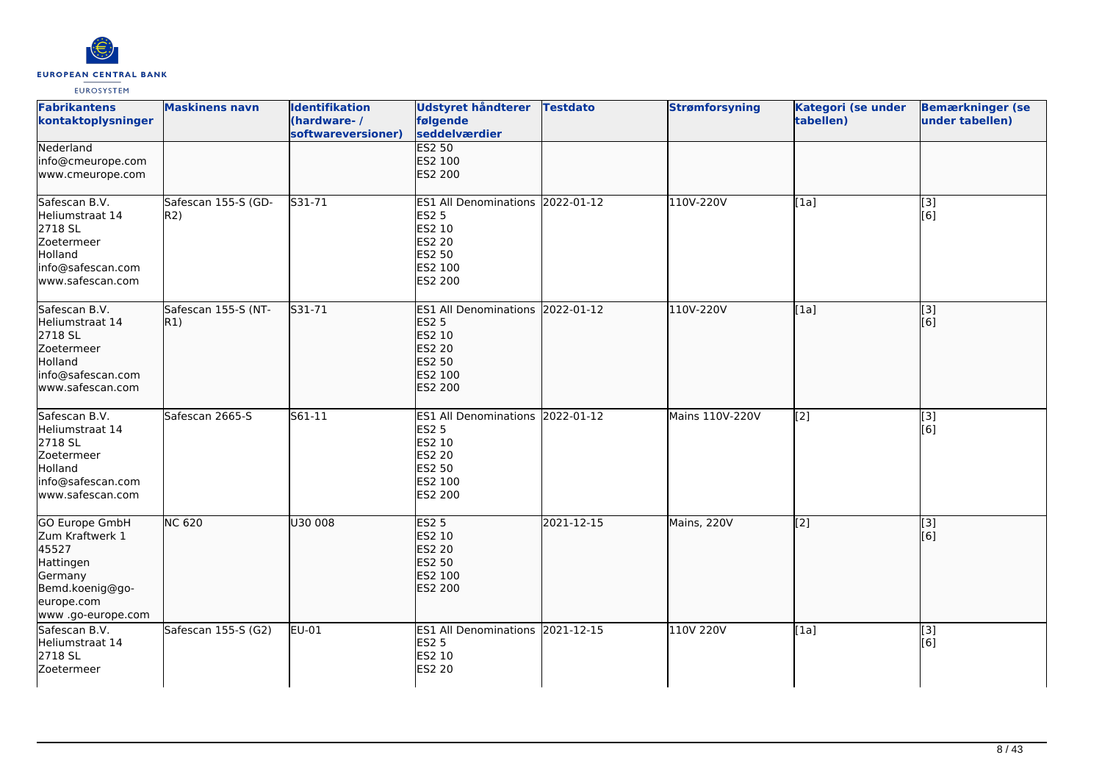

| <b>Fabrikantens</b><br>kontaktoplysninger                                                                                       | <b>Maskinens navn</b>      | <b>Identifikation</b><br>(hardware-/<br>softwareversioner) | <b>Udstyret håndterer</b><br>følgende<br>seddelværdier                                                      | <b>Testdato</b> | <b>Strømforsyning</b> | Kategori (se under<br>tabellen) | <b>Bemærkninger (se</b><br>under tabellen) |
|---------------------------------------------------------------------------------------------------------------------------------|----------------------------|------------------------------------------------------------|-------------------------------------------------------------------------------------------------------------|-----------------|-----------------------|---------------------------------|--------------------------------------------|
| Nederland<br>info@cmeurope.com<br>www.cmeurope.com                                                                              |                            |                                                            | <b>ES2 50</b><br>ES2 100<br><b>ES2 200</b>                                                                  |                 |                       |                                 |                                            |
| Safescan B.V.<br>Heliumstraat 14<br>2718 SL<br>Zoetermeer<br>Holland<br>info@safescan.com<br>www.safescan.com                   | Safescan 155-S (GD-<br>R2) | S31-71                                                     | ES1 All Denominations 2022-01-12<br><b>ES2 5</b><br>ES2 10<br>ES2 20<br>ES2 50<br>ES2 100<br>ES2 200        |                 | 110V-220V             | [1a]                            | [3]<br>[6]                                 |
| Safescan B.V.<br>Heliumstraat 14<br>2718 SL<br>Zoetermeer<br>Holland<br>info@safescan.com<br>www.safescan.com                   | Safescan 155-S (NT-<br>R1) | S31-71                                                     | ES1 All Denominations 2022-01-12<br><b>ES2 5</b><br>ES2 10<br>ES2 20<br>ES2 50<br>ES2 100<br><b>ES2 200</b> |                 | 110V-220V             | [1a]                            | [3]<br>[6]                                 |
| Safescan B.V.<br>Heliumstraat 14<br>2718 SL<br>Zoetermeer<br>Holland<br>info@safescan.com<br>www.safescan.com                   | Safescan 2665-S            | S61-11                                                     | ES1 All Denominations 2022-01-12<br><b>ES2 5</b><br>ES2 10<br>ES2 20<br>ES2 50<br>ES2 100<br>ES2 200        |                 | Mains 110V-220V       | [2]                             | [3]<br>[6]                                 |
| <b>GO Europe GmbH</b><br>Zum Kraftwerk 1<br>45527<br>Hattingen<br>Germany<br>Bemd.koenig@go-<br>europe.com<br>www.go-europe.com | <b>NC 620</b>              | U30 008                                                    | <b>ES2 5</b><br>ES2 10<br>ES2 20<br><b>ES2 50</b><br>ES2 100<br>ES2 200                                     | 2021-12-15      | Mains, 220V           | [2]                             | $\overline{[}$ [3]<br>[6]                  |
| Safescan B.V.<br>Heliumstraat 14<br>2718 SL<br>Zoetermeer                                                                       | Safescan 155-S (G2)        | EU-01                                                      | ES1 All Denominations 2021-12-15<br><b>ES2 5</b><br>ES2 10<br><b>ES2 20</b>                                 |                 | 110V 220V             | [1a]                            | $[3]$<br>[6]                               |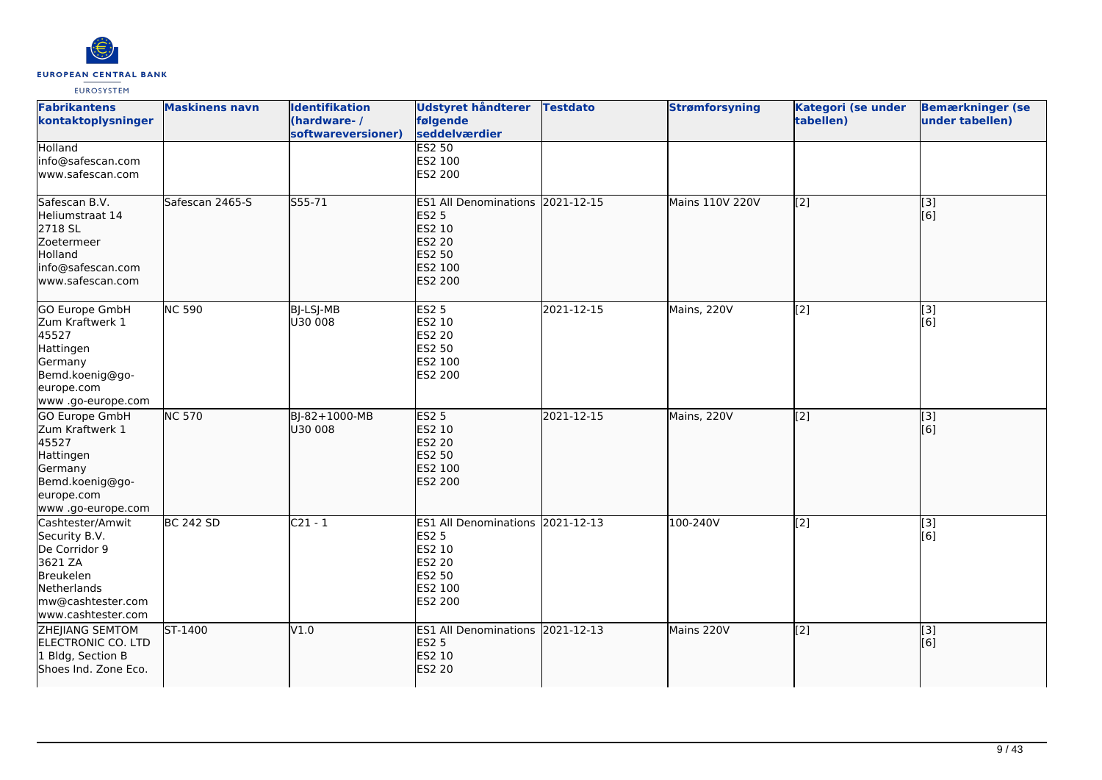

| <b>Fabrikantens</b><br>kontaktoplysninger                                                                                            | <b>Maskinens navn</b> | <b>Identifikation</b><br>(hardware-/<br>softwareversioner) | <b>Udstyret håndterer</b><br>følgende<br>seddelværdier                                                                    | <b>Testdato</b> | <b>Strømforsyning</b> | Kategori (se under<br>tabellen) | <b>Bemærkninger (se</b><br>under tabellen) |
|--------------------------------------------------------------------------------------------------------------------------------------|-----------------------|------------------------------------------------------------|---------------------------------------------------------------------------------------------------------------------------|-----------------|-----------------------|---------------------------------|--------------------------------------------|
| Holland<br>info@safescan.com<br>www.safescan.com                                                                                     |                       |                                                            | ES2 50<br>ES2 100<br>ES2 200                                                                                              |                 |                       |                                 |                                            |
| Safescan B.V.<br>Heliumstraat 14<br>2718 SL<br>Zoetermeer<br>Holland<br>info@safescan.com<br>www.safescan.com                        | Safescan 2465-S       | S55-71                                                     | ES1 All Denominations 2021-12-15<br><b>ES2 5</b><br>ES2 10<br><b>ES2 20</b><br><b>ES2 50</b><br>ES2 100<br><b>ES2 200</b> |                 | Mains 110V 220V       | [2]                             | $\overline{[}3]$<br>[6]                    |
| GO Europe GmbH<br>Zum Kraftwerk 1<br>45527<br>Hattingen<br>Germany<br>Bemd.koenig@go-<br>europe.com<br>www.go-europe.com             | <b>NC 590</b>         | BJ-LSJ-MB<br>U30 008                                       | <b>ES2 5</b><br>ES2 10<br>ES2 20<br>ES2 50<br>ES2 100<br>ES2 200                                                          | 2021-12-15      | Mains, 220V           | [2]                             | [3]<br>[6]                                 |
| GO Europe GmbH<br>Zum Kraftwerk 1<br>45527<br>Hattingen<br>Germany<br>Bemd.koenig@go-<br>europe.com<br>www .go-europe.com            | <b>NC 570</b>         | BJ-82+1000-MB<br>U30 008                                   | <b>ES2 5</b><br>ES2 10<br><b>ES2 20</b><br><b>ES2 50</b><br>ES2 100<br><b>ES2 200</b>                                     | 2021-12-15      | Mains, 220V           | [2]                             | [3]<br>[6]                                 |
| Cashtester/Amwit<br>Security B.V.<br>De Corridor 9<br>3621 ZA<br>Breukelen<br>Netherlands<br>mw@cashtester.com<br>www.cashtester.com | <b>BC 242 SD</b>      | $C21 - 1$                                                  | ES1 All Denominations 2021-12-13<br><b>ES2 5</b><br>ES2 10<br>ES2 20<br>ES2 50<br>ES2 100<br>ES2 200                      |                 | 100-240V              | [2]                             | $\overline{[3]}$<br>[6]                    |
| ZHEJIANG SEMTOM<br>ELECTRONIC CO. LTD<br>1 Bldg, Section B<br>Shoes Ind. Zone Eco.                                                   | $5T-1400$             | V1.0                                                       | ES1 All Denominations 2021-12-13<br><b>ES2 5</b><br>ES2 10<br><b>ES2 20</b>                                               |                 | Mains 220V            | [2]                             | [3]<br>[6]                                 |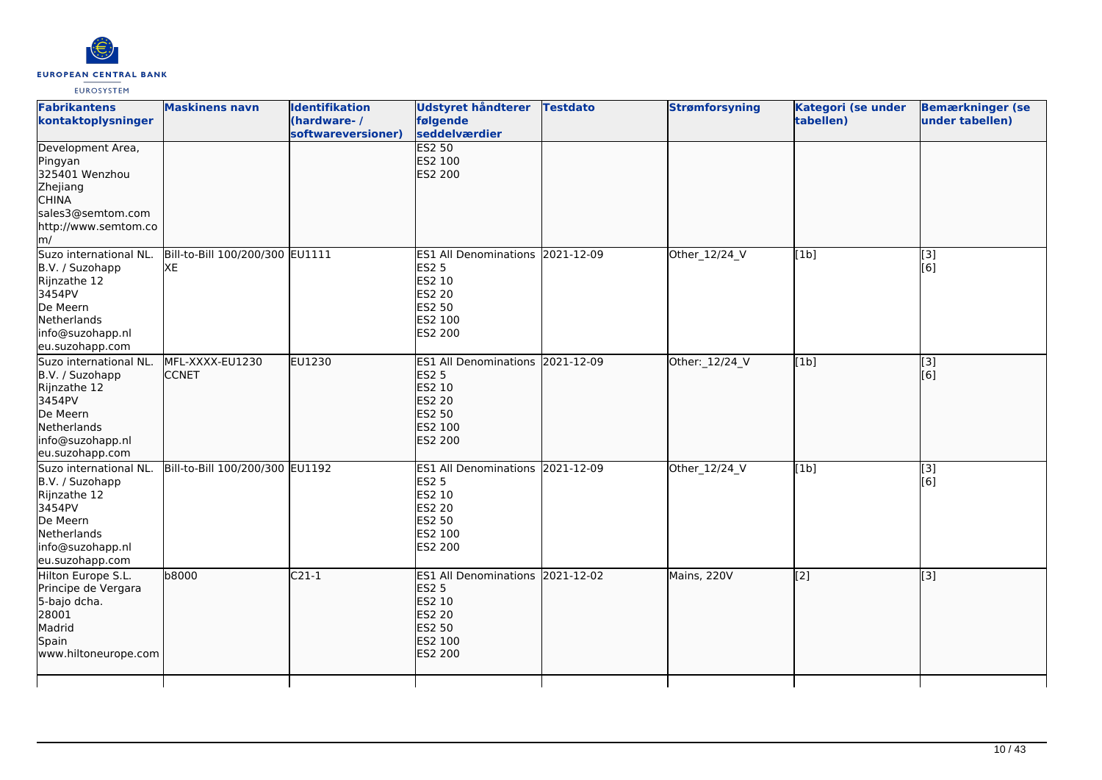

| <b>Fabrikantens</b><br>kontaktoplysninger                                                                                             | <b>Maskinens navn</b>                 | <b>Identifikation</b><br>(hardware-/<br>softwareversioner) | Udstyret håndterer<br>følgende<br>seddelværdier                                                                    | <b>Testdato</b> | <b>Strømforsyning</b> | <b>Kategori (se under</b><br>tabellen) | <b>Bemærkninger (se</b><br>under tabellen) |
|---------------------------------------------------------------------------------------------------------------------------------------|---------------------------------------|------------------------------------------------------------|--------------------------------------------------------------------------------------------------------------------|-----------------|-----------------------|----------------------------------------|--------------------------------------------|
| Development Area,<br>Pingyan<br>325401 Wenzhou<br>Zhejiang<br><b>CHINA</b><br>sales3@semtom.com<br>http://www.semtom.co<br>m/         |                                       |                                                            | <b>ES2 50</b><br>ES2 100<br>ES2 200                                                                                |                 |                       |                                        |                                            |
| Suzo international NL.<br>B.V. / Suzohapp<br>Rijnzathe 12<br>3454PV<br>De Meern<br>Netherlands<br>info@suzohapp.nl<br>eu.suzohapp.com | Bill-to-Bill 100/200/300 EU1111<br>XE |                                                            | ES1 All Denominations 2021-12-09<br><b>ES2 5</b><br>ES2 10<br><b>ES2 20</b><br>ES2 50<br>ES2 100<br>ES2 200        |                 | Other_12/24_V         | [1b]                                   | $\overline{[3]}$<br>[6]                    |
| Suzo international NL.<br>B.V. / Suzohapp<br>Rijnzathe 12<br>3454PV<br>De Meern<br>Netherlands<br>info@suzohapp.nl<br>eu.suzohapp.com | MFL-XXXX-EU1230<br><b>CCNET</b>       | EU1230                                                     | <b>ES1 All Denominations</b><br><b>ES2 5</b><br>ES2 10<br><b>ES2 20</b><br><b>ES2 50</b><br>ES2 100<br>ES2 200     | 2021-12-09      | Other: 12/24_V        | [1b]                                   | [3]<br>[6]                                 |
| Suzo international NL.<br>B.V. / Suzohapp<br>Rijnzathe 12<br>3454PV<br>De Meern<br>Netherlands<br>info@suzohapp.nl<br>eu.suzohapp.com | Bill-to-Bill 100/200/300 EU1192       |                                                            | ES1 All Denominations 2021-12-09<br><b>ES2 5</b><br>ES2 10<br><b>ES2 20</b><br>ES2 50<br>ES2 100<br>ES2 200        |                 | Other_12/24_V         | [1b]                                   | [3]<br>[6]                                 |
| Hilton Europe S.L.<br>Principe de Vergara<br>5-bajo dcha.<br>28001<br>Madrid<br>Spain<br>www.hiltoneurope.com                         | b8000                                 | $C21-1$                                                    | ES1 All Denominations 2021-12-02<br><b>ES2 5</b><br>ES2 10<br><b>ES2 20</b><br><b>ES2 50</b><br>ES2 100<br>ES2 200 |                 | Mains, 220V           | $\overline{[2]}$                       | [3]                                        |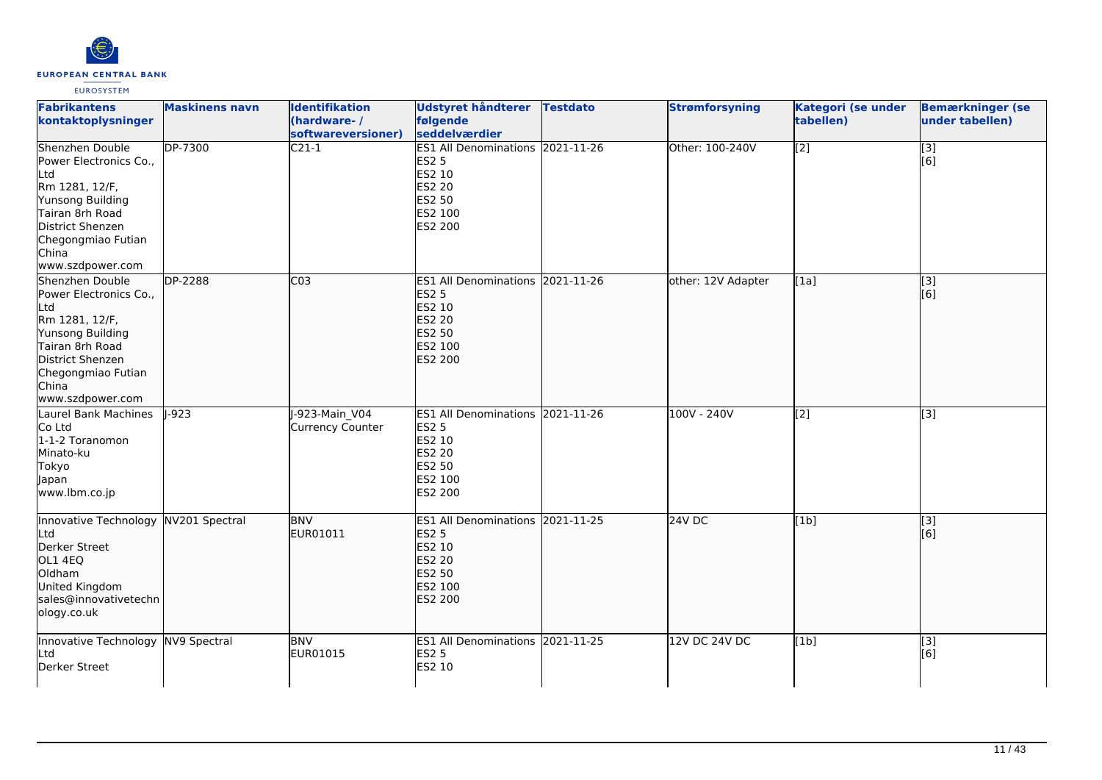

| <b>Fabrikantens</b><br>kontaktoplysninger                                                                                                                                        | <b>Maskinens navn</b> | <b>Identifikation</b><br>(hardware-/<br>softwareversioner) | Udstyret håndterer<br>følgende<br>seddelværdier                                                                                  | <b>Testdato</b> | <b>Strømforsyning</b> | Kategori (se under<br>tabellen) | <b>Bemærkninger (se</b><br>under tabellen) |
|----------------------------------------------------------------------------------------------------------------------------------------------------------------------------------|-----------------------|------------------------------------------------------------|----------------------------------------------------------------------------------------------------------------------------------|-----------------|-----------------------|---------------------------------|--------------------------------------------|
| Shenzhen Double<br>Power Electronics Co.,<br>Ltd<br>Rm 1281, 12/F,<br>Yunsong Building<br>Tairan 8rh Road<br>District Shenzen<br>Chegongmiao Futian<br>China<br>www.szdpower.com | DP-7300               | $\overline{C21-1}$                                         | ES1 All Denominations 2021-11-26<br><b>ES2 5</b><br>ES2 10<br>ES2 20<br>ES2 50<br>ES2 100<br>ES2 200                             |                 | Other: 100-240V       | $\overline{[2]}$                | $\overline{[}3]$<br>[6]                    |
| Shenzhen Double<br>Power Electronics Co.,<br>Ltd<br>Rm 1281, 12/F,<br>Yunsong Building<br>Tairan 8rh Road<br>District Shenzen<br>Chegongmiao Futian<br>China<br>www.szdpower.com | DP-2288               | CO <sub>3</sub>                                            | ES1 All Denominations 2021-11-26<br><b>ES2 5</b><br>ES2 10<br><b>ES2 20</b><br>ES2 50<br>ES2 100<br>ES2 200                      |                 | other: 12V Adapter    | [1a]                            | $\overline{[}3]$<br>[6]                    |
| Laurel Bank Machines<br>Co Ltd<br>1-1-2 Toranomon<br>Minato-ku<br>Tokyo<br>Japan<br>www.lbm.co.jp                                                                                | $1-923$               | -923-Main V04<br><b>Currency Counter</b>                   | ES1 All Denominations 2021-11-26<br><b>ES2 5</b><br>ES2 10<br>ES2 20<br>ES2 50<br>ES2 100<br>ES2 200                             |                 | 100V - 240V           | [2]                             | [3]                                        |
| Innovative Technology<br>Ltd<br>Derker Street<br>OL1 4EQ<br>Oldham<br>United Kingdom<br>sales@innovativetechn<br>ology.co.uk                                                     | NV201 Spectral        | <b>BNV</b><br>EUR01011                                     | ES1 All Denominations 2021-11-25<br><b>ES2 5</b><br><b>ES2 10</b><br><b>ES2 20</b><br><b>ES2 50</b><br>ES2 100<br><b>ES2 200</b> |                 | $24V$ DC              | [1b]                            | $\vert$ [3]<br>[6]                         |
| Innovative Technology NV9 Spectral<br>Ltd<br>Derker Street                                                                                                                       |                       | <b>BNV</b><br>EUR01015                                     | ES1 All Denominations 2021-11-25<br><b>ES2 5</b><br>ES2 10                                                                       |                 | 12V DC 24V DC         | [1b]                            | [3]<br>[6]                                 |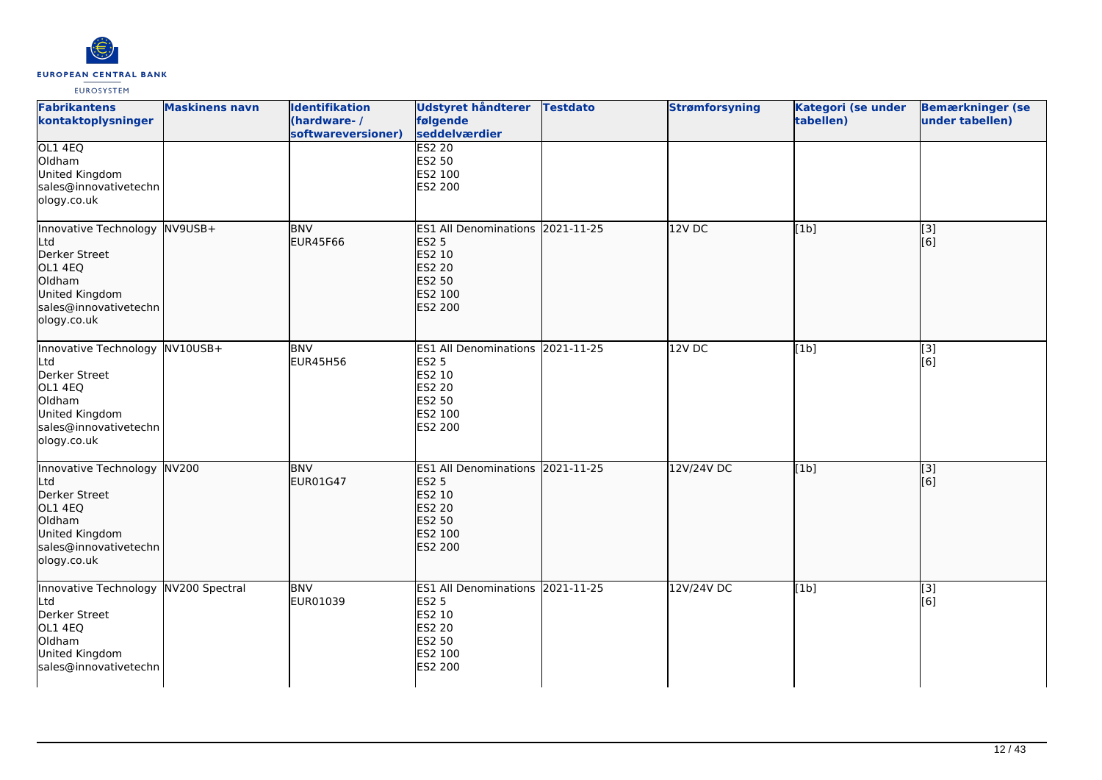

| <b>Fabrikantens</b><br>kontaktoplysninger                                                                                             | <b>Maskinens navn</b> | <b>Identifikation</b><br>(hardware-/<br>softwareversioner) | Udstyret håndterer<br>følgende<br>seddelværdier                                                                    | <b>Testdato</b> | <b>Strømforsyning</b> | Kategori (se under<br>tabellen) | <b>Bemærkninger (se</b><br>under tabellen) |
|---------------------------------------------------------------------------------------------------------------------------------------|-----------------------|------------------------------------------------------------|--------------------------------------------------------------------------------------------------------------------|-----------------|-----------------------|---------------------------------|--------------------------------------------|
| OL1 4EQ<br>Oldham<br>United Kingdom<br>sales@innovativetechn<br>ology.co.uk                                                           |                       |                                                            | <b>ES2 20</b><br>ES2 50<br>ES2 100<br>ES2 200                                                                      |                 |                       |                                 |                                            |
| Innovative Technology NV9USB+<br>Ltd<br>Derker Street<br>OL1 4EQ<br>Oldham<br>United Kingdom<br>sales@innovativetechn<br>ology.co.uk  |                       | <b>BNV</b><br><b>EUR45F66</b>                              | ES1 All Denominations 2021-11-25<br><b>ES2 5</b><br>ES2 10<br><b>ES2 20</b><br>ES2 50<br>ES2 100<br>ES2 200        |                 | 12V DC                | [1b]                            | [3]<br>[6]                                 |
| Innovative Technology NV10USB+<br>Ltd<br>Derker Street<br>OL1 4EQ<br>Oldham<br>United Kingdom<br>sales@innovativetechn<br>ology.co.uk |                       | <b>BNV</b><br><b>EUR45H56</b>                              | ES1 All Denominations 2021-11-25<br><b>ES2 5</b><br>ES2 10<br>ES2 20<br>ES2 50<br>ES2 100<br>ES2 200               |                 | 12V DC                | [1b]                            | $[3]$<br>[6]                               |
| Innovative Technology NV200<br>Ltd<br>Derker Street<br>OL1 4EQ<br>Oldham<br>United Kingdom<br>sales@innovativetechn<br>ology.co.uk    |                       | <b>BNV</b><br>EUR01G47                                     | ES1 All Denominations 2021-11-25<br><b>ES2 5</b><br>ES2 10<br><b>ES2 20</b><br>ES2 50<br>ES2 100<br><b>ES2 200</b> |                 | 12V/24V DC            | [1b]                            | $\overline{[}3]$<br>[6]                    |
| Innovative Technology NV200 Spectral<br>Ltd<br>Derker Street<br>OL1 4EQ<br>Oldham<br>United Kingdom<br>sales@innovativetechn          |                       | <b>BNV</b><br>EUR01039                                     | ES1 All Denominations 2021-11-25<br><b>ES2 5</b><br>ES2 10<br>ES2 20<br>ES2 50<br>ES2 100<br>ES2 200               |                 | 12V/24V DC            | [1b]                            | [3]<br>[6]                                 |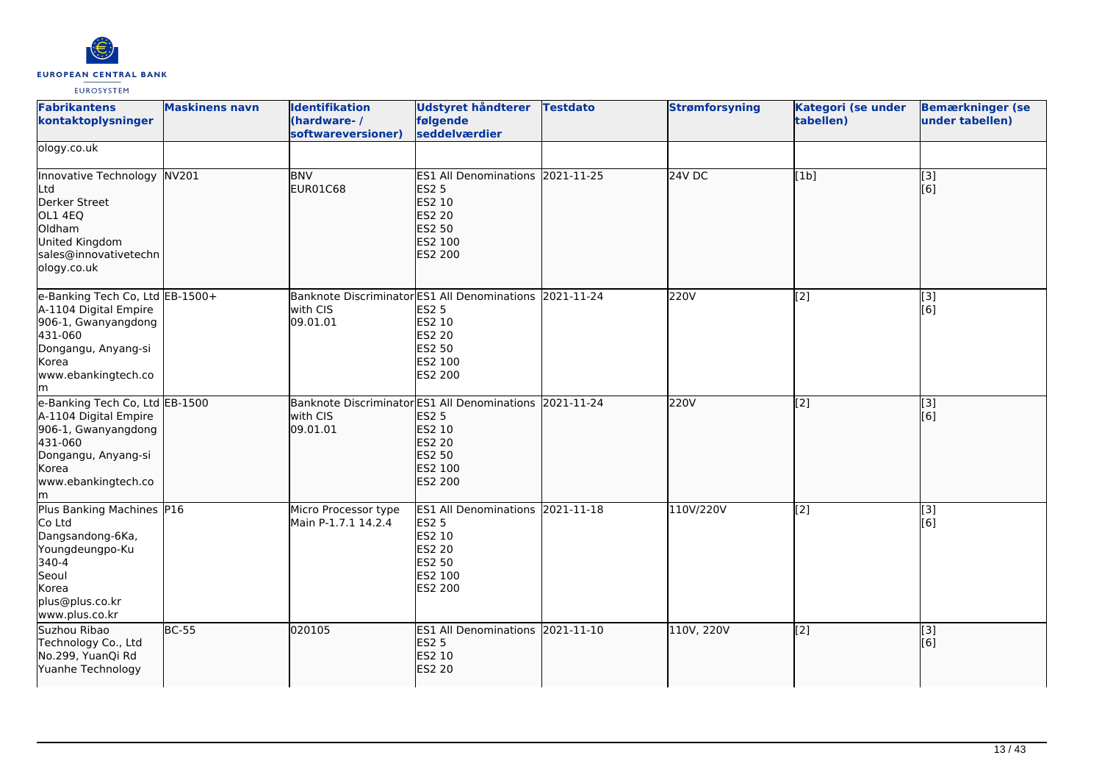

| <b>Fabrikantens</b><br>kontaktoplysninger                                                                                                               | <b>Maskinens navn</b> | <b>Identifikation</b><br>(hardware-/<br>softwareversioner)                      | Udstyret håndterer<br>følgende<br>seddelværdier                                                             | <b>Testdato</b> | <b>Strømforsyning</b> | Kategori (se under<br>tabellen) | <b>Bemærkninger (se</b><br>under tabellen) |
|---------------------------------------------------------------------------------------------------------------------------------------------------------|-----------------------|---------------------------------------------------------------------------------|-------------------------------------------------------------------------------------------------------------|-----------------|-----------------------|---------------------------------|--------------------------------------------|
| ology.co.uk                                                                                                                                             |                       |                                                                                 |                                                                                                             |                 |                       |                                 |                                            |
| Innovative Technology NV201<br>Ltd<br>Derker Street<br>OL1 4EQ<br>Oldham<br>United Kingdom<br>sales@innovativetechn<br>ology.co.uk                      |                       | <b>BNV</b><br>EUR01C68                                                          | ES1 All Denominations 2021-11-25<br>ES2 5<br>ES2 10<br><b>ES2 20</b><br>ES2 50<br>ES2 100<br>ES2 200        |                 | 24V DC                | [1b]                            | [3]<br>[6]                                 |
| e-Banking Tech Co, Ltd EB-1500+<br>A-1104 Digital Empire<br>906-1, Gwanyangdong<br>431-060<br>Dongangu, Anyang-si<br>Korea<br>www.ebankingtech.co<br>lm |                       | Banknote Discriminator ES1 All Denominations 2021-11-24<br>with CIS<br>09.01.01 | <b>ES2 5</b><br><b>ES2 10</b><br><b>ES2 20</b><br>ES2 50<br>ES2 100<br>ES2 200                              |                 | 220V                  | [2]                             | [3]<br>[6]                                 |
| e-Banking Tech Co, Ltd EB-1500<br>A-1104 Digital Empire<br>906-1, Gwanyangdong<br>431-060<br>Dongangu, Anyang-si<br>Korea<br>www.ebankingtech.co<br>lm. |                       | Banknote Discriminator ES1 All Denominations 2021-11-24<br>with CIS<br>09.01.01 | <b>ES2 5</b><br><b>ES2 10</b><br>ES2 20<br><b>ES2 50</b><br>ES2 100<br>ES2 200                              |                 | 220V                  | $\overline{[2]}$                | $\overline{[3]}$<br>[6]                    |
| Plus Banking Machines P16<br>Co Ltd<br>Dangsandong-6Ka,<br>Youngdeungpo-Ku<br>340-4<br>Seoul<br>Korea<br>plus@plus.co.kr<br>www.plus.co.kr              |                       | Micro Processor type<br>Main P-1.7.1 14.2.4                                     | ES1 All Denominations 2021-11-18<br><b>ES2 5</b><br>ES2 10<br><b>ES2 20</b><br>ES2 50<br>ES2 100<br>ES2 200 |                 | 110V/220V             | [2]                             | [3]<br>[6]                                 |
| Suzhou Ribao<br>Technology Co., Ltd<br>No.299, YuanQi Rd<br>Yuanhe Technology                                                                           | <b>BC-55</b>          | 020105                                                                          | ES1 All Denominations 2021-11-10<br><b>ES2 5</b><br>ES2 10<br><b>ES2 20</b>                                 |                 | 110V, 220V            | [2]                             | [3]<br>[6]                                 |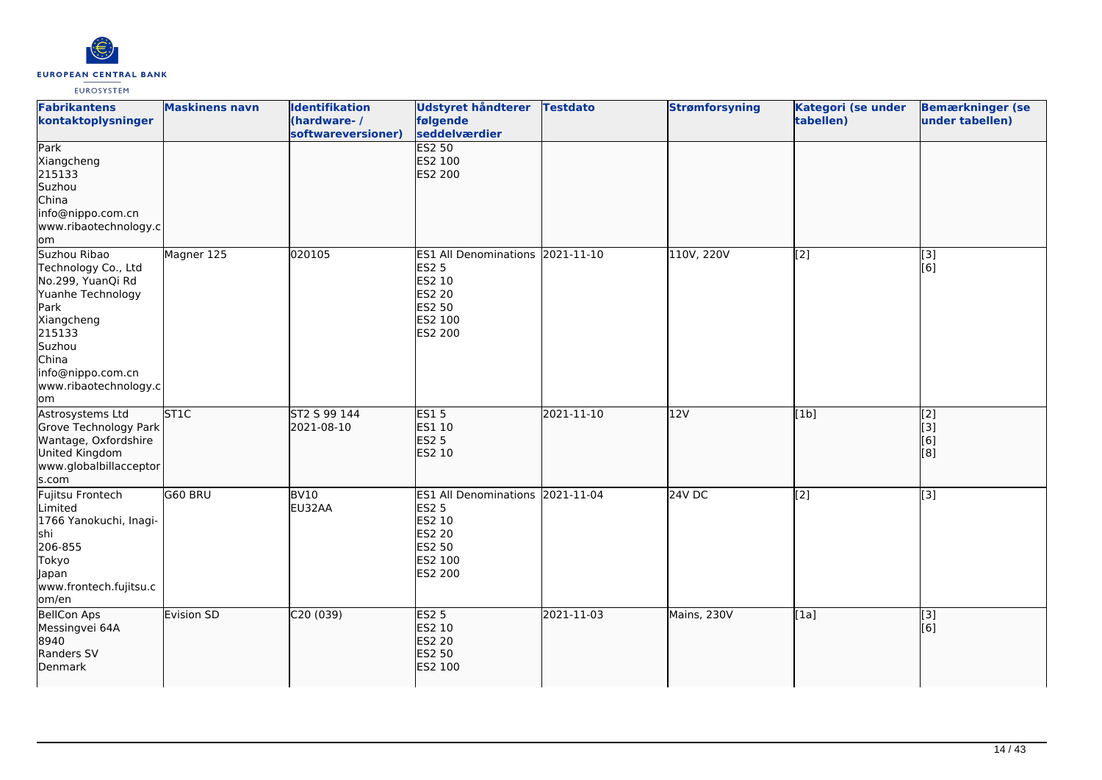

| <b>Fabrikantens</b><br>kontaktoplysninger                                                                                                                                             | <b>Maskinens navn</b> | <b>Identifikation</b><br>(hardware-/<br>softwareversioner) | Udstyret håndterer<br>følgende<br>seddelværdier                                                                    | <b>Testdato</b> | <b>Strømforsyning</b> | Kategori (se under<br>tabellen) | <b>Bemærkninger (se</b><br>under tabellen) |
|---------------------------------------------------------------------------------------------------------------------------------------------------------------------------------------|-----------------------|------------------------------------------------------------|--------------------------------------------------------------------------------------------------------------------|-----------------|-----------------------|---------------------------------|--------------------------------------------|
| Park<br>Xiangcheng<br>215133<br>Suzhou<br>China<br>info@nippo.com.cn<br>www.ribaotechnology.c<br>om                                                                                   |                       |                                                            | <b>ES2 50</b><br>ES2 100<br><b>ES2 200</b>                                                                         |                 |                       |                                 |                                            |
| Suzhou Ribao<br>Technology Co., Ltd<br>No.299, YuanQi Rd<br>Yuanhe Technology<br>Park<br>Xiangcheng<br>215133<br>Suzhou<br>China<br>info@nippo.com.cn<br>www.ribaotechnology.c<br>lom | Magner 125            | 020105                                                     | ES1 All Denominations 2021-11-10<br><b>ES2 5</b><br>ES2 10<br><b>ES2 20</b><br><b>ES2 50</b><br>ES2 100<br>ES2 200 |                 | 110V, 220V            | [2]                             | $\boxed{3}$<br>[6]                         |
| Astrosystems Ltd<br>Grove Technology Park<br>Wantage, Oxfordshire<br>United Kingdom<br>www.globalbillacceptor<br>s.com                                                                | <b>ST1C</b>           | ST2 S 99 144<br>2021-08-10                                 | <b>ES15</b><br>ES1 10<br><b>ES2 5</b><br>ES2 10                                                                    | 2021-11-10      | 12V                   | [1b]                            | $\overline{[2]}$<br>[3]<br>[6]<br>[8]      |
| Fujitsu Frontech<br>Limited<br>1766 Yanokuchi, Inagi-<br>shi<br>206-855<br>Tokyo<br>Japan<br>www.frontech.fujitsu.c<br>om/en                                                          | G60 BRU               | BV10<br>EU32AA                                             | <b>ES1 All Denominations</b><br><b>ES2 5</b><br>ES2 10<br><b>ES2 20</b><br><b>ES2 50</b><br>ES2 100<br>ES2 200     | 2021-11-04      | 24V DC                | [2]                             | [3]                                        |
| <b>BellCon Aps</b><br>Messingvei 64A<br>8940<br>Randers SV<br>Denmark                                                                                                                 | Evision SD            | C20(039)                                                   | <b>ES2 5</b><br>ES2 10<br><b>ES2 20</b><br><b>ES2 50</b><br>ES2 100                                                | 2021-11-03      | Mains, 230V           | [1a]                            | $\overline{[3]}$<br>[6]                    |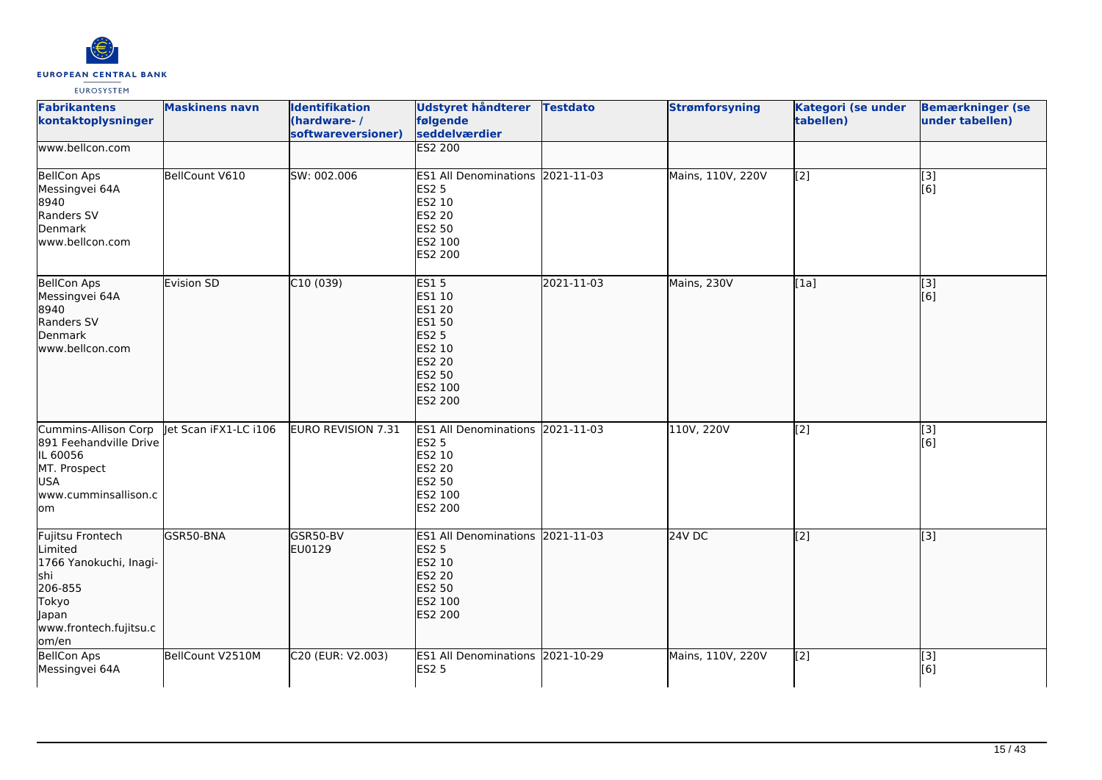

| <b>Fabrikantens</b><br>kontaktoplysninger<br>www.bellcon.com                                                                  | <b>Maskinens navn</b> | <b>Identifikation</b><br>(hardware-/<br>softwareversioner) | <b>Udstyret håndterer</b><br>følgende<br>seddelværdier<br><b>ES2 200</b>                                             | <b>Testdato</b> | <b>Strømforsyning</b> | Kategori (se under<br>tabellen) | <b>Bemærkninger (se</b><br>under tabellen) |
|-------------------------------------------------------------------------------------------------------------------------------|-----------------------|------------------------------------------------------------|----------------------------------------------------------------------------------------------------------------------|-----------------|-----------------------|---------------------------------|--------------------------------------------|
|                                                                                                                               |                       |                                                            |                                                                                                                      |                 |                       |                                 |                                            |
| <b>BellCon Aps</b><br>Messingvei 64A<br>8940<br>Randers SV<br>Denmark<br>www.bellcon.com                                      | BellCount V610        | SW: 002.006                                                | ES1 All Denominations 2021-11-03<br><b>ES2 5</b><br>ES2 10<br>ES2 20<br><b>ES2 50</b><br>ES2 100<br>ES2 200          |                 | Mains, 110V, 220V     | $\overline{[2]}$                | [3]<br>[6]                                 |
| <b>BellCon Aps</b><br>Messingvei 64A<br>8940<br>Randers SV<br>Denmark<br>www.bellcon.com                                      | <b>Evision SD</b>     | C10(039)                                                   | <b>ES15</b><br>ES1 10<br>ES1 20<br>ES1 50<br><b>ES2 5</b><br>ES2 10<br><b>ES2 20</b><br>ES2 50<br>ES2 100<br>ES2 200 | 2021-11-03      | Mains, 230V           | [1a]                            | $\vert$ [3]<br>[6]                         |
| <b>Cummins-Allison Corp</b><br>891 Feehandville Drive<br>IL 60056<br>MT. Prospect<br><b>USA</b><br>www.cumminsallison.c<br>om | let Scan iFX1-LC i106 | <b>EURO REVISION 7.31</b>                                  | ES1 All Denominations 2021-11-03<br><b>ES2 5</b><br>ES2 10<br><b>ES2 20</b><br><b>ES2 50</b><br>ES2 100<br>ES2 200   |                 | 110V, 220V            | $\overline{[2]}$                | [3]<br>[6]                                 |
| Fujitsu Frontech<br>Limited<br>1766 Yanokuchi, Inagi-<br>shi<br>206-855<br>Tokyo<br>Japan<br>www.frontech.fujitsu.c<br>om/en  | GSR50-BNA             | GSR50-BV<br>EU0129                                         | ES1 All Denominations 2021-11-03<br><b>ES2 5</b><br>ES2 10<br><b>ES2 20</b><br><b>ES2 50</b><br>ES2 100<br>ES2 200   |                 | 24V DC                | $\overline{[2]}$                | [3]                                        |
| <b>BellCon Aps</b><br>Messingvei 64A                                                                                          | BellCount V2510M      | C20 (EUR: V2.003)                                          | ES1 All Denominations 2021-10-29<br><b>ES2 5</b>                                                                     |                 | Mains, 110V, 220V     | $\overline{[2]}$                | [3]<br>[6]                                 |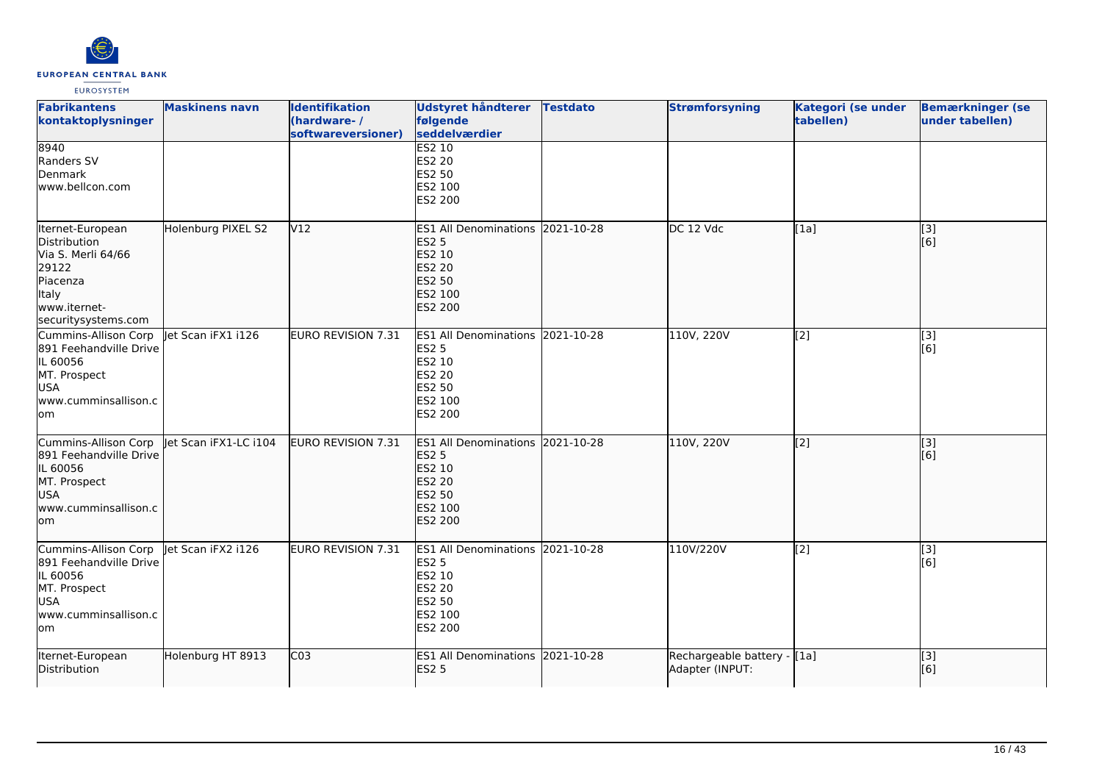

| <b>Fabrikantens</b><br>kontaktoplysninger                                                                                   | <b>Maskinens navn</b> | <b>Identifikation</b><br>(hardware-/<br>softwareversioner) | <b>Udstyret håndterer</b><br>følgende<br>seddelværdier                                                                | <b>Testdato</b> | <b>Strømforsyning</b>                           | <b>Kategori (se under</b><br>tabellen) | <b>Bemærkninger (se</b><br>under tabellen) |
|-----------------------------------------------------------------------------------------------------------------------------|-----------------------|------------------------------------------------------------|-----------------------------------------------------------------------------------------------------------------------|-----------------|-------------------------------------------------|----------------------------------------|--------------------------------------------|
| 8940<br>Randers SV<br>Denmark<br>www.bellcon.com                                                                            |                       |                                                            | <b>ES2 10</b><br><b>ES2 20</b><br>ES2 50<br>ES2 100<br>ES2 200                                                        |                 |                                                 |                                        |                                            |
| Iternet-European<br>Distribution<br>Via S. Merli 64/66<br>29122<br>Piacenza<br>Italy<br>www.iternet-<br>securitysystems.com | Holenburg PIXEL S2    | V12                                                        | <b>ES1 All Denominations</b><br><b>ES2 5</b><br>ES2 10<br><b>ES2 20</b><br><b>ES2 50</b><br>ES2 100<br><b>ES2 200</b> | 2021-10-28      | DC 12 Vdc                                       | [1a]                                   | [3]<br>[6]                                 |
| Cummins-Allison Corp<br>891 Feehandville Drive<br>IL 60056<br>MT. Prospect<br><b>USA</b><br>www.cumminsallison.c<br>lom     | let Scan iFX1 i126    | <b>EURO REVISION 7.31</b>                                  | ES1 All Denominations 2021-10-28<br><b>ES2 5</b><br>ES2 10<br><b>ES2 20</b><br><b>ES2 50</b><br>ES2 100<br>ES2 200    |                 | 110V, 220V                                      | [2]                                    | [3]<br>[6]                                 |
| Cummins-Allison Corp<br>891 Feehandville Drive<br>IL 60056<br>MT. Prospect<br><b>USA</b><br>www.cumminsallison.c<br>lom     | let Scan iFX1-LC i104 | EURO REVISION 7.31                                         | ES1 All Denominations 2021-10-28<br><b>ES2 5</b><br>ES2 10<br><b>ES2 20</b><br>ES2 50<br>ES2 100<br>ES2 200           |                 | 110V, 220V                                      | $\overline{[2]}$                       | [3]<br>[6]                                 |
| Cummins-Allison Corp<br>891 Feehandville Drive<br>IL 60056<br>MT. Prospect<br><b>USA</b><br>www.cumminsallison.c<br>lom     | let Scan iFX2 i126    | <b>EURO REVISION 7.31</b>                                  | <b>ES1 All Denominations</b><br><b>ES2 5</b><br>ES2 10<br><b>ES2 20</b><br><b>ES2 50</b><br>ES2 100<br>ES2 200        | 2021-10-28      | 110V/220V                                       | [2]                                    | [3]<br>[6]                                 |
| Iternet-European<br>Distribution                                                                                            | Holenburg HT 8913     | CO <sub>3</sub>                                            | ES1 All Denominations 2021-10-28<br><b>ES2 5</b>                                                                      |                 | Rechargeable battery - [[1a]<br>Adapter (INPUT: |                                        | [3]<br>[6]                                 |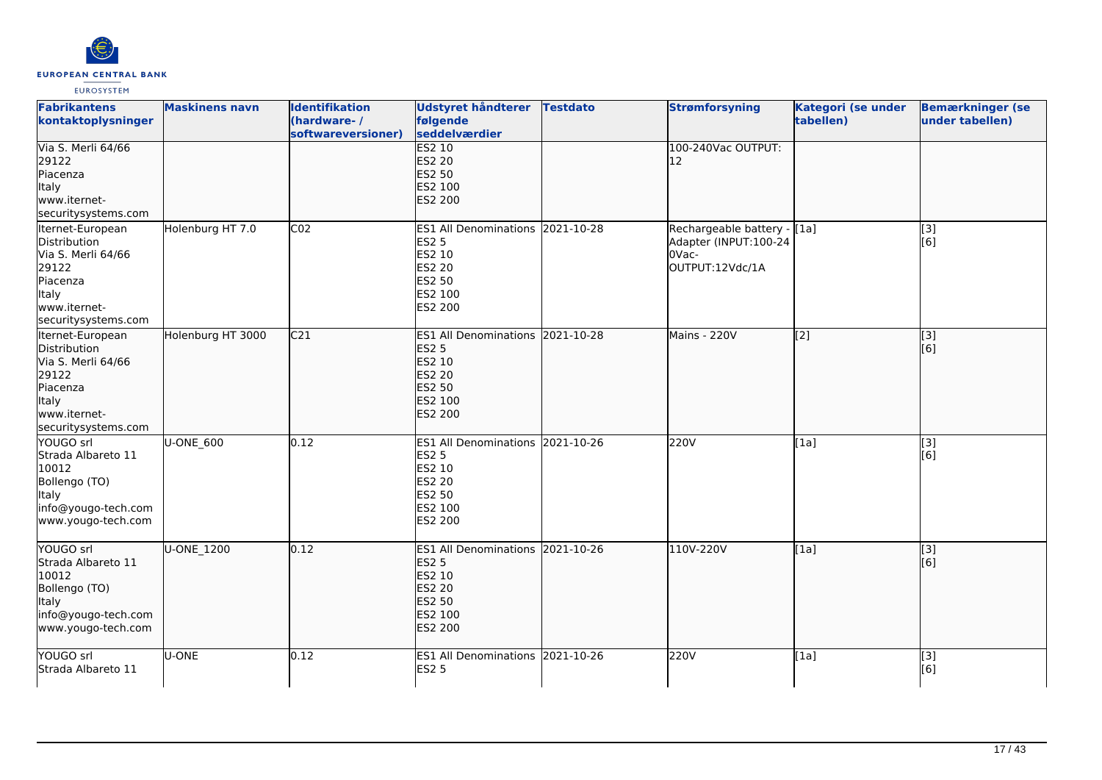

| <b>Fabrikantens</b><br>kontaktoplysninger                                                                                   | <b>Maskinens navn</b> | <b>Identifikation</b><br>(hardware-/<br>softwareversioner) | Udstyret håndterer<br>følgende<br>seddelværdier                                                                                  | <b>Testdato</b> | <b>Strømforsyning</b>                                                             | <b>Kategori (se under</b><br>tabellen) | <b>Bemærkninger (se</b><br>under tabellen) |
|-----------------------------------------------------------------------------------------------------------------------------|-----------------------|------------------------------------------------------------|----------------------------------------------------------------------------------------------------------------------------------|-----------------|-----------------------------------------------------------------------------------|----------------------------------------|--------------------------------------------|
| Via S. Merli 64/66<br>29122<br>Piacenza<br>Italy<br>www.iternet-<br>securitysystems.com                                     |                       |                                                            | <b>ES2 10</b><br><b>ES2 20</b><br><b>ES2 50</b><br>ES2 100<br>ES2 200                                                            |                 | 100-240Vac OUTPUT:<br>12                                                          |                                        |                                            |
| Iternet-European<br>Distribution<br>Via S. Merli 64/66<br>29122<br>Piacenza<br>Italy<br>www.iternet-<br>securitysystems.com | Holenburg HT 7.0      | CO <sub>2</sub>                                            | <b>ES1 All Denominations</b><br><b>ES2 5</b><br>ES2 10<br>ES2 20<br>ES2 50<br>ES2 100<br>ES2 200                                 | 2021-10-28      | Rechargeable battery - [[1a]<br>Adapter (INPUT:100-24<br>OVac-<br>OUTPUT:12Vdc/1A |                                        | [3]<br>[6]                                 |
| Iternet-European<br>Distribution<br>Via S. Merli 64/66<br>29122<br>Piacenza<br>Italy<br>www.iternet-<br>securitysystems.com | Holenburg HT 3000     | C <sub>21</sub>                                            | ES1 All Denominations 2021-10-28<br><b>ES2 5</b><br><b>ES2 10</b><br><b>ES2 20</b><br><b>ES2 50</b><br>ES2 100<br><b>ES2 200</b> |                 | <b>Mains - 220V</b>                                                               | [2]                                    | $\overline{[}3]$<br>[6]                    |
| YOUGO srl<br>Strada Albareto 11<br>10012<br>Bollengo (TO)<br>Italy<br>info@yougo-tech.com<br>www.yougo-tech.com             | U-ONE_600             | 0.12                                                       | ES1 All Denominations 2021-10-26<br><b>ES2 5</b><br>ES2 10<br>ES2 20<br>ES2 50<br>ES2 100<br>ES2 200                             |                 | 220V                                                                              | [1a]                                   | $\overline{[3]}$<br>[6]                    |
| YOUGO srl<br>Strada Albareto 11<br>10012<br>Bollengo (TO)<br>ltaly<br>info@yougo-tech.com<br>www.yougo-tech.com             | U-ONE 1200            | 0.12                                                       | <b>ES1 All Denominations</b><br><b>ES2 5</b><br>ES2 10<br><b>ES2 20</b><br>ES2 50<br>ES2 100<br>ES2 200                          | 2021-10-26      | 110V-220V                                                                         | [1a]                                   | [3]<br>[6]                                 |
| YOUGO srl<br>Strada Albareto 11                                                                                             | U-ONE                 | 0.12                                                       | ES1 All Denominations 2021-10-26<br><b>ES2 5</b>                                                                                 |                 | 220V                                                                              | [1a]                                   | [3]<br>[6]                                 |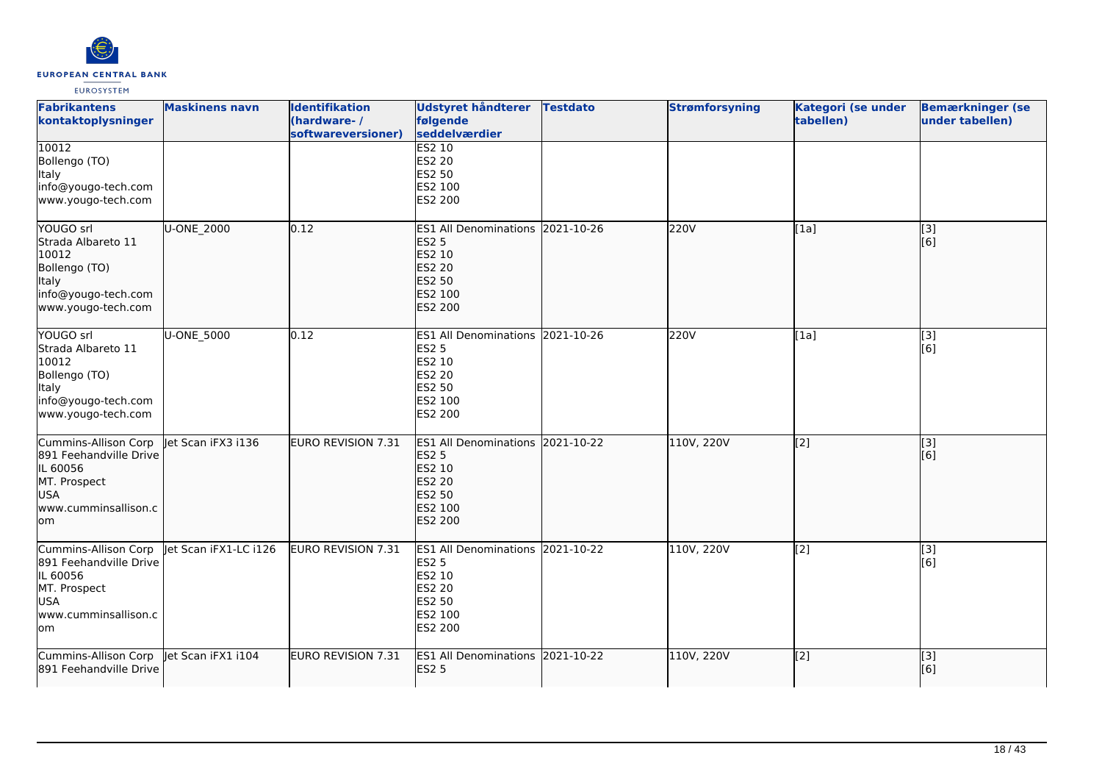

| <b>Fabrikantens</b><br>kontaktoplysninger                                                                               | <b>Maskinens navn</b> | <b>Identifikation</b><br>(hardware-/<br>softwareversioner) | <b>Udstyret håndterer</b><br>følgende<br>seddelværdier                                                                | <b>Testdato</b> | <b>Strømforsyning</b> | Kategori (se under<br>tabellen) | <b>Bemærkninger (se</b><br>under tabellen) |
|-------------------------------------------------------------------------------------------------------------------------|-----------------------|------------------------------------------------------------|-----------------------------------------------------------------------------------------------------------------------|-----------------|-----------------------|---------------------------------|--------------------------------------------|
| 10012<br>Bollengo (TO)<br>Italy<br>info@yougo-tech.com<br>www.yougo-tech.com                                            |                       |                                                            | <b>ES2 10</b><br><b>ES2 20</b><br>ES2 50<br>ES2 100<br>ES2 200                                                        |                 |                       |                                 |                                            |
| YOUGO srl<br>Strada Albareto 11<br>10012<br>Bollengo (TO)<br>Italy<br>info@yougo-tech.com<br>www.yougo-tech.com         | U-ONE_2000            | 0.12                                                       | <b>ES1 All Denominations</b><br><b>ES2 5</b><br>ES2 10<br><b>ES2 20</b><br><b>ES2 50</b><br>ES2 100<br><b>ES2 200</b> | 2021-10-26      | 220V                  | [1a]                            | [3]<br>[6]                                 |
| YOUGO srl<br>Strada Albareto 11<br>10012<br>Bollengo (TO)<br>Italy<br>info@yougo-tech.com<br>www.yougo-tech.com         | U-ONE 5000            | 0.12                                                       | ES1 All Denominations 2021-10-26<br><b>ES2 5</b><br>ES2 10<br>ES2 20<br>ES2 50<br>ES2 100<br>ES2 200                  |                 | 220V                  | [1a]                            | $\overline{[3]}$<br>[6]                    |
| Cummins-Allison Corp<br>891 Feehandville Drive<br>IL 60056<br>MT. Prospect<br><b>USA</b><br>www.cumminsallison.c<br>lom | let Scan iFX3 i136    | <b>EURO REVISION 7.31</b>                                  | <b>ES1 All Denominations</b><br><b>ES2 5</b><br>ES2 10<br><b>ES2 20</b><br><b>ES2 50</b><br>ES2 100<br><b>ES2 200</b> | 2021-10-22      | 110V, 220V            | [2]                             | [3]<br>[6]                                 |
| Cummins-Allison Corp<br>891 Feehandville Drive<br>IL 60056<br>MT. Prospect<br><b>USA</b><br>www.cumminsallison.c<br>lom | let Scan iFX1-LC i126 | <b>EURO REVISION 7.31</b>                                  | <b>ES1 All Denominations</b><br><b>ES2 5</b><br>ES2 10<br>ES2 20<br>ES2 50<br>ES2 100<br>ES2 200                      | 2021-10-22      | 110V, 220V            | [2]                             | [3]<br>[6]                                 |
| Cummins-Allison Corp<br>891 Feehandville Drive                                                                          | Jet Scan iFX1 i104    | EURO REVISION 7.31                                         | <b>ES1 All Denominations</b><br><b>ES2 5</b>                                                                          | 2021-10-22      | 110V, 220V            | $\overline{[2]}$                | $\overline{[}3]$<br>[6]                    |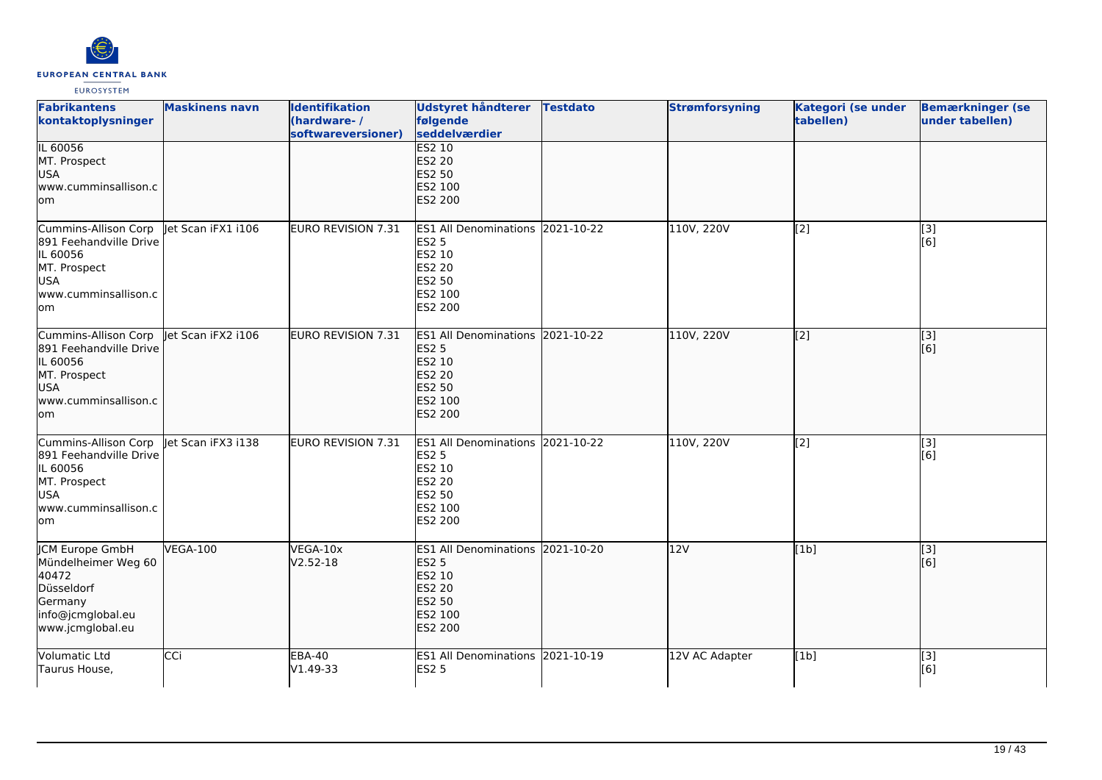

| <b>Fabrikantens</b><br>kontaktoplysninger                                                                                                   | <b>Maskinens navn</b> | <b>Identifikation</b><br>(hardware-/<br>softwareversioner) | <b>Udstyret håndterer</b><br>følgende<br>seddelværdier                                                             | <b>Testdato</b> | <b>Strømforsyning</b> | Kategori (se under<br>tabellen) | <b>Bemærkninger (se</b><br>under tabellen) |
|---------------------------------------------------------------------------------------------------------------------------------------------|-----------------------|------------------------------------------------------------|--------------------------------------------------------------------------------------------------------------------|-----------------|-----------------------|---------------------------------|--------------------------------------------|
| IL 60056<br>MT. Prospect<br>USA<br>www.cumminsallison.c<br>lom                                                                              |                       |                                                            | <b>ES2 10</b><br>ES2 20<br>ES2 50<br>ES2 100<br><b>ES2 200</b>                                                     |                 |                       |                                 |                                            |
| Cummins-Allison Corp   et Scan iFX1 i106<br>891 Feehandville Drive<br>IL 60056<br>MT. Prospect<br><b>USA</b><br>www.cumminsallison.c<br>lom |                       | EURO REVISION 7.31                                         | ES1 All Denominations 2021-10-22<br><b>ES2 5</b><br>ES2 10<br><b>ES2 20</b><br>ES2 50<br>ES2 100<br>ES2 200        |                 | 110V, 220V            | [2]                             | [3]<br>[6]                                 |
| Cummins-Allison Corp<br>891 Feehandville Drive<br>IL 60056<br>MT. Prospect<br><b>USA</b><br>www.cumminsallison.c<br>lom                     | let Scan iFX2 i106    | EURO REVISION 7.31                                         | ES1 All Denominations 2021-10-22<br><b>ES2 5</b><br>ES2 10<br><b>ES2 20</b><br>ES2 50<br>ES2 100<br><b>ES2 200</b> |                 | 110V, 220V            | $\overline{[2]}$                | $\overline{[}3]$<br>[6]                    |
| Cummins-Allison Corp<br>891 Feehandville Drive<br>IL 60056<br>MT. Prospect<br><b>USA</b><br>www.cumminsallison.c<br>lom                     | let Scan iFX3 i138    | EURO REVISION 7.31                                         | ES1 All Denominations 2021-10-22<br><b>ES2 5</b><br>ES2 10<br>ES2 20<br><b>ES2 50</b><br>ES2 100<br>ES2 200        |                 | 110V, 220V            | [2]                             | [3]<br>[6]                                 |
| <b>ICM Europe GmbH</b><br>Mündelheimer Weg 60<br>40472<br>Düsseldorf<br>Germany<br>info@jcmglobal.eu<br>www.jcmglobal.eu                    | <b>VEGA-100</b>       | VEGA-10x<br>$V2.52 - 18$                                   | ES1 All Denominations 2021-10-20<br><b>ES2 5</b><br>ES2 10<br><b>ES2 20</b><br><b>ES2 50</b><br>ES2 100<br>ES2 200 |                 | 12V                   | [1b]                            | [3]<br>[6]                                 |
| Volumatic Ltd<br>Taurus House,                                                                                                              | CCi                   | <b>EBA-40</b><br>V1.49-33                                  | ES1 All Denominations 2021-10-19<br><b>ES2 5</b>                                                                   |                 | 12V AC Adapter        | [1b]                            | $\overline{[3]}$<br>[6]                    |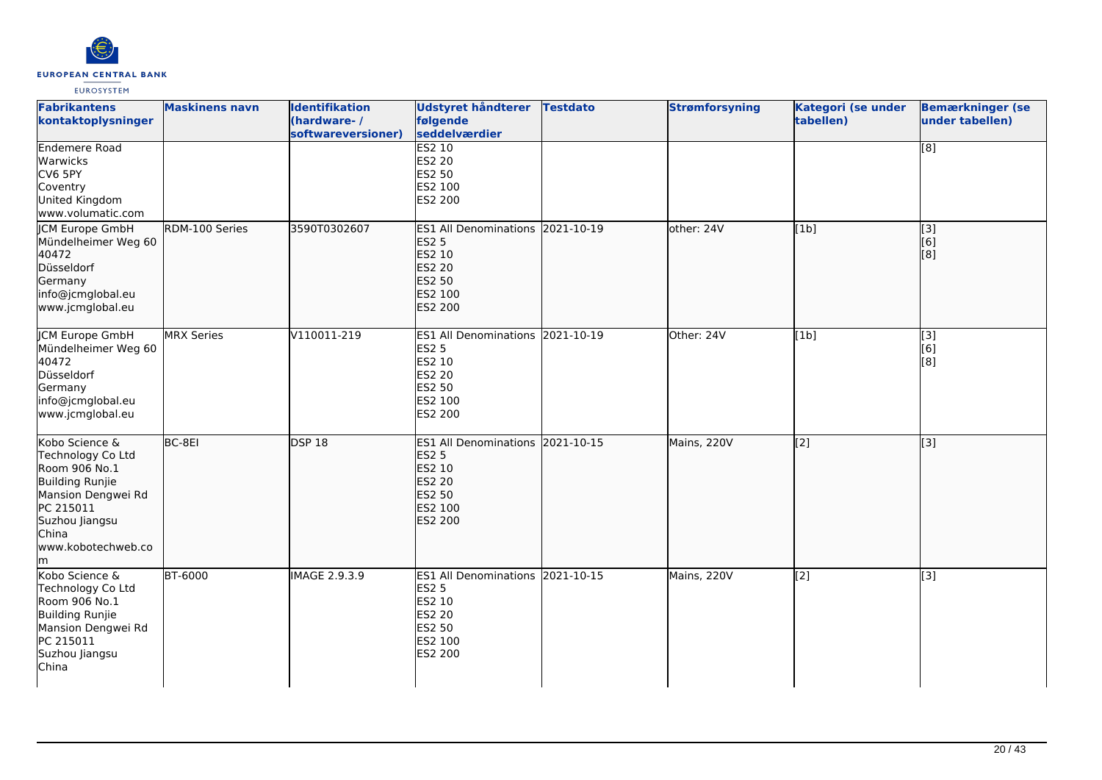

| <b>Fabrikantens</b><br>kontaktoplysninger                                                                                                                          | <b>Maskinens navn</b> | <b>Identifikation</b><br>(hardware-/<br>softwareversioner) | Udstyret håndterer<br>følgende<br>seddelværdier                                                                | <b>Testdato</b> | <b>Strømforsyning</b> | <b>Kategori (se under</b><br>tabellen) | <b>Bemærkninger (se</b><br>under tabellen) |
|--------------------------------------------------------------------------------------------------------------------------------------------------------------------|-----------------------|------------------------------------------------------------|----------------------------------------------------------------------------------------------------------------|-----------------|-----------------------|----------------------------------------|--------------------------------------------|
| <b>Endemere Road</b><br>Warwicks<br>CV6 5PY<br>Coventry<br>United Kingdom<br>www.volumatic.com                                                                     |                       |                                                            | <b>ES2 10</b><br>ES2 20<br>ES2 50<br>ES2 100<br>ES2 200                                                        |                 |                       |                                        | $\overline{[8]}$                           |
| <b>CM Europe GmbH</b><br>Mündelheimer Weg 60<br>40472<br>Düsseldorf<br>Germany<br>info@jcmglobal.eu<br>www.jcmglobal.eu                                            | RDM-100 Series        | 3590T0302607                                               | <b>ES1 All Denominations</b><br><b>ES2 5</b><br>ES2 10<br><b>ES2 20</b><br><b>ES2 50</b><br>ES2 100<br>ES2 200 | 2021-10-19      | other: 24V            | [1b]                                   | [3]<br>[6]<br>[8]                          |
| <b>JCM Europe GmbH</b><br>Mündelheimer Weg 60<br>40472<br>Düsseldorf<br>Germany<br>info@jcmglobal.eu<br>www.jcmglobal.eu                                           | <b>MRX Series</b>     | V110011-219                                                | ES1 All Denominations 2021-10-19<br><b>ES2 5</b><br>ES2 10<br><b>ES2 20</b><br>ES2 50<br>ES2 100<br>ES2 200    |                 | Other: 24V            | [1b]                                   | [3]<br>[6]<br>[8]                          |
| Kobo Science &<br>Technology Co Ltd<br>Room 906 No.1<br>Building Runjie<br>Mansion Dengwei Rd<br>PC 215011<br>Suzhou Jiangsu<br>China<br>www.kobotechweb.co<br>lm. | BC-8EI                | <b>DSP 18</b>                                              | ES1 All Denominations 2021-10-15<br><b>ES2 5</b><br>ES2 10<br><b>ES2 20</b><br>ES2 50<br>ES2 100<br>ES2 200    |                 | Mains, 220V           | $\overline{[2]}$                       | $\overline{[}3]$                           |
| Kobo Science &<br>Technology Co Ltd<br>Room 906 No.1<br>Building Runjie<br>Mansion Dengwei Rd<br>PC 215011<br>Suzhou Jiangsu<br>China                              | <b>BT-6000</b>        | <b>IMAGE 2.9.3.9</b>                                       | ES1 All Denominations 2021-10-15<br><b>ES2 5</b><br>ES2 10<br><b>ES2 20</b><br>ES2 50<br>ES2 100<br>ES2 200    |                 | Mains, 220V           | $\overline{[2]}$                       | $\overline{[3]}$                           |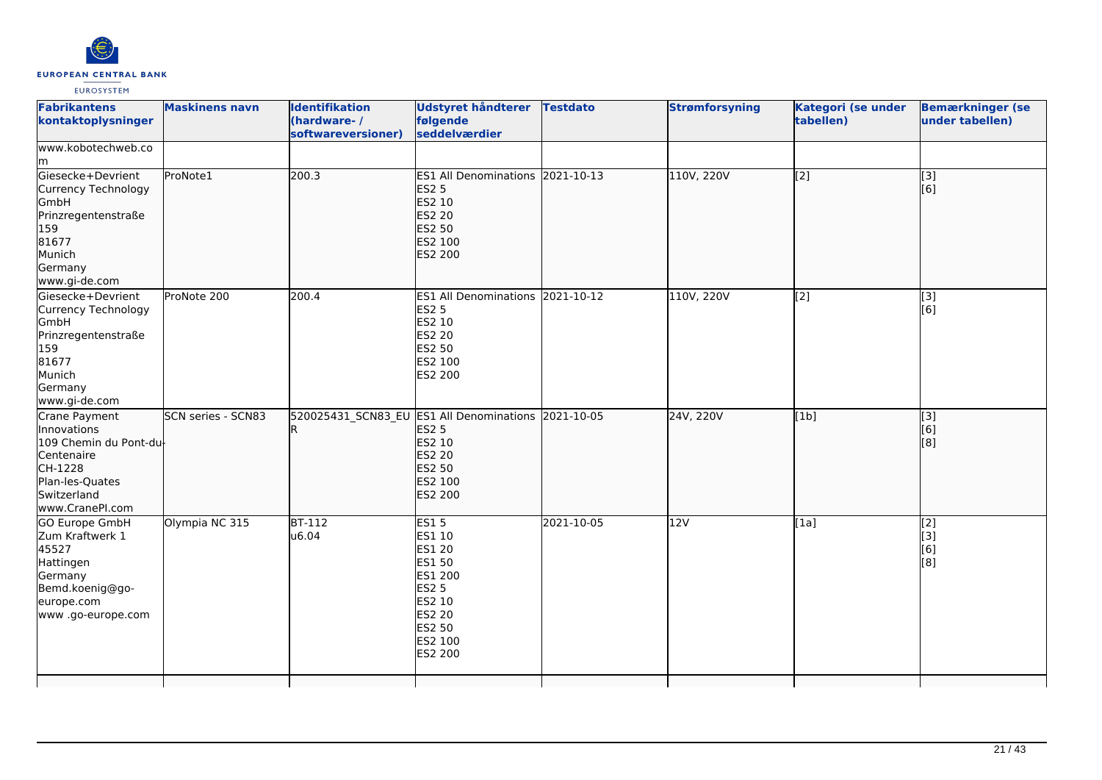

| <b>Fabrikantens</b><br>kontaktoplysninger                                                                                            | <b>Maskinens navn</b> | <b>Identifikation</b><br>(hardware-/<br>softwareversioner) | <b>Udstyret håndterer</b><br>følgende<br>seddelværdier                                                                                       | <b>Testdato</b> | <b>Strømforsyning</b> | Kategori (se under<br>tabellen) | <b>Bemærkninger (se</b><br>under tabellen)       |
|--------------------------------------------------------------------------------------------------------------------------------------|-----------------------|------------------------------------------------------------|----------------------------------------------------------------------------------------------------------------------------------------------|-----------------|-----------------------|---------------------------------|--------------------------------------------------|
| www.kobotechweb.co<br>lm.                                                                                                            |                       |                                                            |                                                                                                                                              |                 |                       |                                 |                                                  |
| Giesecke+Devrient<br>Currency Technology<br>GmbH<br>Prinzregentenstraße<br>159<br>81677<br>Munich<br>Germany<br>www.gi-de.com        | ProNote1              | 200.3                                                      | ES1 All Denominations 2021-10-13<br><b>ES2 5</b><br>ES2 10<br>ES2 20<br><b>ES2 50</b><br>ES2 100<br><b>ES2 200</b>                           |                 | 110V, 220V            | [2]                             | $\overline{[3]}$<br>[6]                          |
| Giesecke+Devrient<br>Currency Technology<br>GmbH<br>Prinzregentenstraße<br>159<br>81677<br>Munich<br>Germany<br>www.gi-de.com        | ProNote 200           | 200.4                                                      | ES1 All Denominations 2021-10-12<br><b>ES2 5</b><br>ES2 10<br>ES2 20<br>ES2 50<br>ES2 100<br>ES2 200                                         |                 | 110V, 220V            | [2]                             | [3]<br>[6]                                       |
| Crane Payment<br>Innovations<br>109 Chemin du Pont-du-<br>Centenaire<br>CH-1228<br>Plan-les-Quates<br>Switzerland<br>www.CranePI.com | SCN series - SCN83    | IR.                                                        | 520025431 SCN83 EU ES1 All Denominations 2021-10-05<br><b>ES2 5</b><br>ES2 10<br><b>ES2 20</b><br><b>ES2 50</b><br>ES2 100<br><b>ES2 200</b> |                 | 24V, 220V             | [1b]                            | [3]<br>[6]<br>[8]                                |
| <b>GO Europe GmbH</b><br>Zum Kraftwerk 1<br>45527<br>Hattingen<br>Germany<br>Bemd.koenig@go-<br>europe.com<br>www.go-europe.com      | Olympia NC 315        | $BT-112$<br>u6.04                                          | <b>ES15</b><br>ES1 10<br><b>ES1 20</b><br>ES1 50<br>ES1 200<br><b>ES2 5</b><br>ES2 10<br>ES2 20<br>ES2 50<br>ES2 100<br>ES2 200              | 2021-10-05      | 12V                   | [1a]                            | [2]<br>[3]<br>[6]<br>$\overline{[}8\overline{]}$ |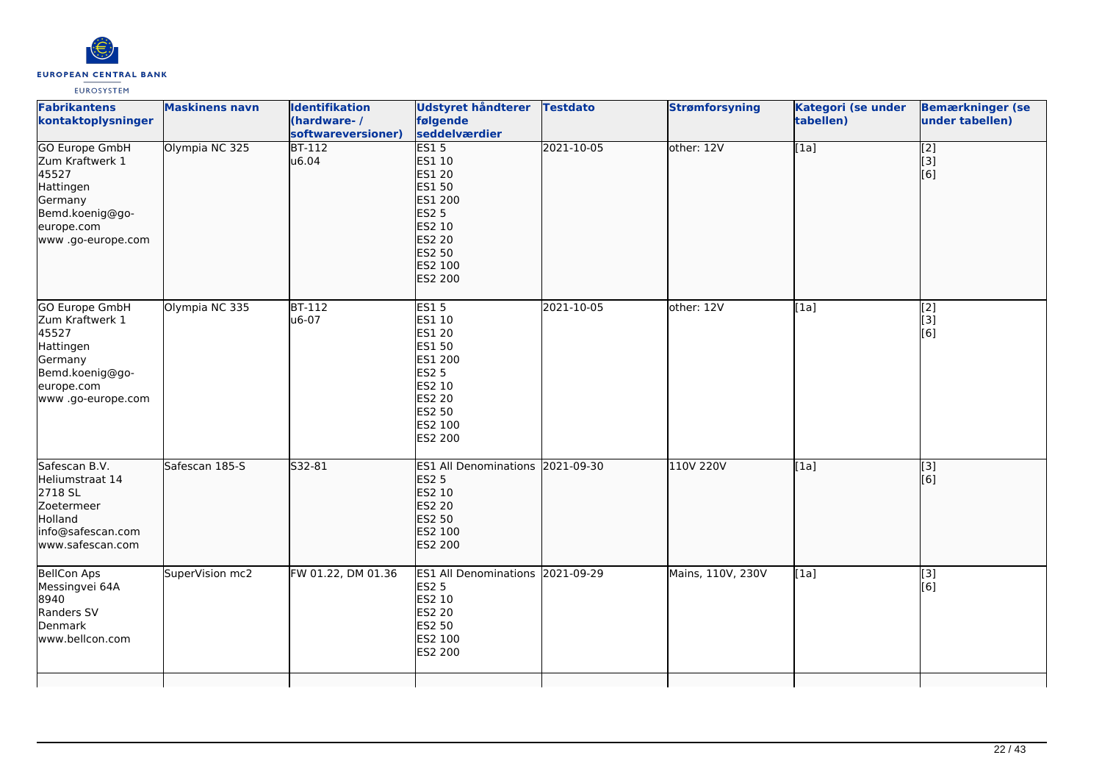

| <b>Maskinens navn</b> | <b>Identifikation</b><br>(hardware-/<br>softwareversioner) | følgende<br>seddelværdier                                                                                                |            | <b>Strømforsyning</b>                                                                                             | Kategori (se under<br>tabellen) | <b>Bemærkninger (se</b><br>under tabellen)    |
|-----------------------|------------------------------------------------------------|--------------------------------------------------------------------------------------------------------------------------|------------|-------------------------------------------------------------------------------------------------------------------|---------------------------------|-----------------------------------------------|
|                       | u6.04                                                      | ES1 10<br><b>ES1 20</b><br>ES1 50<br>ES1 200<br><b>ES2 5</b><br>ES2 10<br><b>ES2 20</b><br>ES2 50<br>ES2 100<br>ES2 200  |            |                                                                                                                   |                                 | $\begin{bmatrix} 2 \\ 3 \end{bmatrix}$<br>[6] |
| Olympia NC 335        | <b>BT-112</b><br>u6-07                                     | <b>ES15</b><br>ES1 10<br>ES1 20<br>ES1 50<br>ES1 200<br><b>ES2 5</b><br>ES2 10<br>ES2 20<br>ES2 50<br>ES2 100<br>ES2 200 | 2021-10-05 | other: 12V                                                                                                        | [1a]                            | $\begin{bmatrix} 2 \\ 3 \end{bmatrix}$<br>[6] |
| Safescan 185-S        | S32-81                                                     | <b>ES2 5</b><br>ES2 10<br>ES2 20<br><b>ES2 50</b><br>ES2 100<br><b>ES2 200</b>                                           |            | 110V 220V                                                                                                         | [1a]                            | [3]<br>[6]                                    |
| SuperVision mc2       | FW 01.22, DM 01.36                                         | <b>ES2 5</b><br>ES2 10<br>ES2 20<br>ES2 50<br>ES2 100<br>ES2 200                                                         |            | Mains, 110V, 230V                                                                                                 | [1a]                            | [3]<br>[6]                                    |
|                       | Olympia NC 325                                             | $BT-112$                                                                                                                 | ES15       | Udstyret håndterer Testdato<br>2021-10-05<br>ES1 All Denominations 2021-09-30<br>ES1 All Denominations 2021-09-29 | other: 12V                      | $\overline{[1a]}$                             |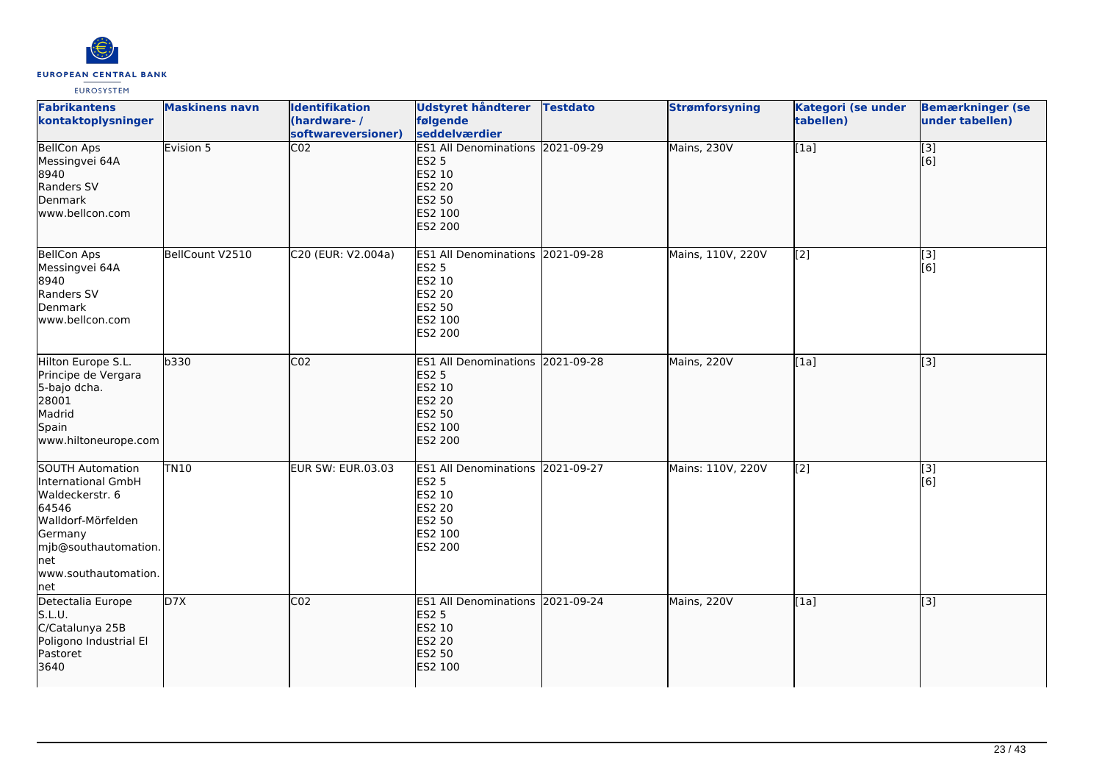

| <b>Fabrikantens</b><br>kontaktoplysninger                                                                                                                          | <b>Maskinens navn</b> | <b>Identifikation</b><br>(hardware-/<br>softwareversioner) | Udstyret håndterer<br>følgende<br>seddelværdier                                                                    | <b>Testdato</b> | <b>Strømforsyning</b> | Kategori (se under<br>tabellen) | <b>Bemærkninger (se</b><br>under tabellen) |
|--------------------------------------------------------------------------------------------------------------------------------------------------------------------|-----------------------|------------------------------------------------------------|--------------------------------------------------------------------------------------------------------------------|-----------------|-----------------------|---------------------------------|--------------------------------------------|
| <b>BellCon Aps</b><br>Messingvei 64A<br>8940<br>Randers SV<br>Denmark<br>www.bellcon.com                                                                           | Evision 5             | $\overline{CO2}$                                           | ES1 All Denominations 2021-09-29<br><b>ES2 5</b><br>ES2 10<br><b>ES2 20</b><br>ES2 50<br>ES2 100<br>ES2 200        |                 | Mains, 230V           | [1a]                            | $\overline{[}3]$<br>[6]                    |
| <b>BellCon Aps</b><br>Messingvei 64A<br>8940<br>Randers SV<br>Denmark<br>www.bellcon.com                                                                           | BellCount V2510       | C20 (EUR: V2.004a)                                         | ES1 All Denominations 2021-09-28<br><b>ES2 5</b><br>ES2 10<br>ES2 20<br>ES2 50<br>ES2 100<br>ES2 200               |                 | Mains, 110V, 220V     | [2]                             | [3]<br>[6]                                 |
| Hilton Europe S.L.<br>Principe de Vergara<br>5-bajo dcha.<br>28001<br>Madrid<br>Spain<br>www.hiltoneurope.com                                                      | b330                  | CO <sub>2</sub>                                            | ES1 All Denominations 2021-09-28<br><b>ES2 5</b><br>ES2 10<br><b>ES2 20</b><br><b>ES2 50</b><br>ES2 100<br>ES2 200 |                 | Mains, 220V           | [1a]                            | $\overline{[3]}$                           |
| SOUTH Automation<br>International GmbH<br>Waldeckerstr. 6<br>64546<br>Walldorf-Mörfelden<br>Germany<br>mjb@southautomation.<br>Inet<br>www.southautomation.<br>net | <b>TN10</b>           | EUR SW: EUR.03.03                                          | ES1 All Denominations 2021-09-27<br><b>ES2 5</b><br>ES2 10<br>ES2 20<br>ES2 50<br>ES2 100<br>ES2 200               |                 | Mains: 110V, 220V     | $\overline{[2]}$                | $\overline{[}3]$<br>[6]                    |
| Detectalia Europe<br>S.L.U.<br>C/Catalunya 25B<br>Poligono Industrial El<br>Pastoret<br>3640                                                                       | D7X                   | $\overline{CO2}$                                           | ES1 All Denominations 2021-09-24<br><b>ES2 5</b><br>ES2 10<br><b>ES2 20</b><br><b>ES2 50</b><br>ES2 100            |                 | Mains, 220V           | [1a]                            | [3]                                        |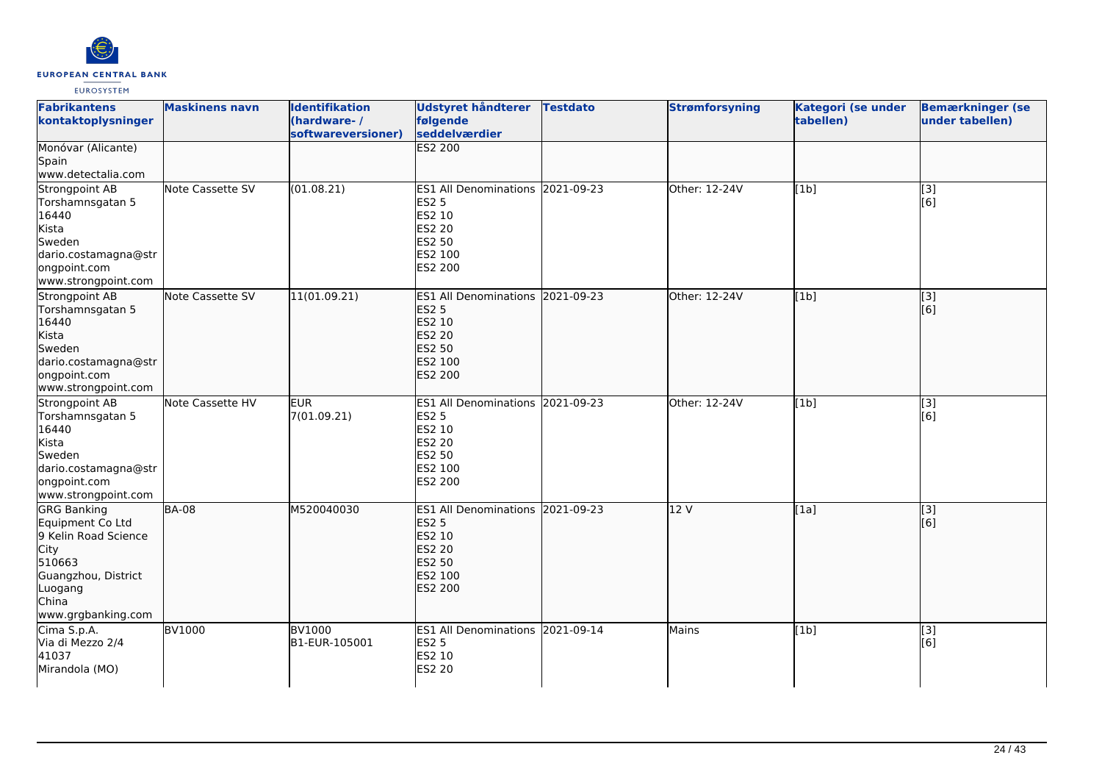

| <b>Fabrikantens</b><br>kontaktoplysninger                                                                                                         | <b>Maskinens navn</b> | <b>Identifikation</b><br>(hardware-/<br>softwareversioner) | <b>Udstyret håndterer</b><br>følgende<br>seddelværdier                                                             | <b>Testdato</b> | <b>Strømforsyning</b> | Kategori (se under<br>tabellen) | <b>Bemærkninger (se</b><br>under tabellen) |
|---------------------------------------------------------------------------------------------------------------------------------------------------|-----------------------|------------------------------------------------------------|--------------------------------------------------------------------------------------------------------------------|-----------------|-----------------------|---------------------------------|--------------------------------------------|
| Monóvar (Alicante)<br>Spain<br>www.detectalia.com                                                                                                 |                       |                                                            | <b>ES2 200</b>                                                                                                     |                 |                       |                                 |                                            |
| Strongpoint AB<br>Torshamnsgatan 5<br>16440<br>Kista<br>Sweden<br>dario.costamagna@str<br>ongpoint.com<br>www.strongpoint.com                     | Note Cassette SV      | (01.08.21)                                                 | ES1 All Denominations 2021-09-23<br><b>ES2 5</b><br>ES2 10<br><b>ES2 20</b><br>ES2 50<br>ES2 100<br>ES2 200        |                 | Other: 12-24V         | [1b]                            | $\overline{[3]}$<br>[6]                    |
| Strongpoint AB<br>Torshamnsgatan 5<br>16440<br>Kista<br>Sweden<br>dario.costamagna@str<br>ongpoint.com<br>www.strongpoint.com                     | Note Cassette SV      | 11(01.09.21)                                               | ES1 All Denominations 2021-09-23<br><b>ES2 5</b><br>ES2 10<br><b>ES2 20</b><br>ES2 50<br>ES2 100<br><b>ES2 200</b> |                 | Other: 12-24V         | [1b]                            | $\overline{[}3]$<br>[6]                    |
| Strongpoint AB<br>Torshamnsgatan 5<br>16440<br>Kista<br>Sweden<br>dario.costamagna@str<br>ongpoint.com<br>www.strongpoint.com                     | Note Cassette HV      | <b>EUR</b><br>7(01.09.21)                                  | ES1 All Denominations 2021-09-23<br><b>ES2 5</b><br>ES2 10<br><b>ES2 20</b><br>ES2 50<br>ES2 100<br>ES2 200        |                 | Other: 12-24V         | [1b]                            | [3]<br>[6]                                 |
| <b>GRG Banking</b><br>Equipment Co Ltd<br>9 Kelin Road Science<br>City<br>510663<br>Guangzhou, District<br>Luogang<br>China<br>www.grgbanking.com | <b>BA-08</b>          | M520040030                                                 | <b>ES1 All Denominations</b><br><b>ES2 5</b><br>ES2 10<br><b>ES2 20</b><br><b>ES2 50</b><br>ES2 100<br>ES2 200     | 2021-09-23      | 12 V                  | [1a]                            | [3]<br>[6]                                 |
| Cima S.p.A.<br>Via di Mezzo 2/4<br>41037<br>Mirandola (MO)                                                                                        | <b>BV1000</b>         | <b>BV1000</b><br>B1-EUR-105001                             | ES1 All Denominations 2021-09-14<br><b>ES2 5</b><br>ES2 10<br><b>ES2 20</b>                                        |                 | Mains                 | [1b]                            | $[3]$<br>[6]                               |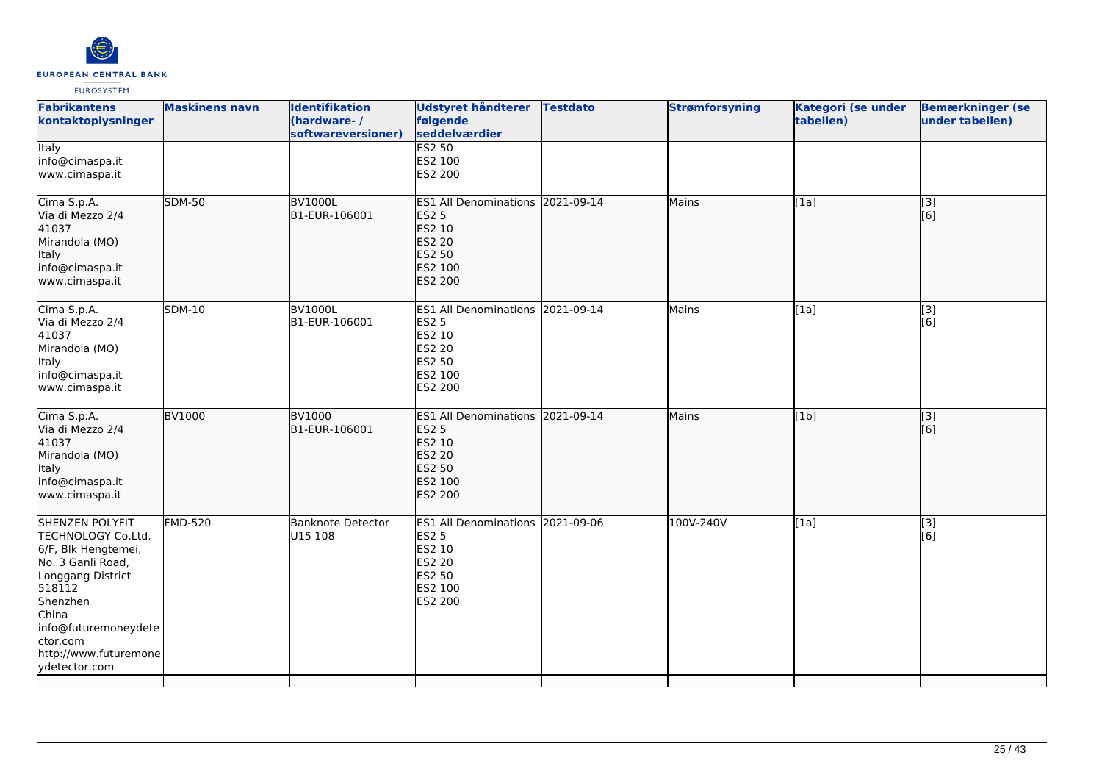

| <b>Fabrikantens</b><br>kontaktoplysninger                                                                                                                                                                           | <b>Maskinens navn</b> | <b>Identifikation</b><br>(hardware-/<br>softwareversioner) | <b>Udstyret håndterer</b><br>følgende<br>seddelværdier                                                             | <b>Testdato</b> | <b>Strømforsyning</b> | <b>Kategori (se under</b><br>tabellen) | <b>Bemærkninger (se</b><br>under tabellen) |
|---------------------------------------------------------------------------------------------------------------------------------------------------------------------------------------------------------------------|-----------------------|------------------------------------------------------------|--------------------------------------------------------------------------------------------------------------------|-----------------|-----------------------|----------------------------------------|--------------------------------------------|
| <b>Italy</b><br>info@cimaspa.it<br>www.cimaspa.it                                                                                                                                                                   |                       |                                                            | <b>ES2 50</b><br>ES2 100<br>ES2 200                                                                                |                 |                       |                                        |                                            |
| Cima S.p.A.<br>Via di Mezzo 2/4<br>41037<br>Mirandola (MO)<br>Italy<br>info@cimaspa.it<br>www.cimaspa.it                                                                                                            | <b>SDM-50</b>         | <b>BV1000L</b><br>B1-EUR-106001                            | ES1 All Denominations 2021-09-14<br><b>ES2 5</b><br>ES2 10<br><b>ES2 20</b><br>ES2 50<br>ES2 100<br><b>ES2 200</b> |                 | Mains                 | [1a]                                   | $\overline{[}$ [3]<br>[6]                  |
| Cima S.p.A.<br>Via di Mezzo 2/4<br>41037<br>Mirandola (MO)<br>Italy<br>info@cimaspa.it<br>www.cimaspa.it                                                                                                            | <b>SDM-10</b>         | <b>BV1000L</b><br>B1-EUR-106001                            | ES1 All Denominations 2021-09-14<br><b>ES2 5</b><br>ES2 10<br><b>ES2 20</b><br>ES2 50<br>ES2 100<br>ES2 200        |                 | Mains                 | [1a]                                   | [3]<br>[6]                                 |
| Cima S.p.A.<br>Via di Mezzo 2/4<br>41037<br>Mirandola (MO)<br>Italy<br>info@cimaspa.it<br>www.cimaspa.it                                                                                                            | <b>BV1000</b>         | <b>BV1000</b><br>B1-EUR-106001                             | ES1 All Denominations 2021-09-14<br><b>ES2 5</b><br>ES2 10<br><b>ES2 20</b><br><b>ES2 50</b><br>ES2 100<br>ES2 200 |                 | Mains                 | [1b]                                   | [3]<br>[6]                                 |
| SHENZEN POLYFIT<br>TECHNOLOGY Co.Ltd.<br>6/F, Blk Hengtemei,<br>No. 3 Ganli Road,<br>Longgang District<br>518112<br>Shenzhen<br>China<br>info@futuremoneydete<br>ctor.com<br>http://www.futuremone<br>ydetector.com | <b>FMD-520</b>        | Banknote Detector<br>U15 108                               | <b>ES1 All Denominations</b><br><b>ES2 5</b><br>ES2 10<br><b>ES2 20</b><br>ES2 50<br>ES2 100<br>ES2 200            | 2021-09-06      | 100V-240V             | [1a]                                   | [3]<br>[6]                                 |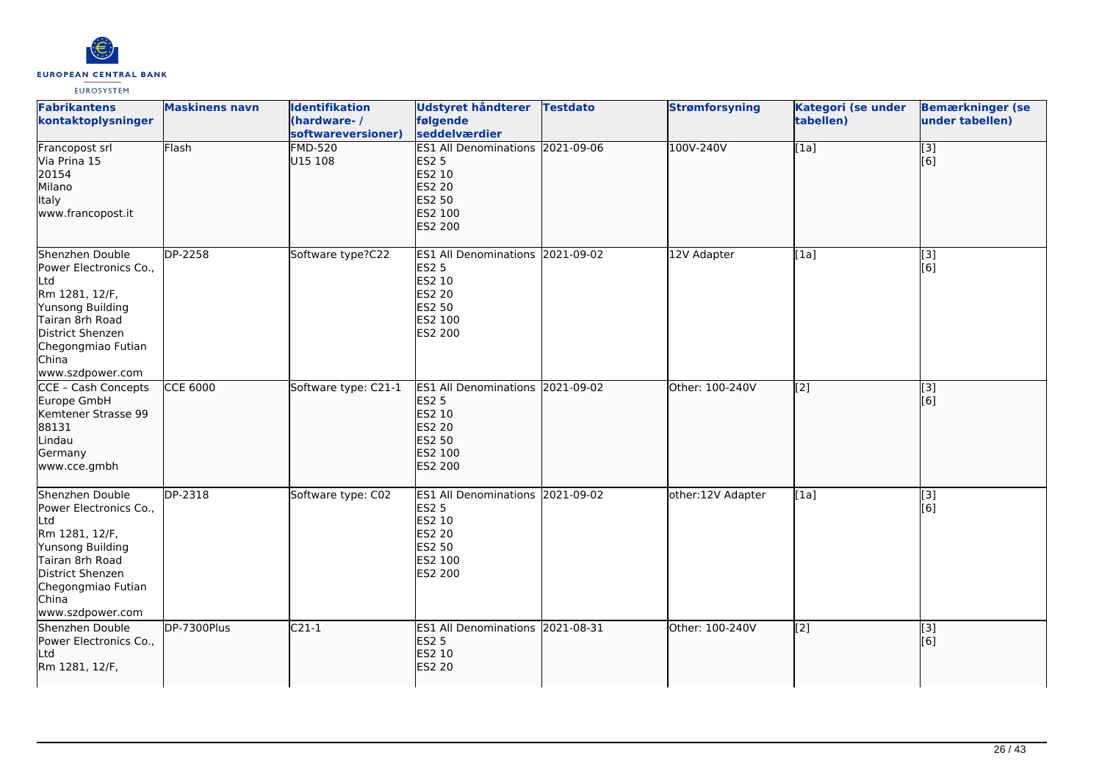

| <b>Fabrikantens</b><br>kontaktoplysninger                                                                                                                                        | <b>Maskinens navn</b> | <b>Identifikation</b><br>(hardware-/<br>softwareversioner) | Udstyret håndterer<br>følgende<br>seddelværdier                                                                           | <b>Testdato</b> | <b>Strømforsyning</b> | <b>Kategori (se under</b><br>tabellen) | <b>Bemærkninger (se</b><br>under tabellen) |
|----------------------------------------------------------------------------------------------------------------------------------------------------------------------------------|-----------------------|------------------------------------------------------------|---------------------------------------------------------------------------------------------------------------------------|-----------------|-----------------------|----------------------------------------|--------------------------------------------|
| Francopost srl<br>Via Prina 15<br>20154<br>Milano<br>Italy<br>www.francopost.it                                                                                                  | Flash                 | <b>FMD-520</b><br>U15 108                                  | ES1 All Denominations 2021-09-06<br><b>ES2 5</b><br>ES2 10<br><b>ES2 20</b><br><b>ES2 50</b><br>ES2 100<br>ES2 200        |                 | 100V-240V             | [1a]                                   | $\overline{[}3]$<br>[6]                    |
| Shenzhen Double<br>Power Electronics Co.,<br>Ltd<br>Rm 1281, 12/F,<br>Yunsong Building<br>Tairan 8rh Road<br>District Shenzen<br>Chegongmiao Futian<br>China<br>www.szdpower.com | DP-2258               | Software type?C22                                          | ES1 All Denominations 2021-09-02<br><b>ES2 5</b><br>ES2 10<br><b>ES2 20</b><br>ES2 50<br>ES2 100<br>ES2 200               |                 | 12V Adapter           | [1a]                                   | [3]<br>[6]                                 |
| CCE - Cash Concepts<br>Europe GmbH<br>Kemtener Strasse 99<br>88131<br>Lindau<br>Germany<br>www.cce.gmbh                                                                          | <b>CCE 6000</b>       | Software type: C21-1                                       | ES1 All Denominations 2021-09-02<br><b>ES2 5</b><br>ES2 10<br><b>ES2 20</b><br><b>ES2 50</b><br>ES2 100<br><b>ES2 200</b> |                 | Other: 100-240V       | $\sqrt{2}$                             | [3]<br>[6]                                 |
| Shenzhen Double<br>Power Electronics Co.,<br>Ltd<br>Rm 1281, 12/F,<br>Yunsong Building<br>Tairan 8rh Road<br>District Shenzen<br>Chegongmiao Futian<br>China<br>www.szdpower.com | DP-2318               | Software type: C02                                         | <b>ES1 All Denominations</b><br><b>ES2 5</b><br>ES2 10<br><b>ES2 20</b><br>ES2 50<br>ES2 100<br><b>ES2 200</b>            | 2021-09-02      | other:12V Adapter     | [1a]                                   | [3]<br>[6]                                 |
| Shenzhen Double<br>Power Electronics Co.,<br>Ltd<br>Rm 1281, 12/F,                                                                                                               | DP-7300Plus           | $C21-1$                                                    | ES1 All Denominations 2021-08-31<br><b>ES2 5</b><br>ES2 10<br><b>ES2 20</b>                                               |                 | Other: 100-240V       | [[2]                                   | [3]<br>[6]                                 |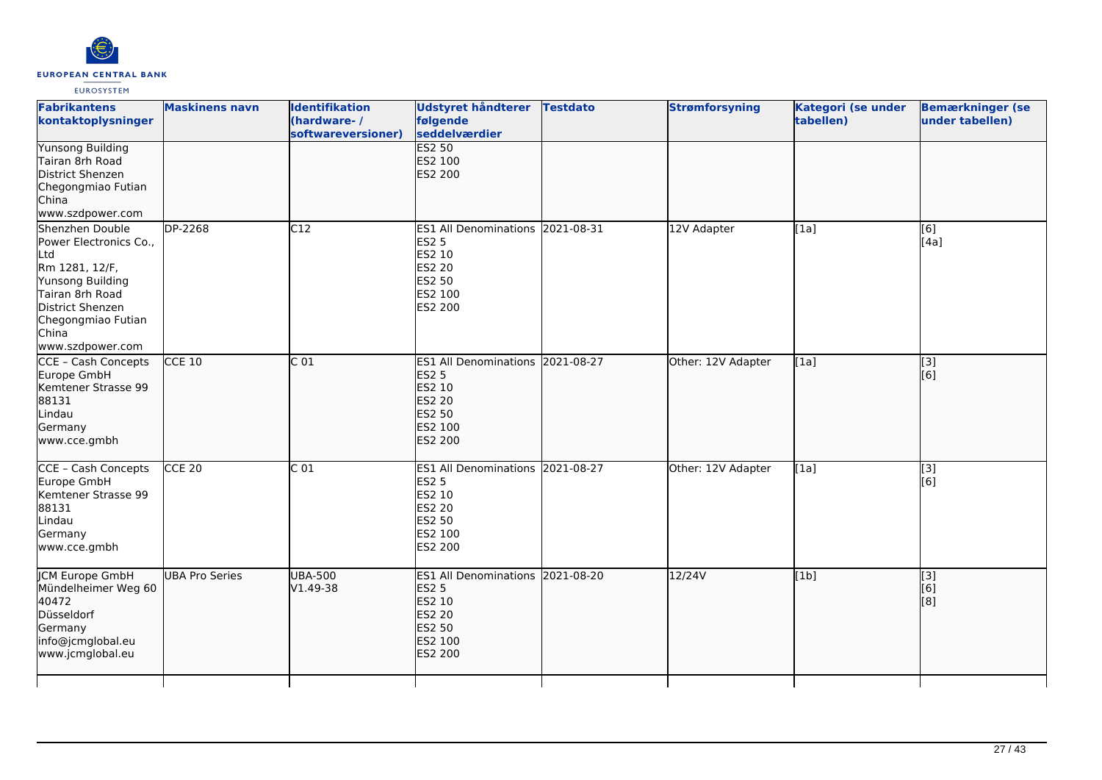

| <b>Fabrikantens</b><br>kontaktoplysninger                                                                                                                                        | <b>Maskinens navn</b> | <b>Identifikation</b><br>(hardware-/<br>softwareversioner) | <b>Udstyret håndterer</b><br>følgende<br>seddelværdier                                                         | <b>Testdato</b> | <b>Strømforsyning</b> | <b>Kategori (se under</b><br>tabellen) | <b>Bemærkninger (se</b><br>under tabellen) |
|----------------------------------------------------------------------------------------------------------------------------------------------------------------------------------|-----------------------|------------------------------------------------------------|----------------------------------------------------------------------------------------------------------------|-----------------|-----------------------|----------------------------------------|--------------------------------------------|
| <b>Yunsong Building</b><br>Tairan 8rh Road<br>District Shenzen<br>Chegongmiao Futian<br>China<br>www.szdpower.com                                                                |                       |                                                            | <b>ES2 50</b><br>ES2 100<br><b>ES2 200</b>                                                                     |                 |                       |                                        |                                            |
| Shenzhen Double<br>Power Electronics Co.,<br>Ltd<br>Rm 1281, 12/F,<br>Yunsong Building<br>Tairan 8rh Road<br>District Shenzen<br>Chegongmiao Futian<br>China<br>www.szdpower.com | DP-2268               | C12                                                        | <b>ES1 All Denominations</b><br><b>ES2 5</b><br>ES2 10<br><b>ES2 20</b><br>ES2 50<br>ES2 100<br>ES2 200        | 2021-08-31      | 12V Adapter           | [1a]                                   | [6]<br>[4a]                                |
| CCE - Cash Concepts<br>Europe GmbH<br>Kemtener Strasse 99<br>88131<br>Lindau<br>Germany<br>www.cce.gmbh                                                                          | $CCE$ 10              | C <sub>01</sub>                                            | <b>ES1 All Denominations</b><br><b>ES2 5</b><br>ES2 10<br>ES2 20<br>ES2 50<br>ES2 100<br><b>ES2 200</b>        | 2021-08-27      | Other: 12V Adapter    | [[1a]                                  | [[3]<br>[[6]                               |
| CCE - Cash Concepts<br>Europe GmbH<br>Kemtener Strasse 99<br>88131<br>Lindau<br>Germany<br>www.cce.gmbh                                                                          | $CCE$ 20              | $\overline{C}01$                                           | ES1 All Denominations 2021-08-27<br><b>ES2 5</b><br>ES2 10<br>ES2 20<br><b>ES2 50</b><br>ES2 100<br>ES2 200    |                 | Other: 12V Adapter    | [1a]                                   | $\overline{[3]}$<br>[6]                    |
| <b>JCM Europe GmbH</b><br>Mündelheimer Weg 60<br>40472<br>Düsseldorf<br>Germany<br>info@jcmglobal.eu<br>www.jcmglobal.eu                                                         | <b>UBA Pro Series</b> | <b>UBA-500</b><br>V1.49-38                                 | <b>ES1 All Denominations</b><br><b>ES2 5</b><br>ES2 10<br><b>ES2 20</b><br>ES2 50<br>ES2 100<br><b>ES2 200</b> | 2021-08-20      | 12/24V                | [1b]                                   | $\overline{[}$ [3]<br>[6]<br>[[8]          |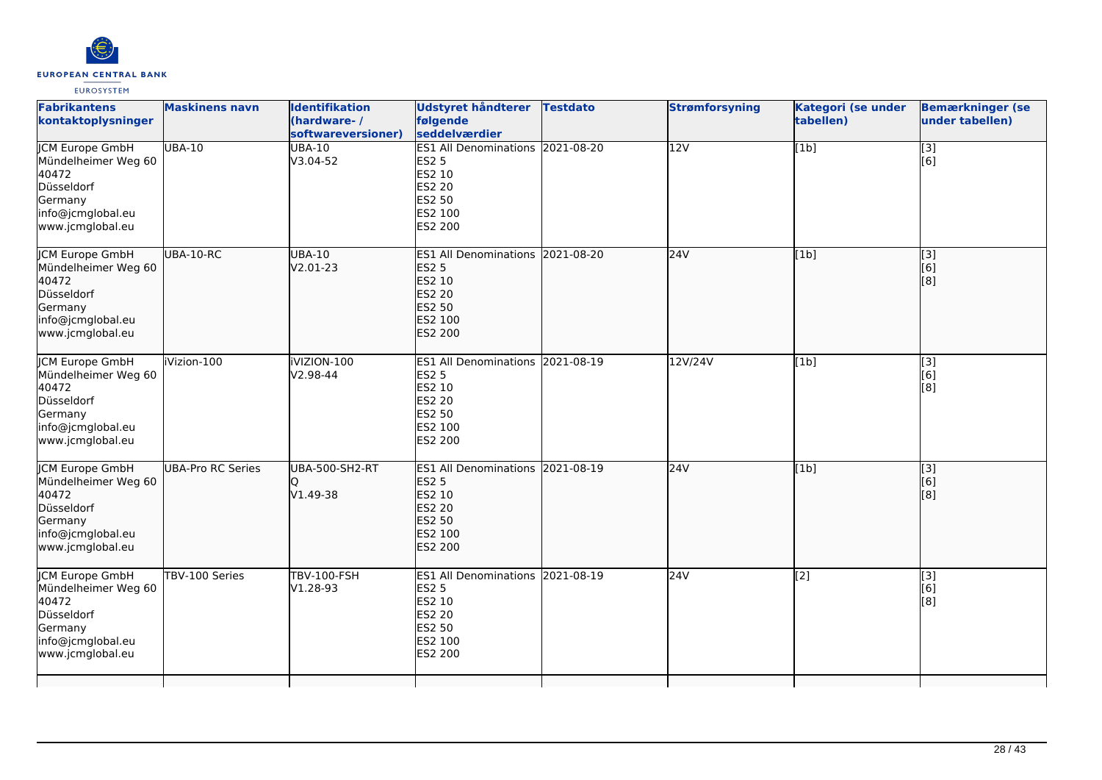

| <b>Fabrikantens</b><br>kontaktoplysninger                                                                                | <b>Maskinens navn</b> | <b>Identifikation</b><br>(hardware-/<br>softwareversioner) | Udstyret håndterer<br>følgende<br>seddelværdier                                                                           | <b>Testdato</b> | <b>Strømforsyning</b> | Kategori (se under<br>tabellen) | <b>Bemærkninger (se</b><br>under tabellen) |
|--------------------------------------------------------------------------------------------------------------------------|-----------------------|------------------------------------------------------------|---------------------------------------------------------------------------------------------------------------------------|-----------------|-----------------------|---------------------------------|--------------------------------------------|
| <b>JCM Europe GmbH</b><br>Mündelheimer Weg 60<br>40472<br>Düsseldorf<br>Germany<br>info@jcmglobal.eu<br>www.jcmglobal.eu | <b>UBA-10</b>         | <b>UBA-10</b><br>V3.04-52                                  | ES1 All Denominations 2021-08-20<br><b>ES2 5</b><br>ES2 10<br>ES2 20<br><b>ES2 50</b><br>ES2 100<br>ES2 200               |                 | 12V                   | [1b]                            | $\overline{[}3]$<br>[6]                    |
| JCM Europe GmbH<br>Mündelheimer Weg 60<br>40472<br>Düsseldorf<br>Germany<br>info@jcmglobal.eu<br>www.jcmglobal.eu        | UBA-10-RC             | <b>UBA-10</b><br>V2.01-23                                  | ES1 All Denominations 2021-08-20<br><b>ES2 5</b><br>ES2 10<br><b>ES2 20</b><br><b>ES2 50</b><br>ES2 100<br><b>ES2 200</b> |                 | 24V                   | [1b]                            | [3]<br>[6]<br>[8]                          |
| ICM Europe GmbH<br>Mündelheimer Weg 60<br>40472<br>Düsseldorf<br>Germany<br>info@jcmglobal.eu<br>www.jcmglobal.eu        | iVizion-100           | iVIZION-100<br>$V2.98 - 44$                                | ES1 All Denominations 2021-08-19<br><b>ES2 5</b><br>ES2 10<br><b>ES2 20</b><br>ES2 50<br>ES2 100<br>ES2 200               |                 | 12V/24V               | [1b]                            | [3]<br>[6]<br>[8]                          |
| JCM Europe GmbH<br>Mündelheimer Weg 60<br>40472<br>Düsseldorf<br>Germany<br>info@jcmglobal.eu<br>www.jcmglobal.eu        | UBA-Pro RC Series     | <b>UBA-500-SH2-RT</b><br>$V1.49-38$                        | ES1 All Denominations 2021-08-19<br><b>ES2 5</b><br><b>ES2 10</b><br><b>ES2 20</b><br>ES2 50<br>ES2 100<br>ES2 200        |                 | 24V                   | [1b]                            | [3]<br>[6]<br>[8]                          |
| <b>JCM Europe GmbH</b><br>Mündelheimer Weg 60<br>40472<br>Düsseldorf<br>Germany<br>info@jcmglobal.eu<br>www.jcmglobal.eu | TBV-100 Series        | <b>TBV-100-FSH</b><br>V1.28-93                             | ES1 All Denominations 2021-08-19<br><b>ES2 5</b><br>ES2 10<br>ES2 20<br><b>ES2 50</b><br>ES2 100<br>ES2 200               |                 | 24V                   | $\overline{[2]}$                | [3]<br>[6]<br>[8]                          |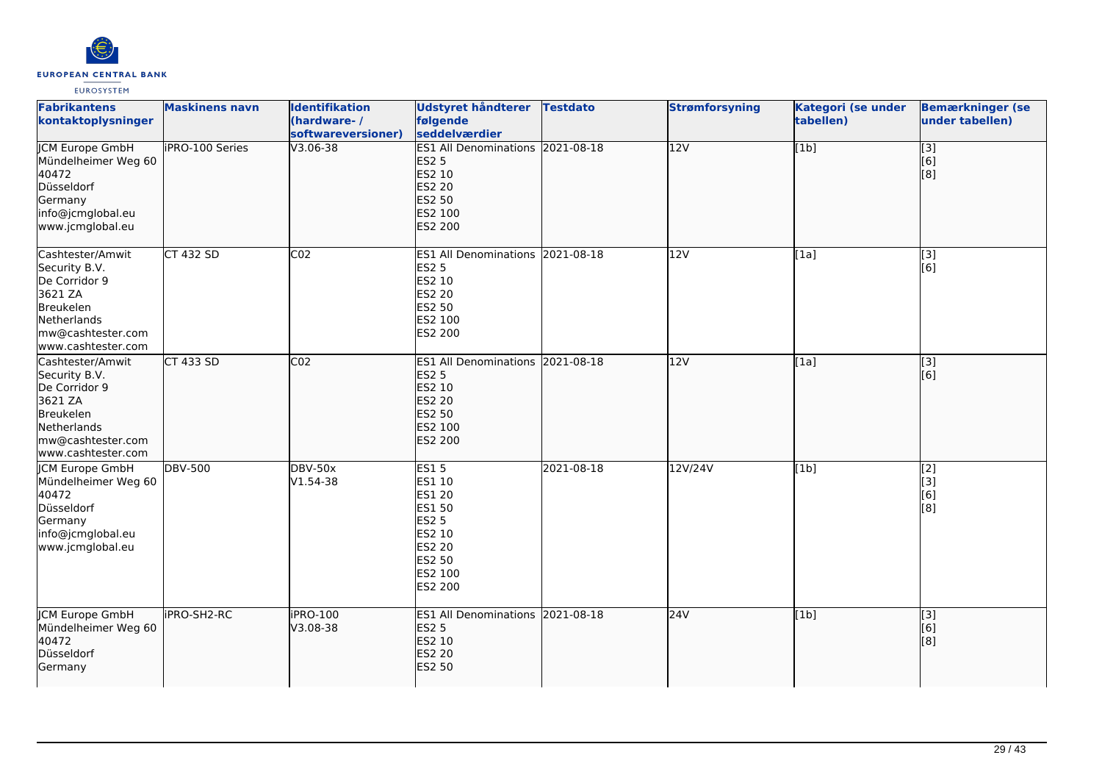

| <b>Fabrikantens</b><br>kontaktoplysninger                                                                                            | <b>Maskinens navn</b> | <b>Identifikation</b><br>(hardware-/<br>softwareversioner) | Udstyret håndterer<br>følgende<br>seddelværdier                                                                      | <b>Testdato</b> | <b>Strømforsyning</b> | Kategori (se under<br>tabellen) | <b>Bemærkninger (se</b><br>under tabellen)       |
|--------------------------------------------------------------------------------------------------------------------------------------|-----------------------|------------------------------------------------------------|----------------------------------------------------------------------------------------------------------------------|-----------------|-----------------------|---------------------------------|--------------------------------------------------|
| <b>JCM Europe GmbH</b><br>Mündelheimer Weg 60<br>40472<br>Düsseldorf<br>Germany<br>info@jcmglobal.eu<br>www.jcmglobal.eu             | iPRO-100 Series       | $V3.06 - 38$                                               | ES1 All Denominations 2021-08-18<br><b>ES2 5</b><br>ES2 10<br><b>ES2 20</b><br><b>ES2 50</b><br>ES2 100<br>ES2 200   |                 | $\overline{12V}$      | [1b]                            | $\overline{[}3]$<br>[6]<br>[8]                   |
| Cashtester/Amwit<br>Security B.V.<br>De Corridor 9<br>3621 ZA<br>Breukelen<br>Netherlands<br>mw@cashtester.com<br>www.cashtester.com | CT 432 SD             | CO <sub>2</sub>                                            | ES1 All Denominations 2021-08-18<br><b>ES2 5</b><br>ES2 10<br><b>ES2 20</b><br><b>ES2 50</b><br>ES2 100<br>ES2 200   |                 | 12V                   | [1a]                            | [3]<br>[6]                                       |
| Cashtester/Amwit<br>Security B.V.<br>De Corridor 9<br>3621 ZA<br>Breukelen<br>Netherlands<br>mw@cashtester.com<br>www.cashtester.com | CT 433 SD             | CO <sub>2</sub>                                            | ES1 All Denominations 2021-08-18<br><b>ES2 5</b><br>ES2 10<br><b>ES2 20</b><br><b>ES2 50</b><br>ES2 100<br>ES2 200   |                 | 12V                   | [1a]                            | [3]<br>[6]                                       |
| JCM Europe GmbH<br>Mündelheimer Weg 60<br>40472<br>Düsseldorf<br>Germany<br>info@jcmglobal.eu<br>www.jcmglobal.eu                    | <b>DBV-500</b>        | <b>DBV-50x</b><br>V1.54-38                                 | <b>ES15</b><br>ES1 10<br><b>ES1 20</b><br>ES1 50<br>ES2 5<br>ES2 10<br><b>ES2 20</b><br>ES2 50<br>ES2 100<br>ES2 200 | 2021-08-18      | 12V/24V               | [1b]                            | [2]<br>[3]<br>[6]<br>$\overline{[}8\overline{]}$ |
| <b>JCM Europe GmbH</b><br>Mündelheimer Weg 60<br>40472<br>Düsseldorf<br>Germany                                                      | iPRO-SH2-RC           | <b>iPRO-100</b><br>V3.08-38                                | ES1 All Denominations 2021-08-18<br><b>ES2 5</b><br>ES2 10<br><b>ES2 20</b><br><b>ES2 50</b>                         |                 | 24V                   | [1b]                            | [3]<br>[6]<br>[8]                                |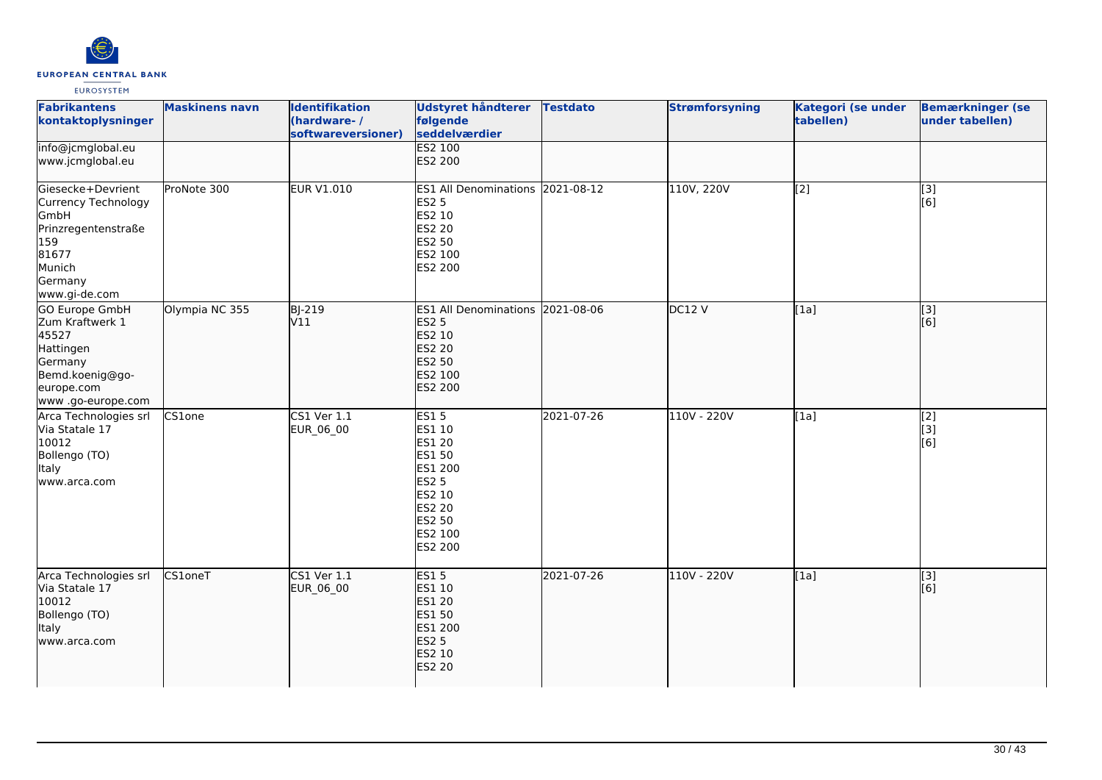

| <b>Fabrikantens</b><br>kontaktoplysninger                                                                                       | <b>Maskinens navn</b> | <b>Identifikation</b><br>(hardware-/<br>softwareversioner) | <b>Udstyret håndterer</b><br>følgende<br>seddelværdier                                                                   | <b>Testdato</b> | <b>Strømforsyning</b> | Kategori (se under<br>tabellen) | <b>Bemærkninger (se</b><br>under tabellen) |
|---------------------------------------------------------------------------------------------------------------------------------|-----------------------|------------------------------------------------------------|--------------------------------------------------------------------------------------------------------------------------|-----------------|-----------------------|---------------------------------|--------------------------------------------|
| info@jcmglobal.eu<br>www.jcmglobal.eu                                                                                           |                       |                                                            | <b>ES2 100</b><br>ES2 200                                                                                                |                 |                       |                                 |                                            |
| Giesecke+Devrient<br>Currency Technology<br>GmbH<br>Prinzregentenstraße<br>159<br>81677<br>Munich<br>Germany<br>www.gi-de.com   | ProNote 300           | <b>EUR V1.010</b>                                          | ES1 All Denominations 2021-08-12<br>ES2 5<br>ES2 10<br>ES2 20<br>ES2 50<br>ES2 100<br>ES2 200                            |                 | 110V, 220V            | $\overline{[2]}$                | $\overline{[}3]$<br>[6]                    |
| <b>GO Europe GmbH</b><br>Zum Kraftwerk 1<br>45527<br>Hattingen<br>Germany<br>Bemd.koenig@go-<br>europe.com<br>www.go-europe.com | Olympia NC 355        | <b>BJ-219</b><br>V11                                       | ES1 All Denominations 2021-08-06<br><b>ES2 5</b><br>ES2 10<br><b>ES2 20</b><br>ES2 50<br>ES2 100<br>ES2 200              |                 | DC12V                 | [1a]                            | $\overline{[}3]$<br>[6]                    |
| Arca Technologies srl<br>Via Statale 17<br>10012<br>Bollengo (TO)<br>Italy<br>www.arca.com                                      | CS1one                | <b>CS1 Ver 1.1</b><br>EUR_06_00                            | <b>ES15</b><br>ES1 10<br>ES1 20<br>ES1 50<br>ES1 200<br><b>ES2 5</b><br>ES2 10<br>ES2 20<br>ES2 50<br>ES2 100<br>ES2 200 | 2021-07-26      | 110V - 220V           | [1a]                            | [2]<br>[3]<br>[6]                          |
| Arca Technologies srl<br>Via Statale 17<br>10012<br>Bollengo (TO)<br>Italy<br>www.arca.com                                      | <b>CS1oneT</b>        | <b>CS1 Ver 1.1</b><br>EUR_06_00                            | <b>ES15</b><br>ES1 10<br><b>ES1 20</b><br><b>ES1 50</b><br>ES1 200<br><b>ES2 5</b><br>ES2 10<br><b>ES2 20</b>            | 2021-07-26      | 110V - 220V           | [1a]                            | $\overline{[}$ [3]<br>[6]                  |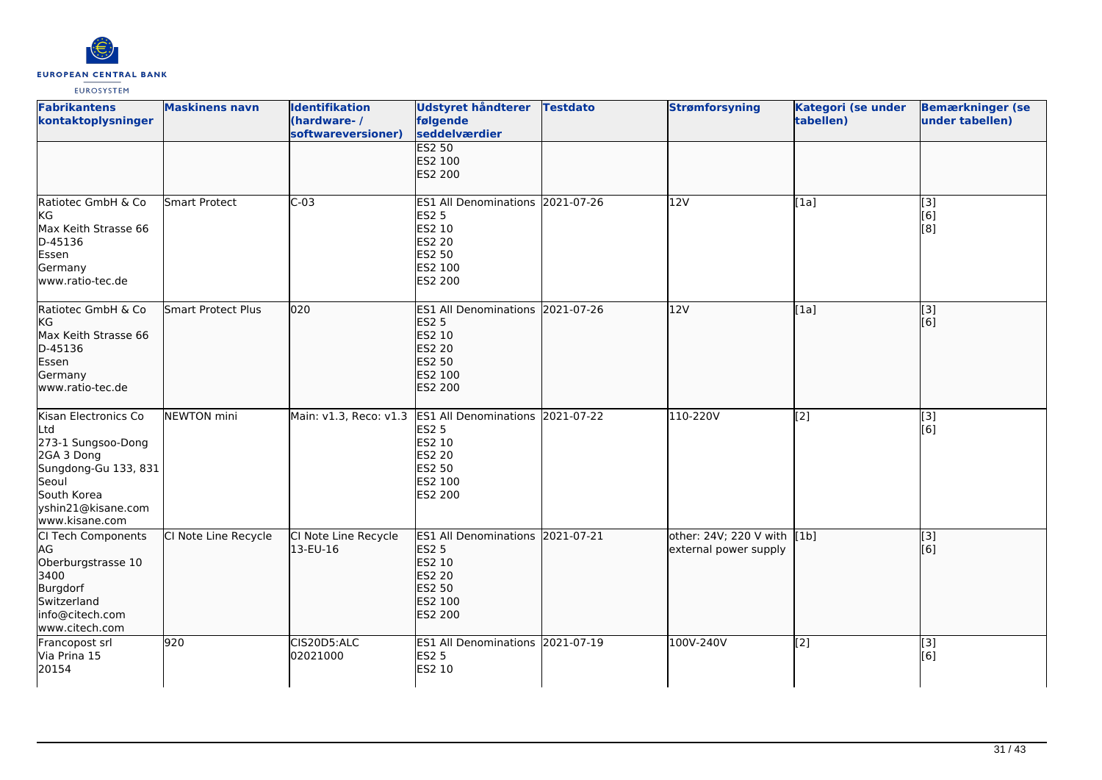

| <b>Fabrikantens</b><br>kontaktoplysninger                                                                                                               | <b>Maskinens navn</b>     | <b>Identifikation</b><br>(hardware-/<br>softwareversioner) | <b>Udstyret håndterer</b><br>følgende<br>seddelværdier                                                                    | <b>Testdato</b> | <b>Strømforsyning</b>                           | Kategori (se under<br>tabellen) | <b>Bemærkninger (se</b><br>under tabellen) |
|---------------------------------------------------------------------------------------------------------------------------------------------------------|---------------------------|------------------------------------------------------------|---------------------------------------------------------------------------------------------------------------------------|-----------------|-------------------------------------------------|---------------------------------|--------------------------------------------|
|                                                                                                                                                         |                           |                                                            | <b>ES2 50</b><br>ES2 100<br><b>ES2 200</b>                                                                                |                 |                                                 |                                 |                                            |
| Ratiotec GmbH & Co<br>KG<br>Max Keith Strasse 66<br>D-45136<br>Essen<br>Germany<br>www.ratio-tec.de                                                     | Smart Protect             | $C-03$                                                     | ES1 All Denominations 2021-07-26<br><b>ES2 5</b><br>ES2 10<br><b>ES2 20</b><br>ES2 50<br>ES2 100<br>ES2 200               |                 | 12V                                             | [1a]                            | [3]<br>[6]<br>[8]                          |
| Ratiotec GmbH & Co<br>kG<br>Max Keith Strasse 66<br>D-45136<br>Essen<br>Germany<br>www.ratio-tec.de                                                     | <b>Smart Protect Plus</b> | 020                                                        | ES1 All Denominations 2021-07-26<br><b>ES2 5</b><br>ES2 10<br><b>ES2 20</b><br>ES2 50<br>ES2 100<br>ES2 200               |                 | 12V                                             | [1a]                            | $\overline{[3]}$<br>[6]                    |
| Kisan Electronics Co<br>Ltd<br>273-1 Sungsoo-Dong<br>2GA 3 Dong<br>Sungdong-Gu 133, 831<br>Seoul<br>South Korea<br>yshin21@kisane.com<br>www.kisane.com | NEWTON mini               |                                                            | Main: v1.3, Reco: v1.3 ES1 All Denominations<br><b>ES2 5</b><br>ES2 10<br><b>ES2 20</b><br>ES2 50<br>ES2 100<br>ES2 200   | 2021-07-22      | 110-220V                                        | [2]                             | [3]<br>[6]                                 |
| CI Tech Components<br>AG<br>Oberburgstrasse 10<br>3400<br>Burgdorf<br>Switzerland<br>info@citech.com<br>www.citech.com                                  | CI Note Line Recycle      | CI Note Line Recycle<br>13-EU-16                           | ES1 All Denominations 2021-07-21<br><b>ES2 5</b><br><b>ES2 10</b><br><b>ES2 20</b><br><b>ES2 50</b><br>ES2 100<br>ES2 200 |                 | other: 24V; 220 V with<br>external power supply | [1b]                            | $\overline{[3]}$<br>[6]                    |
| Francopost srl<br>Via Prina 15<br>20154                                                                                                                 | 920                       | CIS20D5:ALC<br>02021000                                    | ES1 All Denominations 2021-07-19<br><b>ES2 5</b><br>ES2 10                                                                |                 | 100V-240V                                       | [2]                             | [3]<br>[6]                                 |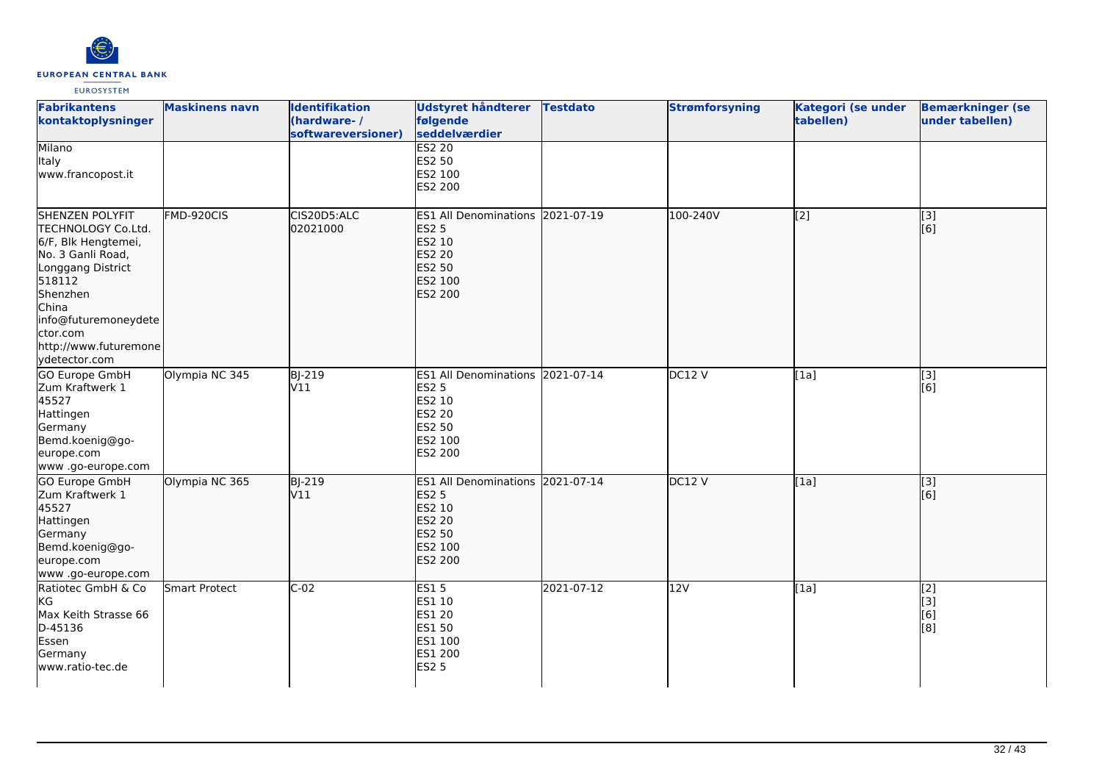

| <b>Fabrikantens</b><br>kontaktoplysninger                                                                                                                                                                                  | <b>Maskinens navn</b> | <b>Identifikation</b><br>(hardware-/<br>softwareversioner) | <b>Udstyret håndterer</b><br>følgende<br>seddelværdier                                                                    | <b>Testdato</b> | <b>Strømforsyning</b> | Kategori (se under<br>tabellen) | <b>Bemærkninger (se</b><br>under tabellen) |
|----------------------------------------------------------------------------------------------------------------------------------------------------------------------------------------------------------------------------|-----------------------|------------------------------------------------------------|---------------------------------------------------------------------------------------------------------------------------|-----------------|-----------------------|---------------------------------|--------------------------------------------|
| Milano<br>Italy<br>www.francopost.it                                                                                                                                                                                       |                       |                                                            | <b>ES2 20</b><br>ES2 50<br>ES2 100<br>ES2 200                                                                             |                 |                       |                                 |                                            |
| <b>SHENZEN POLYFIT</b><br>TECHNOLOGY Co.Ltd.<br>6/F, Blk Hengtemei,<br>No. 3 Ganli Road,<br>Longgang District<br>518112<br>Shenzhen<br>China<br>info@futuremoneydete<br>ctor.com<br>http://www.futuremone<br>ydetector.com | FMD-920CIS            | CIS20D5:ALC<br>02021000                                    | ES1 All Denominations 2021-07-19<br><b>ES2 5</b><br>ES2 10<br><b>ES2 20</b><br><b>ES2 50</b><br>ES2 100<br><b>ES2 200</b> |                 | 100-240V              | [[2]                            | [3]<br>[6]                                 |
| GO Europe GmbH<br>Zum Kraftwerk 1<br>45527<br>Hattingen<br>Germany<br>Bemd.koenig@go-<br>europe.com<br>www .go-europe.com                                                                                                  | Olympia NC 345        | BJ-219<br>V11                                              | ES1 All Denominations 2021-07-14<br><b>ES2 5</b><br>ES2 10<br><b>ES2 20</b><br>ES2 50<br>ES2 100<br>ES2 200               |                 | DC12V                 | [1a]                            | $\overline{[3]}$<br>[6]                    |
| GO Europe GmbH<br>Zum Kraftwerk 1<br>45527<br>Hattingen<br>Germany<br>Bemd.koenig@go-<br>europe.com<br>www.go-europe.com                                                                                                   | Olympia NC 365        | <b>BJ-219</b><br>V11                                       | <b>ES1 All Denominations</b><br><b>ES2 5</b><br>ES2 10<br><b>ES2 20</b><br>ES2 50<br>ES2 100<br><b>ES2 200</b>            | 2021-07-14      | DC12V                 | [1a]                            | [3]<br>[[6]                                |
| Ratiotec GmbH & Co<br>KG<br>Max Keith Strasse 66<br>D-45136<br>Essen<br>Germany<br>www.ratio-tec.de                                                                                                                        | Smart Protect         | $C-02$                                                     | <b>ES15</b><br>ES1 10<br>ES1 20<br>ES1 50<br>ES1 100<br>ES1 200<br><b>ES2 5</b>                                           | 2021-07-12      | 12V                   | [1a]                            | [2]<br>[3]<br>[6]<br>[8]                   |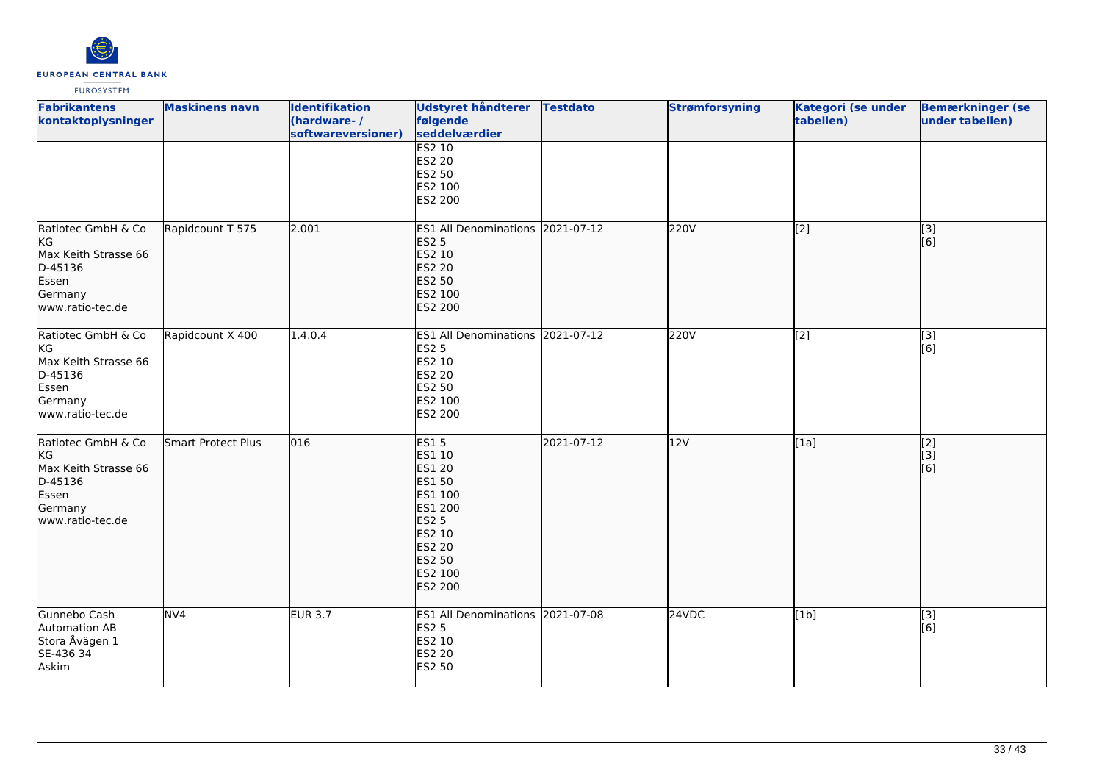

| <b>Fabrikantens</b><br>kontaktoplysninger                                                           | <b>Maskinens navn</b> | <b>Identifikation</b><br>(hardware-/<br>softwareversioner) | <b>Udstyret håndterer</b><br>følgende<br>seddelværdier                                                                                                          | <b>Testdato</b> | <b>Strømforsyning</b> | Kategori (se under<br>tabellen) | <b>Bemærkninger (se</b><br>under tabellen) |
|-----------------------------------------------------------------------------------------------------|-----------------------|------------------------------------------------------------|-----------------------------------------------------------------------------------------------------------------------------------------------------------------|-----------------|-----------------------|---------------------------------|--------------------------------------------|
|                                                                                                     |                       |                                                            | <b>ES2 10</b><br>ES2 20<br>ES2 50<br>ES2 100<br>ES2 200                                                                                                         |                 |                       |                                 |                                            |
| Ratiotec GmbH & Co<br>KG<br>Max Keith Strasse 66<br>D-45136<br>Essen<br>Germany<br>www.ratio-tec.de | Rapidcount T 575      | 2.001                                                      | ES1 All Denominations 2021-07-12<br><b>ES2 5</b><br>ES2 10<br><b>ES2 20</b><br>ES2 50<br>ES2 100<br><b>ES2 200</b>                                              |                 | 220V                  | [2]                             | [3]<br>[6]                                 |
| Ratiotec GmbH & Co<br>KG<br>Max Keith Strasse 66<br>D-45136<br>Essen<br>Germany<br>www.ratio-tec.de | Rapidcount X 400      | 1.4.0.4                                                    | ES1 All Denominations 2021-07-12<br><b>ES2 5</b><br>ES2 10<br>ES2 20<br>ES2 50<br>ES2 100<br>ES2 200                                                            |                 | 220V                  | [2]                             | $\overline{[3]}$<br>[6]                    |
| Ratiotec GmbH & Co<br>KG<br>Max Keith Strasse 66<br>D-45136<br>Essen<br>Germany<br>www.ratio-tec.de | Smart Protect Plus    | 016                                                        | <b>ES15</b><br>ES1 10<br><b>ES1 20</b><br><b>ES1 50</b><br>ES1 100<br>ES1 200<br><b>ES2 5</b><br>ES2 10<br><b>ES2 20</b><br><b>ES2 50</b><br>ES2 100<br>ES2 200 | 2021-07-12      | 12V                   | [1a]                            | [2]<br>[[3]<br>[6]                         |
| Gunnebo Cash<br>Automation AB<br>Stora Åvägen 1<br>SE-436 34<br>Askim                               | NV4                   | <b>EUR 3.7</b>                                             | ES1 All Denominations 2021-07-08<br><b>ES2 5</b><br>ES2 10<br>ES2 20<br>ES2 50                                                                                  |                 | 24VDC                 | [1b]                            | $[3]$<br>[6]                               |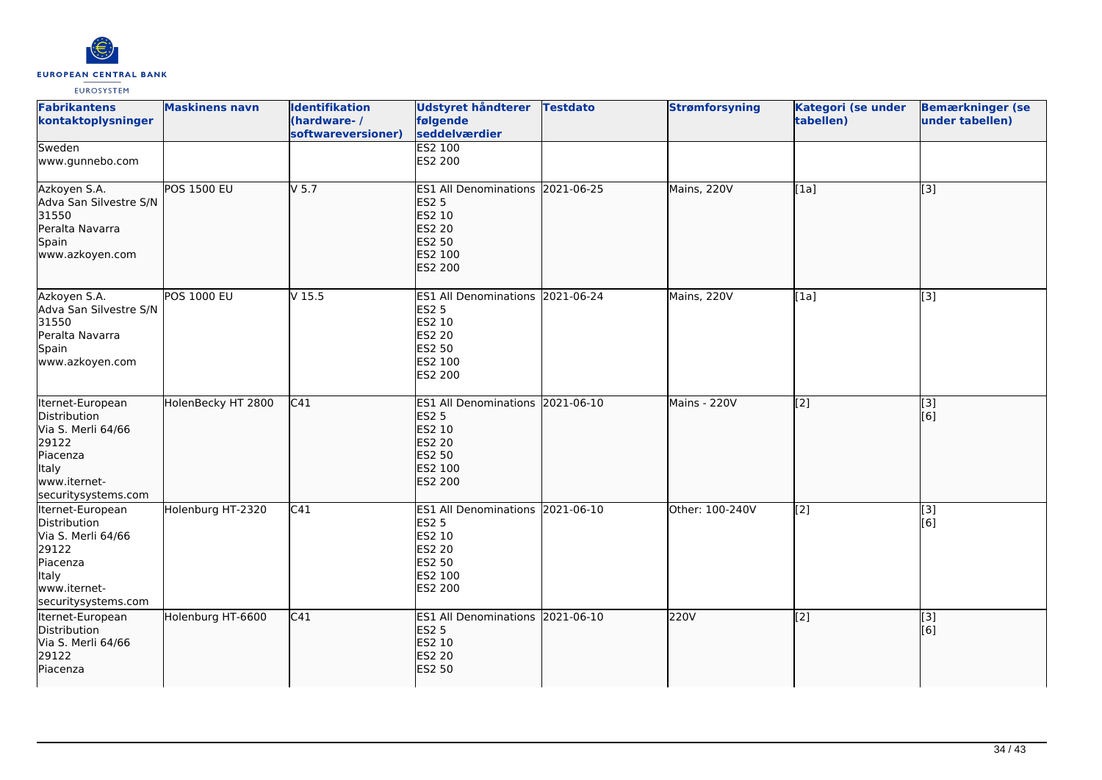

| <b>Fabrikantens</b><br>kontaktoplysninger                                                                                   | <b>Maskinens navn</b> | <b>Identifikation</b><br>(hardware-/<br>softwareversioner) | Udstyret håndterer<br>følgende<br>seddelværdier                                                                    | <b>Testdato</b> | <b>Strømforsyning</b> | Kategori (se under<br>tabellen) | <b>Bemærkninger (se</b><br>under tabellen)                |
|-----------------------------------------------------------------------------------------------------------------------------|-----------------------|------------------------------------------------------------|--------------------------------------------------------------------------------------------------------------------|-----------------|-----------------------|---------------------------------|-----------------------------------------------------------|
| Sweden<br>www.gunnebo.com                                                                                                   |                       |                                                            | <b>ES2 100</b><br>ES2 200                                                                                          |                 |                       |                                 |                                                           |
| Azkoyen S.A.<br>Adva San Silvestre S/N<br>31550<br>Peralta Navarra<br>Spain<br>www.azkoyen.com                              | <b>POS 1500 EU</b>    | $V$ 5.7                                                    | ES1 All Denominations 2021-06-25<br><b>ES2 5</b><br>ES2 10<br><b>ES2 20</b><br>ES2 50<br>ES2 100<br><b>ES2 200</b> |                 | Mains, 220V           | $\overline{[1a]}$               | $\overline{[}3]$                                          |
| Azkoyen S.A.<br>Adva San Silvestre S/N<br>31550<br>Peralta Navarra<br>Spain<br>www.azkoyen.com                              | <b>POS 1000 EU</b>    | V <sub>15.5</sub>                                          | ES1 All Denominations 2021-06-24<br><b>ES2 5</b><br>ES2 10<br><b>ES2 20</b><br>ES2 50<br>ES2 100<br>ES2 200        |                 | Mains, 220V           | [1a]                            | [3]                                                       |
| Iternet-European<br>Distribution<br>Via S. Merli 64/66<br>29122<br>Piacenza<br>Italy<br>www.iternet-<br>securitysystems.com | HolenBecky HT 2800    | C41                                                        | ES1 All Denominations 2021-06-10<br><b>ES2 5</b><br>ES2 10<br><b>ES2 20</b><br>ES2 50<br>ES2 100<br><b>ES2 200</b> |                 | Mains - 220V          | [2]                             | $\vert$ [3]<br>[6]                                        |
| Iternet-European<br>Distribution<br>Via S. Merli 64/66<br>29122<br>Piacenza<br>Italy<br>www.iternet-<br>securitysystems.com | Holenburg HT-2320     | C41                                                        | ES1 All Denominations 2021-06-10<br><b>ES2 5</b><br>ES2 10<br>ES2 20<br>ES2 50<br>ES2 100<br>ES2 200               |                 | Other: 100-240V       | [2]                             | $\left[ \begin{matrix} 1 & 3 \end{matrix} \right]$<br>[6] |
| Iternet-European<br>Distribution<br>Via S. Merli 64/66<br>29122<br>Piacenza                                                 | Holenburg HT-6600     | C41                                                        | ES1 All Denominations 2021-06-10<br><b>ES2 5</b><br>ES2 10<br><b>ES2 20</b><br><b>ES2 50</b>                       |                 | 220V                  | [2]                             | [3]<br>[6]                                                |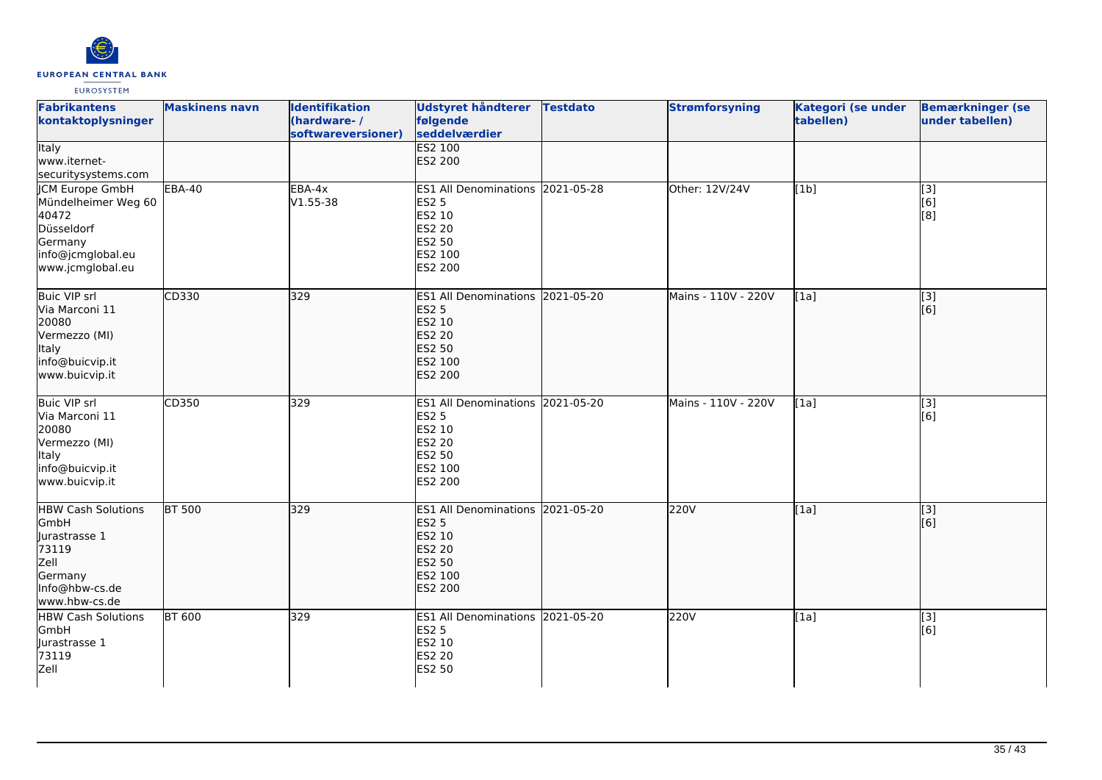

| <b>Fabrikantens</b><br>kontaktoplysninger                                                                                | <b>Maskinens navn</b> | <b>Identifikation</b><br>(hardware-/<br>softwareversioner) | <b>Udstyret håndterer</b><br>følgende<br>seddelværdier<br><b>ES2 100</b>                                    | <b>Testdato</b> | <b>Strømforsyning</b> | Kategori (se under<br>tabellen) | <b>Bemærkninger (se</b><br>under tabellen) |
|--------------------------------------------------------------------------------------------------------------------------|-----------------------|------------------------------------------------------------|-------------------------------------------------------------------------------------------------------------|-----------------|-----------------------|---------------------------------|--------------------------------------------|
| <b>Italy</b><br>www.iternet-<br>securitysystems.com                                                                      |                       |                                                            | ES2 200                                                                                                     |                 |                       |                                 |                                            |
| <b>ICM Europe GmbH</b><br>Mündelheimer Weg 60<br>40472<br>Düsseldorf<br>Germany<br>info@jcmglobal.eu<br>www.jcmglobal.eu | <b>EBA-40</b>         | EBA-4x<br>$V1.55 - 38$                                     | ES1 All Denominations 2021-05-28<br><b>ES2 5</b><br>ES2 10<br>ES2 20<br>ES2 50<br>ES2 100<br>ES2 200        |                 | Other: 12V/24V        | [1b]                            | [3]<br>[6]<br>[8]                          |
| <b>Buic VIP srl</b><br>Via Marconi 11<br>20080<br>Vermezzo (MI)<br>Italy<br>info@buicvip.it<br>www.buicvip.it            | CD330                 | 329                                                        | ES1 All Denominations 2021-05-20<br><b>ES2 5</b><br>ES2 10<br>ES2 20<br>ES2 50<br>ES2 100<br>ES2 200        |                 | Mains - 110V - 220V   | [1a]                            | $\overline{[3]}$<br>[6]                    |
| <b>Buic VIP srl</b><br>Via Marconi 11<br>20080<br>Vermezzo (MI)<br>Italy<br>info@buicvip.it<br>www.buicvip.it            | CD350                 | 329                                                        | ES1 All Denominations 2021-05-20<br>ES2 5<br>ES2 10<br>ES2 20<br>ES2 50<br>ES2 100<br>ES2 200               |                 | Mains - 110V - 220V   | [1a]                            | [3]<br>[6]                                 |
| <b>HBW Cash Solutions</b><br><b>GmbH</b><br>Jurastrasse 1<br>73119<br>Zell<br>Germany<br>Info@hbw-cs.de<br>www.hbw-cs.de | <b>BT 500</b>         | 329                                                        | ES1 All Denominations 2021-05-20<br><b>ES2 5</b><br>ES2 10<br><b>ES2 20</b><br>ES2 50<br>ES2 100<br>ES2 200 |                 | 220V                  | [1a]                            | [3]<br>[6]                                 |
| <b>HBW Cash Solutions</b><br>GmbH<br>Jurastrasse 1<br>73119<br>Zell                                                      | <b>BT 600</b>         | 329                                                        | ES1 All Denominations 2021-05-20<br>ES2 5<br>ES2 10<br>ES2 20<br>ES2 50                                     |                 | 220V                  | $\overline{[1a]}$               | [3]<br>[6]                                 |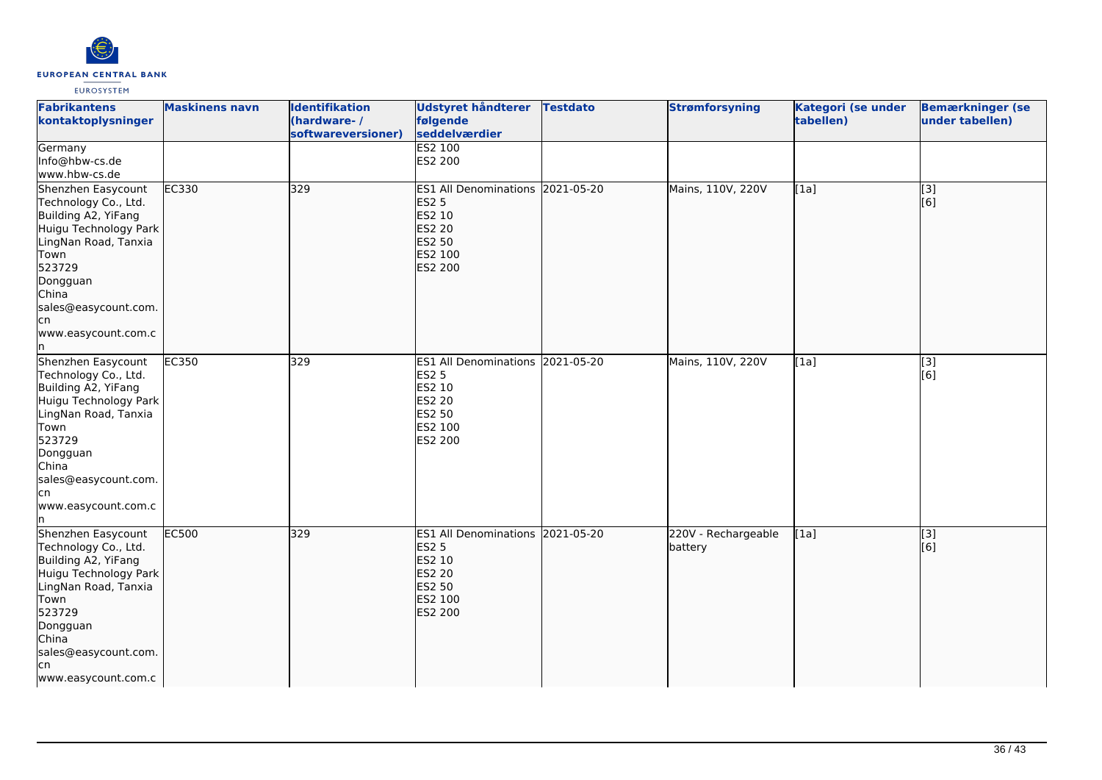

| <b>Fabrikantens</b><br>kontaktoplysninger<br>Germany                                                                                                                                                                   | <b>Maskinens navn</b> | <b>Identifikation</b><br>(hardware-/<br>softwareversioner) | Udstyret håndterer<br>følgende<br>seddelværdier<br><b>ES2 100</b>                                                         | <b>Testdato</b> | <b>Strømforsyning</b>          | Kategori (se under<br>tabellen) | <b>Bemærkninger (se</b><br>under tabellen) |
|------------------------------------------------------------------------------------------------------------------------------------------------------------------------------------------------------------------------|-----------------------|------------------------------------------------------------|---------------------------------------------------------------------------------------------------------------------------|-----------------|--------------------------------|---------------------------------|--------------------------------------------|
| Info@hbw-cs.de<br>www.hbw-cs.de                                                                                                                                                                                        |                       |                                                            | ES2 200                                                                                                                   |                 |                                |                                 |                                            |
| Shenzhen Easycount<br>Technology Co., Ltd.<br>Building A2, YiFang<br>Huigu Technology Park<br>LingNan Road, Tanxia<br>Town<br>523729<br>Dongguan<br>China<br>sales@easycount.com.<br>lcn<br>www.easycount.com.c<br>In. | EC330                 | 329                                                        | ES1 All Denominations 2021-05-20<br><b>ES2 5</b><br>ES2 10<br><b>ES2 20</b><br><b>ES2 50</b><br>ES2 100<br><b>ES2 200</b> |                 | Mains, 110V, 220V              | [1a]                            | $\overline{[3]}$<br>[[6]                   |
| Shenzhen Easycount<br>Technology Co., Ltd.<br>Building A2, YiFang<br>Huigu Technology Park<br>LingNan Road, Tanxia<br>Town<br>523729<br>Dongguan<br>China<br>sales@easycount.com.<br>cn<br>www.easycount.com.c<br>In.  | EC350                 | 329                                                        | ES1 All Denominations 2021-05-20<br>ES2 5<br>ES2 10<br><b>ES2 20</b><br>ES2 50<br>ES2 100<br>ES2 200                      |                 | Mains, 110V, 220V              | [1a]                            | [3]<br>$\overline{[}6\overline{]}$         |
| Shenzhen Easycount<br>Technology Co., Ltd.<br>Building A2, YiFang<br>Huigu Technology Park<br>LingNan Road, Tanxia<br>Town<br>523729<br>Dongguan<br>China<br>sales@easycount.com.<br>lcn<br>www.easycount.com.c        | EC500                 | 329                                                        | ES1 All Denominations 2021-05-20<br><b>ES2 5</b><br>ES2 10<br>ES2 20<br>ES2 50<br>ES2 100<br><b>ES2 200</b>               |                 | 220V - Rechargeable<br>battery | [1a]                            | [3]<br>[6]                                 |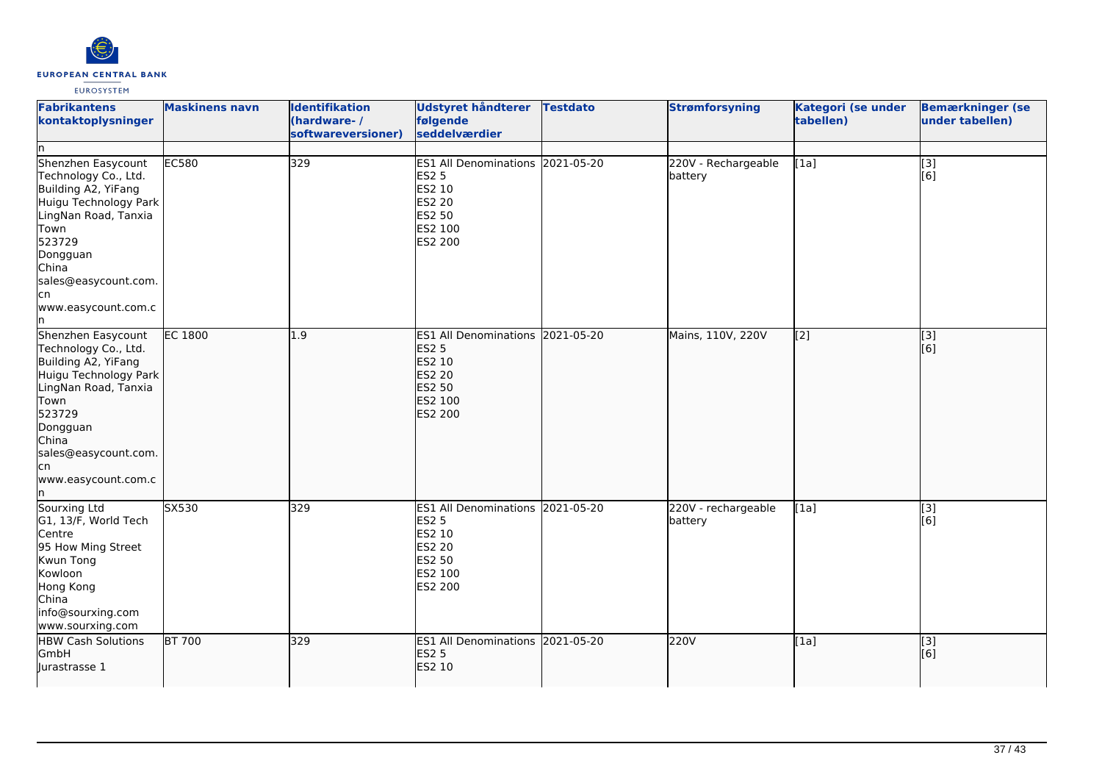

| <b>Fabrikantens</b><br>kontaktoplysninger<br>ln.                                                                                                                                                                       | <b>Maskinens navn</b> | Identifikation<br>(hardware-/<br>softwareversioner) | Udstyret håndterer<br>følgende<br>seddelværdier                                                             | <b>Testdato</b> | <b>Strømforsyning</b>          | Kategori (se under<br>tabellen) | <b>Bemærkninger (se</b><br>under tabellen) |
|------------------------------------------------------------------------------------------------------------------------------------------------------------------------------------------------------------------------|-----------------------|-----------------------------------------------------|-------------------------------------------------------------------------------------------------------------|-----------------|--------------------------------|---------------------------------|--------------------------------------------|
| Shenzhen Easycount<br>Technology Co., Ltd.<br>Building A2, YiFang<br>Huigu Technology Park<br>LingNan Road, Tanxia<br>Town<br>523729<br>Dongguan<br>China<br>sales@easycount.com.<br>lcn<br>www.easycount.com.c<br>ln. | EC580                 | 329                                                 | ES1 All Denominations 2021-05-20<br><b>ES2 5</b><br>ES2 10<br><b>ES2 20</b><br>ES2 50<br>ES2 100<br>ES2 200 |                 | 220V - Rechargeable<br>battery | [1a]                            | [3]<br>[6]                                 |
| Shenzhen Easycount<br>Technology Co., Ltd.<br>Building A2, YiFang<br>Huigu Technology Park<br>LingNan Road, Tanxia<br>Town<br>523729<br>Dongguan<br>China<br>sales@easycount.com.<br>lcn<br>www.easycount.com.c<br>ln. | <b>EC 1800</b>        | 1.9                                                 | ES1 All Denominations 2021-05-20<br><b>ES2 5</b><br>ES2 10<br><b>ES2 20</b><br>ES2 50<br>ES2 100<br>ES2 200 |                 | Mains, 110V, 220V              | [2]                             | [3]<br>[6]                                 |
| Sourxing Ltd<br>G1, 13/F, World Tech<br>Centre<br>95 How Ming Street<br>Kwun Tong<br>Kowloon<br>Hong Kong<br>China<br>info@sourxing.com<br>www.sourxing.com                                                            | SX530                 | 329                                                 | ES1 All Denominations 2021-05-20<br><b>ES2 5</b><br>ES2 10<br><b>ES2 20</b><br>ES2 50<br>ES2 100<br>ES2 200 |                 | 220V - rechargeable<br>battery | [1a]                            | [3]<br>[6]                                 |
| <b>HBW Cash Solutions</b><br>GmbH<br>lurastrasse 1                                                                                                                                                                     | BT 700                | 329                                                 | ES1 All Denominations 2021-05-20<br><b>ES2 5</b><br>ES2 10                                                  |                 | 220V                           | [1a]                            | [3]<br>[6]                                 |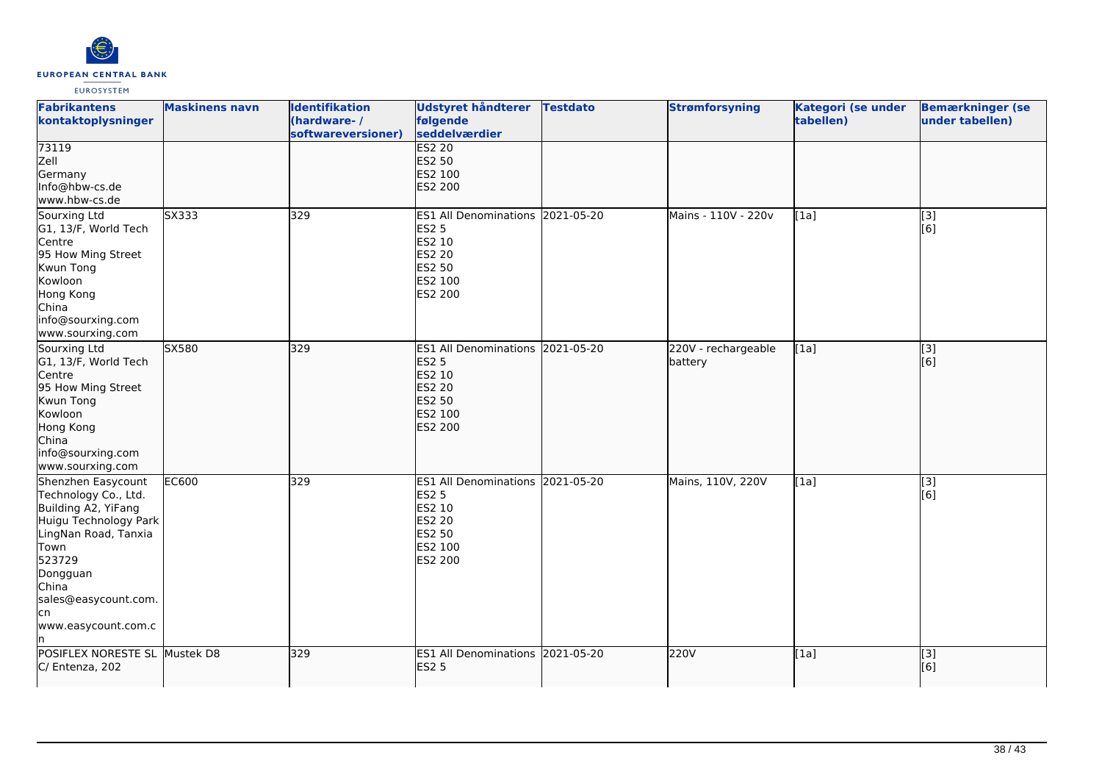

| <b>Fabrikantens</b><br>kontaktoplysninger                                                                                                                                                                       | <b>Maskinens navn</b> | <b>Identifikation</b><br>(hardware-/<br>softwareversioner) | Udstyret håndterer<br>følgende<br>seddelværdier                                                             | <b>Testdato</b> | <b>Strømforsyning</b>          | Kategori (se under<br>tabellen) | <b>Bemærkninger (se</b><br>under tabellen) |
|-----------------------------------------------------------------------------------------------------------------------------------------------------------------------------------------------------------------|-----------------------|------------------------------------------------------------|-------------------------------------------------------------------------------------------------------------|-----------------|--------------------------------|---------------------------------|--------------------------------------------|
| 73119<br>Zell<br>Germany<br>Info@hbw-cs.de<br>www.hbw-cs.de                                                                                                                                                     |                       |                                                            | <b>ES2 20</b><br>ES2 50<br>ES2 100<br>ES2 200                                                               |                 |                                |                                 |                                            |
| Sourxing Ltd<br>G1, 13/F, World Tech<br>Centre<br>95 How Ming Street<br>Kwun Tong<br>Kowloon<br>Hong Kong<br>China<br>info@sourxing.com<br>www.sourxing.com                                                     | SX333                 | 329                                                        | ES1 All Denominations 2021-05-20<br><b>ES2 5</b><br>ES2 10<br>ES2 20<br>ES2 50<br>ES2 100<br>ES2 200        |                 | Mains - 110V - 220v            | [1a]                            | [3]<br>[6]                                 |
| Sourxing Ltd<br>G1, 13/F, World Tech<br>Centre<br>95 How Ming Street<br>Kwun Tong<br>Kowloon<br>Hong Kong<br>China<br>info@sourxing.com<br>www.sourxing.com                                                     | SX580                 | 329                                                        | ES1 All Denominations 2021-05-20<br><b>ES2 5</b><br>ES2 10<br>ES2 20<br>ES2 50<br>ES2 100<br><b>ES2 200</b> |                 | 220V - rechargeable<br>battery | [1a]                            | $\overline{[3]}$<br>[6]                    |
| Shenzhen Easycount<br>Technology Co., Ltd.<br>Building A2, YiFang<br>Huigu Technology Park<br>LingNan Road, Tanxia<br>Town<br>523729<br>Dongguan<br>China<br>sales@easycount.com.<br>lcn<br>www.easycount.com.c | <b>EC600</b>          | 329                                                        | ES1 All Denominations 2021-05-20<br><b>ES2 5</b><br>ES2 10<br>ES2 20<br>ES2 50<br>ES2 100<br>ES2 200        |                 | Mains, 110V, 220V              | [1a]                            | [3]<br>[6]                                 |
| POSIFLEX NORESTE SL Mustek D8<br>C/ Entenza, 202                                                                                                                                                                |                       | 329                                                        | ES1 All Denominations 2021-05-20<br><b>ES2 5</b>                                                            |                 | 220V                           | [1a]                            | [3]<br>[6]                                 |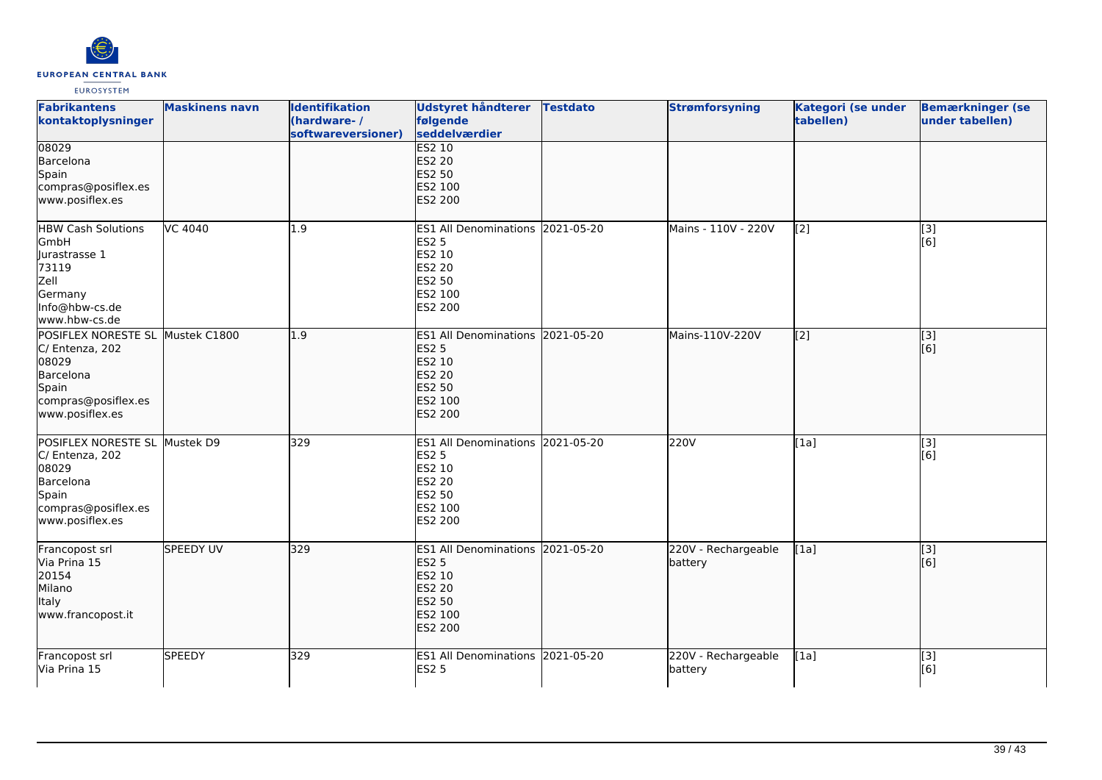

| <b>Fabrikantens</b><br>kontaktoplysninger                                                                                    | <b>Maskinens navn</b> | <b>Identifikation</b><br>(hardware-/<br>softwareversioner) | Udstyret håndterer<br>følgende<br>seddelværdier                                                                    | <b>Testdato</b> | <b>Strømforsyning</b>          | Kategori (se under<br>tabellen) | <b>Bemærkninger (se</b><br>under tabellen) |
|------------------------------------------------------------------------------------------------------------------------------|-----------------------|------------------------------------------------------------|--------------------------------------------------------------------------------------------------------------------|-----------------|--------------------------------|---------------------------------|--------------------------------------------|
| 08029<br>Barcelona<br>Spain<br>compras@posiflex.es<br>www.posiflex.es                                                        |                       |                                                            | ES2 10<br><b>ES2 20</b><br><b>ES2 50</b><br>ES2 100<br>ES2 200                                                     |                 |                                |                                 |                                            |
| <b>HBW Cash Solutions</b><br>GmbH<br>Jurastrasse 1<br>73119<br>Zell<br>Germany<br>Info@hbw-cs.de<br>www.hbw-cs.de            | VC 4040               | 1.9                                                        | <b>ES1 All Denominations</b><br><b>ES2 5</b><br>ES2 10<br><b>ES2 20</b><br><b>ES2 50</b><br>ES2 100<br>ES2 200     | 2021-05-20      | Mains - 110V - 220V            | [2]                             | [3]<br>[6]                                 |
| POSIFLEX NORESTE SL Mustek C1800<br>C/ Entenza, 202<br>08029<br>Barcelona<br>Spain<br>compras@posiflex.es<br>www.posiflex.es |                       | 1.9                                                        | ES1 All Denominations 2021-05-20<br><b>ES2 5</b><br>ES2 10<br><b>ES2 20</b><br>ES2 50<br>ES2 100<br>ES2 200        |                 | Mains-110V-220V                | $\overline{[2]}$                | $\overline{[3]}$<br>[6]                    |
| POSIFLEX NORESTE SL Mustek D9<br>C/ Entenza, 202<br>08029<br>Barcelona<br>Spain<br>compras@posiflex.es<br>www.posiflex.es    |                       | 329                                                        | ES1 All Denominations 2021-05-20<br><b>ES2 5</b><br><b>ES2 10</b><br><b>ES2 20</b><br>ES2 50<br>ES2 100<br>ES2 200 |                 | 220V                           | [1a]                            | $\overline{[3]}$<br>[6]                    |
| Francopost srl<br>Via Prina 15<br>20154<br>Milano<br>Italy<br>www.francopost.it                                              | SPEEDY UV             | 329                                                        | ES1 All Denominations 2021-05-20<br><b>ES2 5</b><br>ES2 10<br><b>ES2 20</b><br><b>ES2 50</b><br>ES2 100<br>ES2 200 |                 | 220V - Rechargeable<br>battery | [1a]                            | [3]<br>[6]                                 |
| Francopost srl<br>Via Prina 15                                                                                               | <b>SPEEDY</b>         | 329                                                        | ES1 All Denominations 2021-05-20<br><b>ES2 5</b>                                                                   |                 | 220V - Rechargeable<br>battery | [1a]                            | $\overline{[}3]$<br>[6]                    |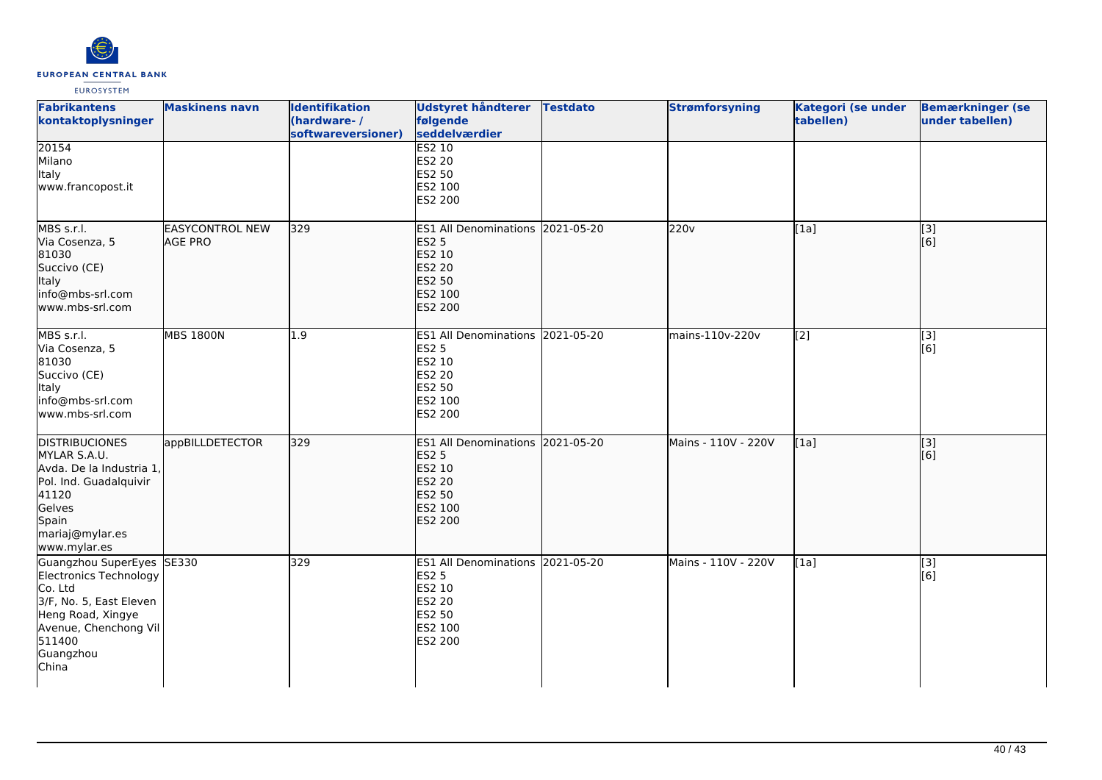

| <b>Fabrikantens</b><br>kontaktoplysninger                                                                                                                               | <b>Maskinens navn</b>                    | <b>Identifikation</b><br>(hardware-/<br>softwareversioner) | <b>Udstyret håndterer</b><br>følgende<br>seddelværdier                                                                    | <b>Testdato</b> | <b>Strømforsyning</b> | Kategori (se under<br>tabellen) | <b>Bemærkninger (se</b><br>under tabellen) |
|-------------------------------------------------------------------------------------------------------------------------------------------------------------------------|------------------------------------------|------------------------------------------------------------|---------------------------------------------------------------------------------------------------------------------------|-----------------|-----------------------|---------------------------------|--------------------------------------------|
| 20154<br>Milano<br>Italy<br>www.francopost.it                                                                                                                           |                                          |                                                            | <b>ES2 10</b><br><b>ES2 20</b><br>ES2 50<br>ES2 100<br>ES2 200                                                            |                 |                       |                                 |                                            |
| MBS s.r.l.<br>Via Cosenza, 5<br>81030<br>Succivo (CE)<br><b>Italy</b><br>info@mbs-srl.com<br>www.mbs-srl.com                                                            | <b>EASYCONTROL NEW</b><br><b>AGE PRO</b> | 329                                                        | ES1 All Denominations 2021-05-20<br><b>ES2 5</b><br>ES2 10<br><b>ES2 20</b><br><b>ES2 50</b><br>ES2 100<br>ES2 200        |                 | 220v                  | [1a]                            | [[3]<br>[[6]                               |
| MBS s.r.l.<br>Via Cosenza, 5<br>81030<br>Succivo (CE)<br>Italy<br>info@mbs-srl.com<br>lwww.mbs-srl.com                                                                  | <b>MBS 1800N</b>                         | 1.9                                                        | ES1 All Denominations 2021-05-20<br><b>ES2 5</b><br>ES2 10<br><b>ES2 20</b><br><b>ES2 50</b><br>ES2 100<br>ES2 200        |                 | mains-110v-220v       | [2]                             | $\overline{[3]}$<br>[6]                    |
| <b>DISTRIBUCIONES</b><br>MYLAR S.A.U.<br>Avda. De la Industria 1,<br>Pol. Ind. Guadalquivir<br>41120<br>Gelves<br>Spain<br>mariaj@mylar.es<br>www.mylar.es              | appBILLDETECTOR                          | 329                                                        | ES1 All Denominations 2021-05-20<br><b>ES2 5</b><br>ES2 10<br><b>ES2 20</b><br><b>ES2 50</b><br>ES2 100<br><b>ES2 200</b> |                 | Mains - 110V - 220V   | [1a]                            | $\overline{[}$ [3]<br>[6]                  |
| Guangzhou SuperEyes SE330<br>Electronics Technology<br>Co. Ltd<br>3/F, No. 5, East Eleven<br>Heng Road, Xingye<br>Avenue, Chenchong Vil<br>511400<br>Guangzhou<br>China |                                          | 329                                                        | ES1 All Denominations 2021-05-20<br><b>ES2 5</b><br>ES2 10<br><b>ES2 20</b><br>ES2 50<br>ES2 100<br>ES2 200               |                 | Mains - 110V - 220V   | [1a]                            | $\overline{[3]}$<br>[6]                    |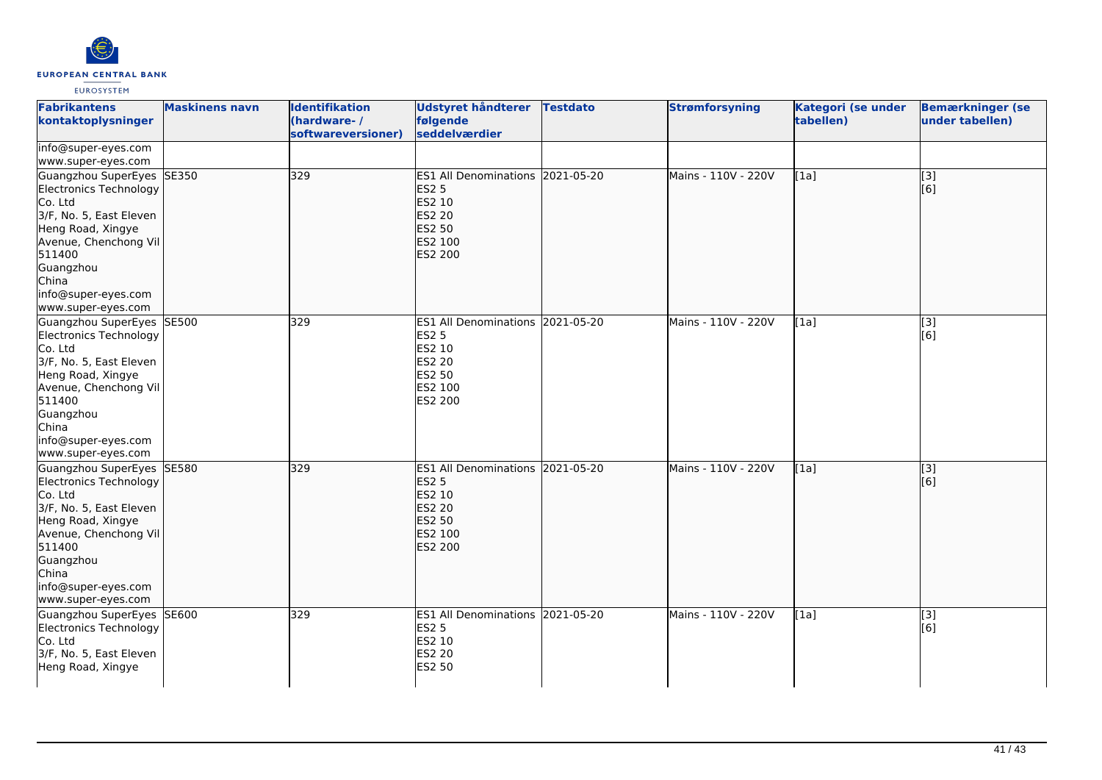

| <b>Fabrikantens</b><br>kontaktoplysninger                                                                                                                                                                            | <b>Maskinens navn</b> | <b>Identifikation</b><br>(hardware-/<br>softwareversioner) | <b>Udstyret håndterer</b><br>følgende<br>seddelværdier                                                                    | <b>Testdato</b> | <b>Strømforsyning</b> | Kategori (se under<br>tabellen) | <b>Bemærkninger (se</b><br>under tabellen) |
|----------------------------------------------------------------------------------------------------------------------------------------------------------------------------------------------------------------------|-----------------------|------------------------------------------------------------|---------------------------------------------------------------------------------------------------------------------------|-----------------|-----------------------|---------------------------------|--------------------------------------------|
| info@super-eyes.com<br>www.super-eyes.com                                                                                                                                                                            |                       |                                                            |                                                                                                                           |                 |                       |                                 |                                            |
| Guangzhou SuperEyes SE350<br>Electronics Technology<br>Co. Ltd<br>3/F, No. 5, East Eleven<br>Heng Road, Xingye<br>Avenue, Chenchong Vil<br>511400<br>Guangzhou<br>China<br>info@super-eyes.com<br>www.super-eyes.com |                       | 329                                                        | ES1 All Denominations 2021-05-20<br><b>ES2 5</b><br>ES2 10<br><b>ES2 20</b><br>ES2 50<br>ES2 100<br>ES2 200               |                 | Mains - 110V - 220V   | [1a]                            | $\begin{bmatrix} 3 \\ 6 \end{bmatrix}$     |
| Guangzhou SuperEyes SE500<br>Electronics Technology<br>Co. Ltd<br>3/F, No. 5, East Eleven<br>Heng Road, Xingye<br>Avenue, Chenchong Vil<br>511400<br>Guangzhou<br>China<br>info@super-eyes.com<br>www.super-eyes.com |                       | 329                                                        | ES1 All Denominations 2021-05-20<br><b>ES2 5</b><br>ES2 10<br><b>ES2 20</b><br><b>ES2 50</b><br>ES2 100<br><b>ES2 200</b> |                 | Mains - 110V - 220V   | [1a]                            | [3]<br>[6]                                 |
| Guangzhou SuperEyes SE580<br>Electronics Technology<br>Co. Ltd<br>3/F, No. 5, East Eleven<br>Heng Road, Xingye<br>Avenue, Chenchong Vil<br>511400<br>Guangzhou<br>China<br>info@super-eyes.com<br>www.super-eyes.com |                       | 329                                                        | ES1 All Denominations 2021-05-20<br><b>ES2 5</b><br>ES2 10<br><b>ES2 20</b><br><b>ES2 50</b><br>ES2 100<br><b>ES2 200</b> |                 | Mains - 110V - 220V   | [1a]                            | $\overline{[}3]$<br>[6]                    |
| Guangzhou SuperEyes SE600<br>Electronics Technology<br>Co. Ltd<br>3/F, No. 5, East Eleven<br>Heng Road, Xingye                                                                                                       |                       | 329                                                        | ES1 All Denominations 2021-05-20<br><b>ES2 5</b><br>ES2 10<br>ES2 20<br><b>ES2 50</b>                                     |                 | Mains - 110V - 220V   | [1a]                            | $\overline{[3]}$<br>[6]                    |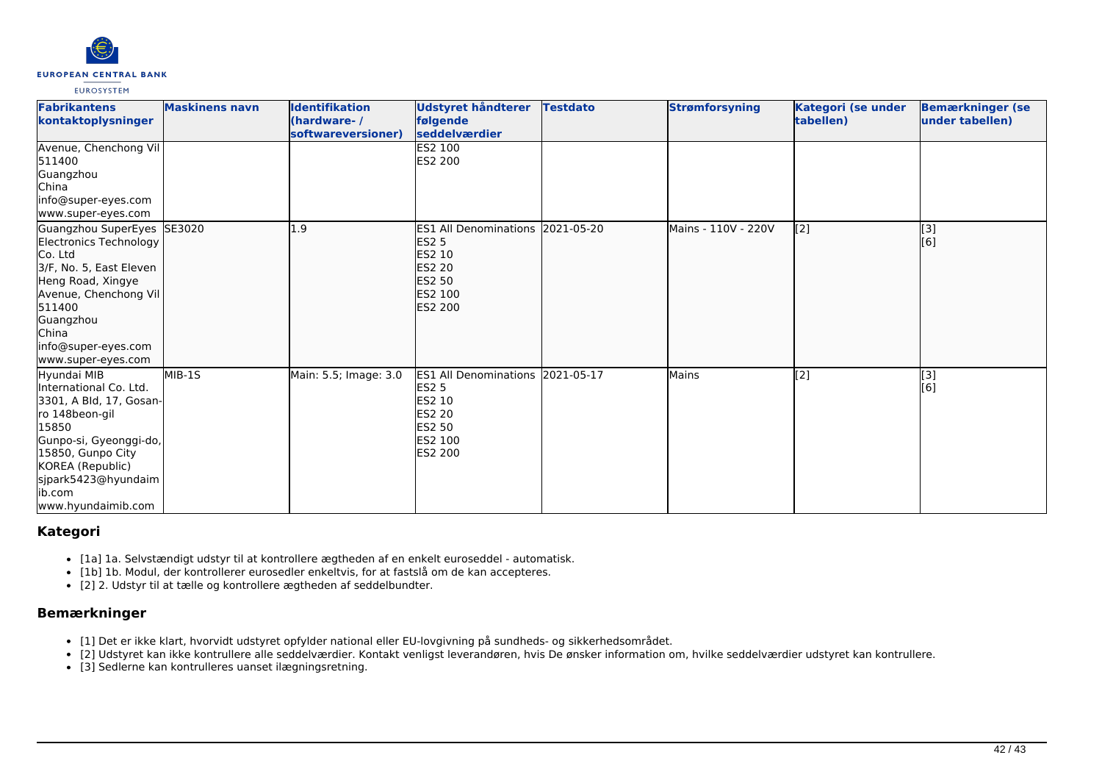

| <b>Fabrikantens</b><br>kontaktoplysninger                                                                                                                                                                                    | <b>Maskinens navn</b> | <b>Identifikation</b><br>(hardware-/<br>softwareversioner) | <b>Udstyret håndterer</b><br>følgende<br>seddelværdier                                                                                      | <b>Testdato</b> | <b>Strømforsyning</b> | Kategori (se under<br>tabellen) | <b>Bemærkninger (se</b><br>under tabellen) |
|------------------------------------------------------------------------------------------------------------------------------------------------------------------------------------------------------------------------------|-----------------------|------------------------------------------------------------|---------------------------------------------------------------------------------------------------------------------------------------------|-----------------|-----------------------|---------------------------------|--------------------------------------------|
| Avenue, Chenchong Vil<br>511400<br>Guangzhou<br>China<br>info@super-eyes.com<br>www.super-eyes.com                                                                                                                           |                       |                                                            | <b>IES2 100</b><br>ES2 200                                                                                                                  |                 |                       |                                 |                                            |
| Guangzhou SuperEyes SE3020<br>Electronics Technology<br>Co. Ltd<br>3/F, No. 5, East Eleven<br>Heng Road, Xingye<br>Avenue, Chenchong Vil<br>511400<br>Guangzhou<br><b>China</b><br>info@super-eyes.com<br>www.super-eyes.com |                       | .9                                                         | ES1 All Denominations 2021-05-20<br><b>ES2 5</b><br><b>ES2 10</b><br><b>ES2 20</b><br>ES2 50<br>ES2 100<br><b>ES2 200</b>                   |                 | Mains - 110V - 220V   | [2]                             | $\vert$ [3]<br>[6]                         |
| Hyundai MIB<br>International Co. Ltd.<br>[3301, A Bld, 17, Gosan-<br>ro 148beon-gil<br>15850<br>Gunpo-si, Gyeonggi-do,<br>15850, Gunpo City<br>KOREA (Republic)<br>sjpark5423@hyundaim<br>lib.com<br>www.hyundaimib.com      | MIB-1S                | Main: 5.5; Image: 3.0                                      | <b>IES1 All Denominations 2021-05-17</b><br><b>ES2 5</b><br><b>IES2 10</b><br><b>ES2 20</b><br><b>IES2 50</b><br><b>IES2 100</b><br>ES2 200 |                 | Mains                 | [2]                             | [3]<br>[6]                                 |

# **Kategori**

- [1a] 1a. Selvstændigt udstyr til at kontrollere ægtheden af en enkelt euroseddel automatisk.
- [1b] 1b. Modul, der kontrollerer eurosedler enkeltvis, for at fastslå om de kan accepteres.
- [2] 2. Udstyr til at tælle og kontrollere ægtheden af seddelbundter.

# **Bemærkninger**

- [1] Det er ikke klart, hvorvidt udstyret opfylder national eller EU-lovgivning på sundheds- og sikkerhedsområdet.
- [2] Udstyret kan ikke kontrullere alle seddelværdier. Kontakt venligst leverandøren, hvis De ønsker information om, hvilke seddelværdier udstyret kan kontrullere.
- [3] Sedlerne kan kontrulleres uanset ilægningsretning.